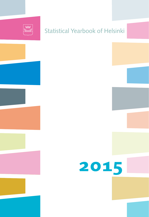

## **Statistical Yearbook of Helsinki**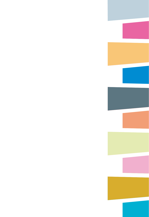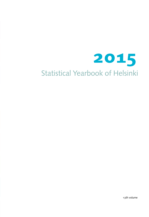# **Statistical Yearbook of Helsinki**

th volume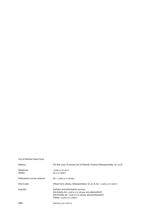#### City of Helsinki Urban Facts

| Address                     | P.O. Box 5500, FI-00099 City of Helsinki, Finland (Siltasaarenkatu 18–20 A)                                                                                                             |
|-----------------------------|-----------------------------------------------------------------------------------------------------------------------------------------------------------------------------------------|
| Telephone<br>Telefax        | +358 9 310 3612<br>09 310 36601                                                                                                                                                         |
| Publications can be ordered | tel. + 358 9 310 36293                                                                                                                                                                  |
| Direct sales                | Urban Facts Library, Siltasaarenkatu 18-20 A, tel. + 358 9 310 36377                                                                                                                    |
| Inquiries                   | Statistics and information services<br>Sini Askelo, tel. +358 9 310 36394, sini.askelo@hel.fi<br>Aila Perttilä, tel. +358 9 310 36399, aila.perttila@hel.fi<br>Telefax +358 9 310 36601 |
| <b>ISBN</b>                 | 978-952-331-070-4                                                                                                                                                                       |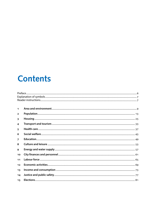## **Contents**

| 1              |  |
|----------------|--|
| $\overline{2}$ |  |
| 3              |  |
| 4              |  |
| 5              |  |
| 6              |  |
| 7              |  |
| 8              |  |
| 9              |  |
| 10             |  |
| 11             |  |
| 12             |  |
| 13             |  |
| 14             |  |
| 15             |  |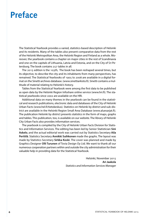## **Preface**

The Statistical Yearbook provides a varied, statistics-based description of Helsinki and its residents. Many of the tables also present comparative data from the rest of the Helsinki Metropolitan Area, the Helsinki Region and Finland as a whole. Moreover, the yearbook contains a chapter on major cities in the rest of Scandinavia and one on the capitals of Lithuania, Latvia and Estonia, and on the City of S:t Petersburg. The book contains 257 tables in all.

The 2015 edition is the 103th, The book has been reshaped several times, but its objective, to describe the city and its inhabitants from many perspectives, has remained. The Statistical Yearbooks of 1905 to 2008 are available in a digital format on the Sinetti archives database. (www.sinettiarkisto.fi). Sinetti contains a multitude of material relating to Helsinki's history.

Tables from the Statistical Yearbook were among the first data to be published as open data by the Helsinki Region Infoshare online service (www.hri.fi). The statistical yearbooks since 2002 are available on the HRI.

Additional data on many themes in the yearbook can be found in the statistical and research publications, electronic data and databases of the City of Helsinki Urban Facts (www.hel.fi/tietokeskus). Statistics on Helsinki by district and sub-district are available in the Helsinki Region Small Area Database (www.aluesarjat.fi). The publication Helsinki by district presents statistics in the form of maps, graphs and tables. This publication, too, is available on our website. The library of Helsinki City Urban Facts also provides information services.

The yearbook is compiled by the City of Helsinki Urban Facts Division for Statistics and Information Services. The editing has been led by Senior Statistician **Sini Askelo**, and the actual editorial work was carried out by Statistics Secretary **Aila Perttilä**. Statistics Secretary **Annikki Suihkonen** made the graphs. The layout was made by Statistics Secretary **Sirkka Koski**. The cover was planned and made by Graphics Designer **Olli Turunen** of Tovia Design Oy Ltd. We want to thank all our numerous cooperation partners within and outside the city administration for their valuable help in providing data for the Statistical Yearbook.

> Helsinki, November 2015 **Ari Jaakola** *Statistics and Information Services Manager*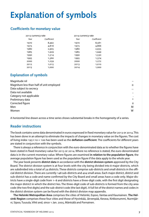# **Explanation of symbols**

### **Coefficients for monetary value**

| 2013 currency rate |             | 2014 Currency rate |             |
|--------------------|-------------|--------------------|-------------|
| Year               | Coefficient | Year               | Coefficient |
| 1970               | 8,492       | 1970               | 8,581       |
| 1975               | 4,816       | 1975               | 4,866       |
| 1980               | 2,905       | 1980               | 2,935       |
| 1985               | 1,929       | 1985               | 1,949       |
| 1990               | 1,514       | 1990               | 1,530       |
| 1995               | 1,360       | 1995               | 1,374       |
| 2000               | 1,259       | 2000               | 1,272       |
| 2012               | 1,015       | 2013               | 1,010       |
| 2013               | 1,000       | 2014               | 1,000       |

### **Explanation of symbols**

| Magnitude nil                             |           |
|-------------------------------------------|-----------|
| Magniture less than half of unit employed | $\circ$   |
| Data subject to secrecy                   | $\cdots$  |
| Data not available                        | $\ddotsc$ |
| Category not applicable                   | ٠         |
| Preliminary data                          | $\ast$    |
| Corrected figure                          | u         |
| Men                                       | M         |
| Women                                     | W         |

A horizontal line drawn across a time series shows substantial breaks in the homogeneity of a series.

### **Reader instructions**

The book contains some data denominated in euros expressed in fixed monetary value for 2013 or 2014. This has been done in an attempt to eliminate the impacts of changes in monetary value on the figures. The cost of living index 1951:10 = 100 has been used as the **deflation coefficient**. The coefficients for different years are stated in conjunction with the symbols.

There is always a reference in conjunction with the euro-denominated data as to whether the figures have been stated in fixed monetary value for 2013 or 2014. Where no reference is stated, the euro-denominated data is in the current monetary value. Where figures are examined **in relation to the population figure**, the average population figure has been used as the population figure if the data apply to the whole year.

The year book presents **district data** in accordance with the **district division system** approved by the City Board. The district division system is at four levels with the city being divided into 8 major districts, which are subdivided into a total of 34 districts. These districts comprise sub-districts and small districts in the official district division. There are currently 148 sub-districts and 404 small areas. Each major district, district and sub-district has a code and name confirmed by the City Board and small areas have a code only. Major districts have a single-digit code from 1–8 and districts have a three-digit code, with the first digit designating the major district in which the district lies. The three-digit code of sub-districts is formed from the city area code (the two first digits) and the sub-district code (the last digit). A full list of the district names and codes in the district division system can be found with the district division map appendix.

**The Helsinki Metropolitan Area** comprises the cities of Helsinki, Espoo, Vantaa and Kauniainen. **The Helsinki Region** comprises these four cities and those of Hyvinkää, Järvenpää, Kerava, Kirkkonummi, Nurmijärvi, Sipoo, Tuusula, Vihti and, since 1 Jan. 2005, Mäntsälä and Pornainen.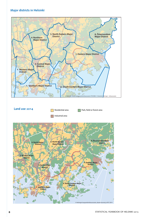#### **Major districts in Helsinki**



**Land use 2014** Residential area

Ш

**Park**, field or forest area

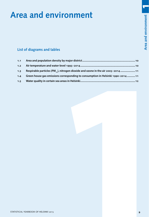$\sqrt{2}$ 

# **Area and environment**

### **List of diagrams and tables**

| 1.1 |                                                                                           |  |
|-----|-------------------------------------------------------------------------------------------|--|
| 1.2 |                                                                                           |  |
| 1.3 | Respirable particles (PM <sub>10</sub> ), nitrogen dioxide and ozone in the air 2005-2014 |  |
| 1.4 | Green house gas emissions corresponding to consumption in Helsinki 1990-2014 11           |  |
| 1.5 |                                                                                           |  |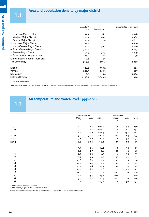$\overline{\phantom{a}}$ 

### **Area and population density by major district**

|                                     | Area, km <sup>2</sup><br>Total | of which land <sup>1</sup> | Inhabitants per km <sup>2</sup> land |
|-------------------------------------|--------------------------------|----------------------------|--------------------------------------|
| 1. Southern Major District          | 152.7                          | 18.1                       | 5,978                                |
| 2. Western Major District           | 36.5                           | 30.5                       | 3,485                                |
| 3. Central Major District           | 17.7                           | 15.8                       | 5,611                                |
| 4. Northern Major District          | 23.2                           | 23.2                       | 1,820                                |
| 5. North-Eastern Major District     | 37.6                           | 36.4                       | 2,680                                |
| 6. South-Eastern Major District     | 362.4                          | 25.2                       | 1,943                                |
| 7. Eastern Major District           | 56.5                           | 37.5                       | 2,879                                |
| 8. Östersundom Major District       | 28.7                           | 26.2                       | 79                                   |
| Islands not included in these areas | 3.6                            | 3.6                        |                                      |
| The whole city                      | 719.0                          | 216.5                      | 2,867                                |
| Espoo                               | 528.0                          | 330.2                      | 804                                  |
| Vantaa                              | 240.3                          | 240.3                      | 877                                  |

Kauniainen 6.0 6.0 1,560 Helsinki Region 5,518.9 3,840.9 370

<sup>1</sup> Incl. lakes and streams.

**1.1**

Source: Helsinki Municipal Data System, Helsinki City Real Estate Department's City Cadaster Division and National Land Survey of Finland (NLS).

**Air temperature and water-level 1995–2014**

**1.2**

|                            |        | Air temperature <sup>1</sup> |         |              | Water-level <sup>2</sup> |       |
|----------------------------|--------|------------------------------|---------|--------------|--------------------------|-------|
|                            | Mean   | Max.                         | Min.    | Mean         | Max.                     | Min.  |
|                            | °C     |                              |         | cm           |                          |       |
| 1995                       | 6.2    | 27.7                         | $-24.4$ | 8            | 94                       | -56   |
| 2000                       | 7.2    | 26.3                         | $-18.0$ | 6            | 85                       | $-51$ |
| 2005                       | 6.6    | 29.6                         | $-18.3$ | 4            | 151                      | $-44$ |
| 2010                       | 5.0    | 30.1                         | $-22.6$ | $-10$        | 64                       | $-93$ |
| 2013                       | 7.8    | 28.6                         | $-22.6$ | $-6$         | 93                       | $-92$ |
| 2014                       | 7.3    | 29.6                         | $-18.2$ | $-11$        | 59                       | $-71$ |
| T                          | $-5.9$ | 5.6                          | $-18.2$ | $-6$         | 55                       | $-71$ |
| $\ensuremath{\mathsf{II}}$ | 0.2    | 4.7                          | $-7.6$  | $-26$        | 3                        | -60   |
| Ш                          | 2.1    | 10.9                         | $-8.3$  | $-4$         | 35                       | $-33$ |
| IV                         | 5.9    | 19.9                         | $-4.5$  | $-13$        | 21                       | $-35$ |
| V                          | 10.6   | 26.3                         | $-1.2$  | $-17$        | 9                        | -46   |
| VI                         | 13.5   | 24.4                         | 3.5     | $-12$        | 13                       | $-33$ |
| VII                        | 20.1   | 29.6                         | 11.1    | $-15$        | 14                       | $-33$ |
| VIII                       | 17.9   | 28.4                         | 9.6     | $\mathsf{o}$ | 35                       | $-32$ |
| IX                         | 13.0   | 20.3                         | 0.4     | $-11$        | 28                       | $-40$ |
| X                          | 6.7    | 14.7                         | $-3.8$  | $-14$        | 21                       | $-40$ |
| ΧI                         | 3.2    | 10.3                         | $-2.4$  | $-20$        | 26                       | -46   |
| XII                        | 0.1    | 5.5                          | $-15.7$ | 8            | 59                       | $-52$ |
|                            |        |                              |         |              |                          |       |

<sup>1</sup> At Kaisaniemi monitoring station.

<sup>2</sup> At surface by a quay in the Kaivopuisto district.

Source: Finnish Meteorological Institute and the Marine Centre at Finnish Environment Institute.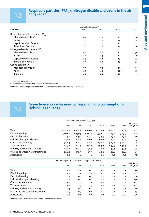$\sqrt{2}$ 

### **1.3**

### Respirable particles (PM<sub>10</sub>), nitrogen dioxide and ozone in the air **2005–2014**

|                                                | Annual mean, µg/m <sup>3</sup> |      |      |                  |
|------------------------------------------------|--------------------------------|------|------|------------------|
| Air quality                                    | 2005                           | 2010 | 2013 | 2014             |
| Respirable particles content, PM <sub>10</sub> |                                |      |      |                  |
| Mannerheimintie 5 <sup>1</sup>                 | 30                             | 25   | 24   | 26               |
| Kallio                                         | 15                             | 15   | 13   | 15               |
| Leppävaara <sup>2</sup> (in Espoo)             | 23                             | 15   | 20   | 21               |
| Tikkurila (In Vantaa)                          | 23                             | 16   | 14   | 16               |
| Nitrogen dioxide content, NO <sub>2</sub>      |                                |      |      |                  |
| Mannerheimintie 5 <sup>1</sup>                 | 43                             | 41   | 37   | 36               |
| Kallio                                         | 22                             | 23   | 20   | 20               |
| Leppävaara <sup>2</sup> (in Espoo)             | 24                             | 28   | 27   | 25               |
| Tikkurila (in Vantaa)                          | 30                             | 30   | 27   | 25               |
| Ozone content, O                               |                                |      |      |                  |
| Mannerheimintie 5 <sup>1</sup>                 | 37                             | 39   | 39   | 35               |
| Kallio                                         | 48                             | 48   | 52   | 46               |
| Tikkurila                                      | 46                             | 44   | 47   | $\bullet\bullet$ |

<sup>1</sup> Measuring started in 2005.

<sup>2</sup> Location of monitoring station changed in January 2005 and 2010.

Source: HSY Helsinki Region Environmental Services Authority: Ilmanlaatu pääkaupunkiseudulla.

**1.4**

### **Green house gas emissions corresponding to consumption in Helsinki 1990–2014**

|                                 |         | Total emissions, 1,000 t CO, equiv. |         |         |         |         |                       |
|---------------------------------|---------|-------------------------------------|---------|---------|---------|---------|-----------------------|
|                                 | 1990    | 2000                                | 2005    | 2010    | 2013    | 2014    | 1990-2014<br>change % |
| Total                           | 3,615.5 | 3,294.5                             | 3,446.4 | 3,222.9 | 2,851.6 | 2,789.7 | $-23$                 |
| District heating                | 1,808.9 | 1,350.9                             | 1,384.0 | 1,352.5 | 1,295.7 | 1,305.5 | $-28$                 |
| Electrical heating              | 84.9    | 109.1                               | 122.1   | 133.4   | 135.7   | 135.7   | 60                    |
| Individual property heating     | 126.2   | 121.8                               | 110.6   | 106.0   | 97.7    | 97.7    | $-23$                 |
| Consumer electricity            | 516.4   | 701.4                               | 921.1   | 851.8   | 579.8   | 511.0   | $-1$                  |
| Transportation                  | 649.8   | 704.5                               | 748.0   | 693.9   | 649.3   | 646.4   | $-1$                  |
| Industry and work machinery     | 180.7   | 113.2                               | 91.5    | 41.7    | 45.4    | 45.4    | $-75$                 |
| Waste and waste water treatment | 246.5   | 192.3                               | 67.5    | 42.4    | 46.8    | 46.8    | $-81$                 |
| Agriculture                     | 2.0     | 1.4                                 | 1.4     | 1.2     | 1.2     | 1.2     | $-38$                 |

Emissions per capita, tons of CO<sub>2</sub> equiv./inhabitant 1990–2014 1990 2000 2005 2010 2013 2014 change % Total 7.3 5.9 6.1 5.5 4.7 4.5 –39 District heating 3.7 2.4 2.5 2.3 2.1 2.1 –43 Electrical heating 10.2 0.2 0.2 0.2 0.2 0.2 0.2 0.2 0.2 26 Individual property heating 0.3 0.2 0.2 0.2 0.2 0.2 –39 Consumer electricity 1.0 1.3 1.6 1.4 0.9 0.8 –22 Transportation 1.3 1.3 1.3 1.2 1.1 1.0 –21 Industry and work machinery 0.4 0.2 0.2 0.1 0.1 0.1 –80 Waste and waste water treatment  $0.5$   $0.3$   $0.1$   $0.1$   $0.1$   $0.1$   $-85$ Agriculture 0.0 0.0 0.0 0.0 0.0 0.0 –51

Source: Helsinki City Environmental Centre, Environmental statistics.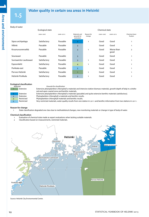$\overline{\phantom{a}}$ 

### **Water quality in certain sea areas in Helsinki**

#### Body of water

**1.5**

| Ecological state         |              |           |                                            | Chemical state       |           |                    |                              |
|--------------------------|--------------|-----------|--------------------------------------------|----------------------|-----------|--------------------|------------------------------|
|                          | 2000-2007    | 2006-2012 | Materials and<br>grounds for<br>estimation | Reason for<br>change | 2000-2007 | 2006-2012          | Chemical classi-<br>fication |
| Sipoo archipelago        | Satisfactory | Passable  | $\overline{2}$                             | 1                    | Good      | Good               | 1                            |
| Villinki                 | Passable     | Passable  | $\overline{3}$                             |                      | Good      | Good               | 1                            |
| Kruunuvuorenselkä        | Passable     | Passable  | $\overline{3}$                             | 1                    | Good      | Worse than<br>qood | $\overline{2}$               |
| Seurasaari               | Passable     | Passable  | $\overline{3}$                             |                      | Good      | Good               | 1                            |
| Suvisaaristo-Lauttasaari | Satisfactory | Passable  | $\overline{\mathbf{3}}$                    | 1                    | Good      | Good               | $\mathbf{1}$                 |
| Espoonlahti              | Satisfactory | Passable  | $\overline{4}$                             | 1                    | Good      | Good               | 1                            |
| Porkkala east            | Passable     | Passable  | 5                                          |                      | Good      | Good               | 1                            |
| Porvoo-Helsinki          | Satisfactory | Passable  | $\overline{1}$                             | 1                    | Good      | Good               | 1                            |
| Helsinki-Porkkala        | Satisfactory | Passable  | $\overline{\mathbf{3}}$                    | 1                    | Good      | Good               | $\mathbf{1}$                 |
|                          |              |           |                                            |                      |           |                    |                              |

### **Ecological classification**

|   | Extensive  |
|---|------------|
|   |            |
|   | Extensive  |
| ঽ | Extensive  |
| 4 | Restricted |
| ς | Restricted |
|   |            |

*Materials Grounds for classification*

Extensive phytoplankton chlorophyll a materials and intensive station biomass materials, growth depth of kelp in a sheltered and open coastal zone and benthic materials.

Extensive phytoplankton chlorophyll a materials (passable) and quite extensive benthic materials (satisfactory).

Phytoplankton chlorophyll a materials and benthic results.

Phytoplankton chlorophyll materials and benthic results.

Very restricted materials, water quality results from one station in 2011 and benthic information from two stations in 2011.

#### **Reason for change**

1 State classification degraded one class due to methodoloical changes, new monitoring materials or change in type of body of water.

#### **Chemical classification**

- 1 Evaluation of chemical state made as expert evaluations when lacking suitable materials.
- 2 Classification based on measurements, restricted materials.



Source: Helsinki City Environmental Centre.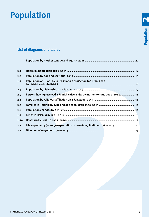# **Population**

### **List of diagrams and tables**

| Population on 1 Jan. 1980-2015 and a projection for 1 Jan. 2025               |
|-------------------------------------------------------------------------------|
|                                                                               |
| Persons having received a Finnish citizenship, by mother tongue 2000-2014  18 |
|                                                                               |
|                                                                               |
|                                                                               |
|                                                                               |
|                                                                               |
| Life expectancy (average expectation of remaining lifetime) 1981-2014 22      |
|                                                                               |
|                                                                               |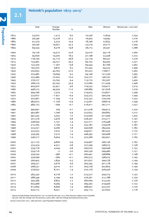### **Helsinki's population 1875–2015<sup>1</sup>**

# N

**2.1**

|      | Total   | Change <sup>2</sup><br>Number | $\%$   | Men     | Women   | Women per 1 000 men |
|------|---------|-------------------------------|--------|---------|---------|---------------------|
| 1875 | 23,070  | 1,313                         | 6.0    | 10,236  | 12,834  | 1,254               |
| 1880 | 36,346  | 13,276                        | 57.5   | 16,403  | 19,943  | 1,216               |
| 1885 | 41,579  | 5,233                         | 14.4   | 18,746  | 22,833  | 1,218               |
| 1890 | 56,236  | 14,657                        | 35.3   | 25,519  | 30,717  | 1,204               |
| 1895 | 64,554  | 8,318                         | 14.8   | 28,213  | 36,341  | 1,288               |
| 1900 | 79,126  | 14,572                        | 22.6   | 35,010  | 44,116  | 1,260               |
| 1905 | 93,626  | 14,500                        | 18.3   | 41,198  | 52,428  | 1,273               |
| 1910 | 118,736 | 25,110                        | 26.8   | 52,179  | 66,557  | 1,276               |
| 1915 | 153,467 | 34,731                        | 29.3   | 69,102  | 84,365  | 1,221               |
| 1920 | 152,200 | $-1267$                       | $-0.8$ | 64,434  | 87,766  | 1,362               |
| 1925 | 162,070 | 9,870                         | 6.5    | 67,545  | 94,525  | 1,399               |
| 1930 | 205,833 | 43,763                        | 27.0   | 87,022  | 118,811 | 1,365               |
| 1935 | 225,482 | 19,649                        | 9.5    | 94,146  | 131,336 | 1,395               |
| 1940 | 252,484 | 27,002                        | 12.0   | 105,777 | 146,707 | 1,387               |
| 1945 | 276,277 | 23,793                        | 9.4    | 113,710 | 162,567 | 1,430               |
| 1950 | 368,519 | 92,242                        | 33.4   | 157,080 | 211,439 | 1,346               |
| 1955 | 403,970 | 35,451                        | 9.6    | 174,553 | 229,417 | 1,314               |
| 1960 | 448,315 | 44,345                        | 11.0   | 196,689 | 251,626 | 1,279               |
| 1965 | 494,796 | 7,374                         | 1.5    | 219,975 | 274,821 | 1,249               |
| 1970 | 523,677 | $-1951$                       | $-0.4$ | 233,373 | 290,304 | 1,244               |
| 1975 | 502,961 | $-7244$                       | $-1.4$ | 223,252 | 279,709 | 1,253               |
| 1980 | 483,675 | $-1728$                       | $-0.4$ | 215,061 | 268,614 | 1,249               |
| 1985 | 484,122 | $-269$                        | $-0.1$ | 216,411 | 267,711 | 1,237               |
| 1990 | 490,691 | 709                           | 0.1    | 221,078 | 269,613 | 1,220               |
| 1991 | 492,487 | 1,796                         | 0.4    | 222,625 | 269,862 | 1,212               |
| 1992 | 497,542 | 5,055                         | 1.0    | 225,636 | 271,906 | 1,205               |
| 1993 | 501,518 | 3,976                         | 0.8    | 228,307 | 273,211 | 1,197               |
| 1994 | 508,659 | 7,141                         | 1.4    | 232,211 | 276,448 | 1,191               |
| 1995 | 515,765 | 7,106                         | 1.4    | 235,787 | 279,978 | 1,187               |
| 1996 | 525,031 | 9,266                         | 1.8    | 240,638 | 284,393 | 1,182               |
| 1997 | 532,053 | 7,022                         | 1.3    | 244,621 | 287,432 | 1,175               |
| 1998 | 539,363 | 7,310                         | 1.4    | 248,395 | 290,968 | 1,171               |
| 1999 | 546,317 | 6,954                         | 1.3    | 252,366 | 293,951 | 1,165               |
| 2000 | 551,123 | 4,806                         | 0.9    | 254,967 | 296,156 | 1,162               |
| 2001 | 555,474 | 4,351                         | 0.8    | 257,399 | 298,075 | 1,158               |
| 2002 | 559,718 | 4,244                         | 0.8    | 260,070 | 299,648 | 1,152               |
| 2003 | 559,716 | $-2$                          | 0.0    | 260,236 | 299,480 | 1,151               |
| 2004 | 559,330 | $-386$                        | $-0.1$ | 260,441 | 298,889 | 1,148               |
| 2005 | 559,046 | $-284$                        | $-0.1$ | 260,573 | 298,473 | 1,145               |
| 2006 | 560,905 | 1,859                         | 0.3    | 261,627 | 299,278 | 1,144               |
| 2007 | 564,521 | 3,616                         | 0.6    | 263,343 | 301,178 | 1,144               |
| 2008 | 568,531 | 4,010                         | 0.7    | 265,728 | 302,803 | 1,140               |
| 2009 | 576,632 | 8,101                         | 1.4    | 270,176 | 306,456 | 1,134               |
| 2010 | 583,350 | 6,718                         | 1.2    | 273,577 | 309,773 | 1,132               |
| 2011 | 588,549 | 5,199                         | 0.9    | 276,361 | 312,188 | 1,130               |
| 2012 | 595,384 | 6,835                         | 1.2    | 280,064 | 315,320 | 1,126               |
| 2013 | 603,968 | 8,584                         | 1.4    | 284,562 | 319,406 | 1,122               |
| 2014 | 612,664 | 8,696                         | 1.4    | 288,957 | 323,707 | 1,120               |
| 2015 | 620,715 | 8,051                         | 1.3    | 293,113 | 327,602 | 1,118               |

1 Figures include foreign nationals from 1951 on (and for the year 1915, when Russian subjects were included).<br><sup>2</sup> Up until 1960 the change over the previous 5 years, after 1960 the change during the previous year.

Source: Census lists 1875–1989 and since 1990 Population Register Centre.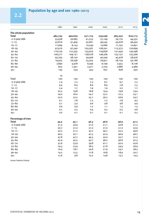### **Population by age and sex 1980–2015**

**2.2**

|                      | 1980    | 1990    | 2000    | 2005    | 2010    | 2015    |
|----------------------|---------|---------|---------|---------|---------|---------|
| The whole population |         |         |         |         |         |         |
| <b>Total</b>         | 483,743 | 490,629 | 551,123 | 559,046 | 583,350 | 620,715 |
| o-6 year olds        | 35,938  | 36,683  | 41,253  | 37,199  | 39,170  | 44,552  |
| $7 - 15$             | 47,816  | 41,409  | 47,661  | 49,545  | 45,678  | 46,450  |
| $16 - 17$            | 11,699  | 8,154   | 10,549  | 10,666  | 11,742  | 10,641  |
| $18 - 29$            | 97,916  | 97,340  | 103,567 | 108,291 | 115,373 | 120,699 |
| $30 - 44$            | 116,279 | 127,343 | 135,979 | 129,838 | 131,459 | 143,098 |
| $45 - 64$            | 106,517 | 109,151 | 138,078 | 146,508 | 155,137 | 153,566 |
| $65 - 74$            | 43,795  | 38,130  | 39,406  | 40,509  | 45,478  | 58,976  |
| $75 - 84$            | 19,925  | 26,296  | 25,305  | 26,931  | 28,134  | 30,186  |
| $85 - 89$            | 2,890   | 4,478   | 6,399   | 6,199   | 7,455   | 8,108   |
| $90 - 94$            | 825     | 1,391   | 2,471   | 2,703   | 2,886   | 3,489   |
| $95 -$               | 143     | 254     | 455     | 657     | 838     | 950     |
|                      | $\%$    |         |         |         |         |         |
| Total                | 100     | 100     | 100     | 100     | 100     | 100     |
| o-6 year olds        | 7.4     | 7.5     | 7.5     | 6.7     | 6.7     | 7.2     |
| $7 - 15$             | 9.9     | 8.4     | 8.6     | 8.9     | 7.8     | 7.5     |
| $16 - 17$            | 2.4     | 1.7     | 1.9     | 1.9     | 2.0     | 1.7     |
| $18 - 29$            | 20.2    | 19.8    | 18.8    | 19.4    | 19.8    | 19.4    |
| $30 - 44$            | 24.0    | 26.0    | 24.7    | 23.2    | 22.5    | 23.1    |
| $45 - 64$            | 22.0    | 22.2    | 25.1    | 26.2    | 26.6    | 24.7    |
| $65 - 74$            | 9.1     | 7.8     | 7.2     | 7.2     | 7.8     | 9.5     |
| $75 - 84$            | 4.1     | 5.4     | 4.6     | 4.8     | 4.8     | 4.9     |
| $85 - 89$            | 0.6     | 0.9     | 1.2     | 1.1     | 1.3     | 1.3     |
| $90 - 94$            | 0.2     | 0.3     | 0.4     | 0.5     | 0.5     | 0.6     |
| $95 -$               | 0.0     | 0.1     | 0.1     | 0.1     | 0.1     | 0.2     |
| Percentage of men    |         |         |         |         |         |         |
| <b>Total</b>         | 44.5    | 45.1    | 46.3    | 46.6    | 46.9    | 47.2    |
| o-6 year olds        | 51.3    | 50.9    | 51.0    | 51.1    | 50.8    | 51.2    |
| $7 - 15$             | 50.7    | 51.0    | 51.0    | 51.0    | 51.0    | 50.9    |
| $16 - 17$            | 50.2    | 51.2    | 50.2    | 49.7    | 50.5    | 49.6    |
| $18 - 29$            | 46.5    | 47.1    | 47.5    | 47.4    | 46.9    | 46.7    |
| $30 - 44$            | 47.8    | 47.7    | 49.5    | 50.0    | 50.7    | 51.0    |
| $45 - 64$            | 42.9    | 45.5    | 45.7    | 46.2    | 46.6    | 47.3    |
| $65 - 74$            | 32.6    | 33.9    | 39.8    | 41.1    | 42.0    | 42.6    |
| $75 - 84$            | 24.3    | 25.9    | 28.5    | 31.8    | 34.9    | 36.9    |
| $85 - 89$            | 16.4    | 18.7    | 20.6    | 21.6    | 24.7    | 28.3    |
| $90 - 94$            | 14.2    | 15.5    | 17.8    | 16.8    | 18.4    | 20.7    |
| $95 -$               | 12.6    | 9.8     | 13.2    | 14.8    | 13.7    | 14.3    |

Source: Statistics Finland.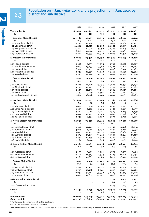### **2.3**

#### **Population on 1 Jan. 1980–2015 and a projection for 1 Jan. 2025 by district and sub district**

**2** 

|                                 | 1980    | 1990    | 2000      | 2010    | 2015    | 2025    |
|---------------------------------|---------|---------|-----------|---------|---------|---------|
| The whole city                  | 483,675 | 490,872 | 551,123   | 583,350 | 620,715 | 683,487 |
| $\frac{0}{0}$                   | 100     | 100     | 100       | 100     | 100     | 100     |
| 1. Southern Major District      | 101,189 | 90,307  | 97,015    | 99,683  | 108,210 | 121,444 |
| $\frac{0}{0}$                   | 20.9    | 18.4    | 17.6      | 17.1    | 17.4    | 17.8    |
| 101 Vironniemi district         | 12,141  | 12,424  | 11,772    | 11,671  | 12,269  | 12,561  |
| 102 Ullanlinna district         | 26,436  | 22,308  | 22,668    | 23,050  | 24,045  | 24,426  |
| 103 Kampinmalmi district        | 25,290  | 22,508  | 29,796    | 30,394  | 34,625  | 44,625  |
| 104 Taka-Töölö district         | 16,620  | 14,090  | 14,432    | 14,502  | 14,965  | 14,401  |
| 105 Lauttasaari district        | 20,702  | 18,977  | 18,347    | 20,066  | 22,306  | 25,429  |
| 2. Western Major District       | 87,010  | 89,480  | 100,639   | 101,328 | 106,287 | 114,160 |
| $\frac{0}{0}$                   | 18.0    | 18.2    | 18.3      | 17.4    | 17.1    | 16.7    |
| 201 Reijola district            | 10,696  | 9,533   | 15,775    | 15,702  | 17,208  | 17,607  |
| 202 Munkkiniemi district        | 18,097  | 15,637  | 17,369    | 17,328  | 17,624  | 18,467  |
| 203 Haaga district              | 26,929  | 26,401  | 26,468    | 25,908  | 26,539  | 27,283  |
| 204 Pitäjänmäki district        | 12,848  | 12,571  | 14,948    | 15,465  | 17,696  | 17,905  |
| 205 Kaarela district            | 18,440  | 25,338  | 26,079    | 26,925  | 27,220  | 32,899  |
| 3. Central Major District       | 77,865  | 73,129  | 73,252    | 78,561  | 88,651  | 101,883 |
| $\frac{0}{0}$                   | 16.1    | 14.9    | 13.3      | 13.5    | 14.3    | 14.9    |
| 301 Kallio district             | 27,818  | 24,700  | 25,255    | 25,606  | 28,334  | 36,632  |
| 302 Alppiharju district         | 14,731  | 12,452  | 11,875    | 11,731  | 11,727  | 10,985  |
| 303 Vallila district            | 12,343  | 10,010  | 11,091    | 12,306  | 15,123  | 15,076  |
| 304 Pasila district             | 5,149   | 9,669   | 8,591     | 8,484   | 9,182   | 13,005  |
| 305 Vanhakaupunki district      | 17,824  | 16,298  | 16,440    | 20,434  | 24,285  | 26,185  |
|                                 |         |         |           |         |         |         |
| 4. Northern Major District      | 137,873 | 40,397  | 41,250    | 41,164  | 42,218  | 44,886  |
| $\%$                            | 7.8     | 8.2     | 7.5       | 7.1     | 6.8     | 6.6     |
| 401 Maunula district            | 12,098  | 9,860   | 8,984     | 8,584   | 8,777   | 10,625  |
| 402 Länsi-Pakila district       | 6,025   | 6,402   | 6,403     | 6,587   | 6,945   | 6,857   |
| 403 Tuomarinkylä district       | 3,812   | 7,088   | 8,181     | 8,585   | 8,649   | 8,899   |
| 404 Oulunkylä district          | 13,092  | 13,573  | 14,145    | 13,634  | 14,118  | 14,874  |
| 405 Itä-Pakila district         | 2,846   | 3,474   | 3,537     | 3,774   | 3,729   | 3,631   |
| 5. North-Eastern Major District | 54,733  | 76,977  | 83,842    | 92,690  | 97,543  | 103,637 |
| $\frac{0}{0}$                   | 11.3    | 15.7    | 15.2      | 15.9    | 15.7    | 15.2    |
| 501 Latokartano district        | 11,932  | 12,449  | 12,557    | 21,149  | 24,418  | 26,254  |
| 502 Pukinmäki district          | 4,908   | 8,061   | 9,176     | 8,292   | 8,260   | 7,977   |
| 503 Malmi district              | 15,090  | 22,547  | 26,023    | 27,947  | 28,986  | 31,133  |
| 504 Suutarila district          | 3,578   | 11,041  | 11,844    | 11,304  | 11,284  | 11,108  |
| 505 Puistola district           | 11,441  | 16,335  | 18,346    | 18,372  | 19,312  | 20,175  |
| 506 Jakomäki district           | 7,784   | 6,544   | 5,896     | 5,626   | 5,283   | 6,990   |
| 6. South-Eastern Major District | 40,561  | 37,065  | 44,918    | 46,666  | 48,971  | 61,879  |
| $\frac{0}{0}$                   | 8.4     | 7.6     | 8.2       | 8.0     | 7.9     | 9.1     |
|                                 |         |         |           |         |         |         |
| 601 Kulosaari district          | 4,175   | 3,699   | 3,761     | 3,770   | 3,853   | 3,805   |
| 602 Herttoniemi district        | 21,106  | 18,483  | 24,574    | 26,423  | 28,126  | 30,751  |
| 603 Laajasalo district          | 15,280  | 14,883  | 16,583    | 16,473  | 16,992  | 27,324  |
| 7. Eastern Major District       | 72,982  | 75,478  | 90,355    | 103,227 | 107,957 | 116,396 |
|                                 | 15.1    | 15.4    | 16.4      | 17.7    | 17.4    | 17.0    |
| 701 Vartiokylä district         | 19,235  | 19,793  | 20,235    | 21,363  | 22,098  | 20,562  |
| 702 Myllypuro district          | 11,733  | 10,108  | 8,941     | 9,613   | 11,385  | 14,462  |
| 703 Mellunkylä district         | 27,940  | 31,764  | 35,932    | 36,425  | 37,363  | 41,406  |
| 704 Vuosaari district           | 14,074  | 13,813  | 25,247    | 35,826  | 37,111  | 39,966  |
| 8 Östersundom Major District    |         |         |           | 2,113   | 2,063   | 2,161   |
| $\frac{0}{0}$                   |         |         |           | 0.4     | 0.3     | 0.3     |
| 801 Östersundom district        |         |         | $\bullet$ | 2,113   | 2,063   | 2,161   |
|                                 |         |         |           |         |         |         |
| <b>Others</b>                   | 11,440  | 8,039   | 19,852    | 17,918  | 18,815  | 17,042  |
| $\%$                            | 2.4     | 1.6     | 3.6       | 3.1     | 3.0     | 2.5     |
| Inner Helsinki                  | 169,086 | 154,029 | 167,721   | 173,899 | 191,783 | 215,524 |
| Outer Helsinki                  | 303,146 | 328,804 | 363,550   | 391,533 | 410,117 | 450,921 |

<sup>1</sup> Furthermore 18 people whose sub-district is unknown.

Helsinki's district division changed from 2013 on.

Source: Census lists (1980), Helsinki City's population register (1990), Statistics Finland (2000–2015) and City of Helsinki Urban Facts (2025).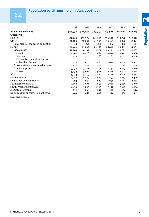### **Population by citizenship on 1 Jan. 2008–2015**

### **2.4**

|                                       | 2008   | 2009    | 2010    | 2013    | 2014    | 2015    |
|---------------------------------------|--------|---------|---------|---------|---------|---------|
| All Helsinki residents<br>568,531     |        | 576,632 | 583,350 | 603,968 | 612,664 | 620,715 |
| Citizenship                           |        |         |         |         |         |         |
| Finnish<br>532,248                    |        | 537,978 | 541,615 | 553,307 | 559,782 | 565,270 |
| Other                                 | 36,283 | 38,654  | 41,735  | 50,661  | 52,882  | 55,445  |
| Percentage of the entire population   | 6.4    | 6.7     | 7.2     | 8.4     | 8.6     | 8.9     |
| Europe                                | 20,406 | 21,699  | 23,186  | 28,430  | 29,861  | 31,135  |
| EU countries                          | 12,943 | 14,199  | 15,377  | 20,231  | 21,721  | 23,107  |
| Estonia                               | 5,962  | 6,578   | 7,482   | 10,953  | 11,922  | 12,568  |
| Sweden                                | 1,219  | 1,279   | 1,268   | 1,287   | 1,297   | 1,268   |
| EU member state since the 2000s       |        |         |         |         |         |         |
| (other than Estonia)                  | 1,277  | 1,414   | 1,569   | 2,034   | 2,243   | 2,463   |
| Other northern or western European    | 325    | 322     | 351     | 369     | 373     | 368     |
| Other European                        | 7,138  | 7,178   | 7,458   | 7,830   | 7,767   | 7,660   |
| Russia                                | 5,633  | 5,694   | 5,918   | 6,278   | 6,304   | 6,161   |
| Africa                                | 5,174  | 5,459   | 5,860   | 6,878   | 6,826   | 6,982   |
| North America                         | 1,088  | 1,025   | 1,087   | 1,253   | 1,263   | 1,316   |
| Latin America or Caribbean            | 793    | 847     | 923     | 1,098   | 1,144   | 1,182   |
| Southeast or East Asia                | 3,308  | 3,604   | 4,055   | 5,089   | 5,335   | 5,719   |
| South. West or Central Asia           | 4,833  | 5,293   | 5,913   | 7,142   | 7,667   | 8,254   |
| Australia or Oceania                  | 232    | 238     | 242     | 257     | 254     | 274     |
| No citizenship or citizenship unknown | 449    | 489     | 469     | 514     | 532     | 583     |

Source: Statistics Finland.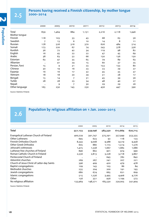# **Population 2**

**2.5**

### **Persons having received a Finnish citizenship, by mother tongue 2000–2014**

|                | 2000 | 2005  | 2010 | 2011  | 2012  | 2013  | 2014  |
|----------------|------|-------|------|-------|-------|-------|-------|
| Total          | 839  | 1,464 | 884  | 1,131 | 2,216 | 2,118 | 1,946 |
| Mother tongue  |      |       |      |       |       |       |       |
| Finnish        | 118  | 103   | 33   | 43    | 68    | 63    | 56    |
| Swedish        | 7    | 13    | 6    | 10    | 14    | 8     | 11    |
| Russian        | 178  | 526   | 316  | 370   | 626   | 484   | 514   |
| Somali         | 173  | 220   | 67   | 74    | 243   | 378   | 336   |
| Kurdish        | 36   | 72    | 42   | 34    | 119   | 98    | 82    |
| English        | 16   | 45    | 22   | 22    | 47    | 45    | 69    |
| Arabic         | 38   | 63    | 52   | 66    | 130   | 136   | 130   |
| Estonian       | 63   | 47    | 35   | 65    | 79    | 89    | 63    |
| Albanian       |      | 41    | 24   | 15    | 60    | 37    | 25    |
| Persian, Farsi | 15   | 9     | 31   | 23    | 153   | 133   | 80    |
| Chinese        | 30   | 19    | 16   | 23    | 23    | 29    | 27    |
| Espanja        | 16   | 16    | 17   | 32    | 45    | 35    | 37    |
| Vietnam        | 18   | 18    | 20   | 29    | 31    | 28    | 17    |
| Bengali        | 15   | 14    | 7    | 31    | 45    | 39    | 56    |
| Turkki         | 28   | 28    | 23   | 34    | 48    | 40    | 27    |
| Nepali         |      | 9     | 7    | 30    | 29    | 29    | 26    |
| Other language | 165  | 230   | 145  | 230   | 456   | 447   | 390   |

Source: Statistics Finland.

# **2.6 Population by religious affiliation on 1 Jan. 2000–2015**

|                                             | 2000    | 2005    | 2010    | 2014    | 2015    |
|---------------------------------------------|---------|---------|---------|---------|---------|
| <b>Total</b>                                | 551,123 | 559,046 | 583,350 | 612,664 | 620,715 |
| Evangelical Lutheran Church of Finland      | 400,229 | 391,747 | 375,291 | 357,949 | 353,335 |
| Other Lutherans                             | 695     | 623     | 92      | 118     | 123     |
| Finnish Orthodox Church                     | 8,343   | 9,008   | 9,388   | 9,519   | 9,458   |
| Other Greek Orthodox                        | 605     | 880     | 1,173   | 1,514   | 1,576   |
| Jehovah's wittnesses                        | 1,475   | 1,558   | 1,667   | 1,683   | 1,686   |
| Lutheran free churches of Finland           | 896     | 862     | 901     | 974     | 990     |
| Roman Catholic Church in Finland            | 2,556   | 2,813   | 3,228   | 3,718   | 3,867   |
| Pentecostal Church of Finland               |         |         | 645     | 782     | 842     |
| Adventist churches                          | 269     | 267     | 241     | 207     | 221     |
| Church of Jesus Christ of Latter-day Saints | 396     | 409     | 420     | 479     | 478     |
| <b>Baptist congregations</b>                | 109     | 143     | 103     | 86      | 84      |
| Methodist churches                          | 235     | 204     | 200     | 191     | 193     |
| Jewish congregations                        | 680     | 674     | 665     | 621     | 609     |
| Islamic congregations                       | 515     | 1,236   | 3,495   | 4,406   | 4,776   |
| Other                                       | 156     | 351     | 956     | 1,194   | 573     |
| No religious affiliation                    | 133,964 | 148,271 | 185,530 | 230,005 | 241,904 |

Source: Statistics Finland.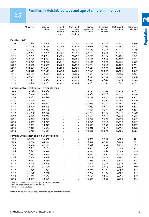### **Families in Helsinki by type and age of children 1990–20151**

**2.7**

|                             | All families                                   | Children<br>in these | Married<br>couples<br>without<br>children <sup>2</sup> | Unmarried<br>couples<br>without<br>children | Married<br>couples with<br>children <sup>2</sup> | Unmarried<br>couples with<br>children | Mother and<br>children | Father and<br>children |
|-----------------------------|------------------------------------------------|----------------------|--------------------------------------------------------|---------------------------------------------|--------------------------------------------------|---------------------------------------|------------------------|------------------------|
| Families total <sup>3</sup> |                                                |                      |                                                        |                                             |                                                  |                                       |                        |                        |
| 1990                        | 126,659                                        | 111,848              | 36,435                                                 | 19,062                                      | 45,153                                           | 5,948                                 | 17,805                 | 2,256                  |
| 1995                        | 129,765                                        | 114,556              | 37,968                                                 | 20,318                                      | 42,644                                           | 7,065                                 | 19,447                 | 2,323                  |
| 2000                        | 135,387                                        | 118,937              | 39,223                                                 | 23,697                                      | 40,319                                           | 8,977                                 | 20,622                 | 2,549                  |
| 2005                        | 137,641                                        | 116,028              | 41,693                                                 | 26,042                                      | 37,221                                           | 9,383                                 | 20,617                 | 2,685                  |
| 2006                        | 137,776                                        | 114,924              | 42,195                                                 | 26,387                                      | 36,741                                           | 9,429                                 | 20,353                 | 2,671                  |
| 2007                        | 138,151                                        | 114,284              | 42,525                                                 | 26,854                                      | 36,485                                           | 9,523                                 | 20,150                 | 2,614                  |
| 2008                        | 139,005                                        | 113,952              | 43,141                                                 | 27,234                                      | 36,335                                           | 9,694                                 | 20,023                 | 2,578                  |
| 2009                        | 141,378                                        | 115,259              | 43,829                                                 | 28,119                                      | 36,774                                           | 9,834                                 | 20,107                 | 2,715                  |
| 2010                        | 143,281                                        | 116,254              | 44,279                                                 | 28,785                                      | 37,224                                           | 9,977                                 | 20,265                 | 2,751                  |
| 2011                        | 144,528                                        | 117,321              | 44,678                                                 | 28,989                                      | 37,561                                           | 10,083                                | 20,370                 | 2,847                  |
| 2012                        | 146,113                                        | 118,343              | 44,913                                                 | 29,709                                      | 37,901                                           | 10,335                                | 20,384                 | 2,871                  |
| 2013                        | 148,303                                        | 119,745              | 45,450                                                 | 30,348                                      | 38,391                                           | 10,559                                | 20,597                 | 2,958                  |
| 2014                        | 150,602                                        | 121,664              | 45,731                                                 | 31,304                                      | 38,925                                           | 10,887                                | 20,726                 | 3,029                  |
| 2015                        | 152,650                                        | 123,782              | 45,257                                                 | 31,968                                      | 39,487                                           | 11,194                                | 20,841                 | 3,067                  |
|                             | Families with at least one o-17 year old child |                      |                                                        |                                             |                                                  |                                       |                        |                        |
| 1990                        | 53,128                                         | 84,969               |                                                        |                                             | 35,797                                           | 5,307                                 | 10,939                 | 1,085                  |
| 1995                        | 56,336                                         | 91,651               |                                                        |                                             | 35,063                                           | 6,526                                 | 13,477                 | 1,270                  |
| 2000                        | 57,282                                         | 95,636               |                                                        |                                             | 32,775                                           | 8,356                                 | 14,730                 | 1,421                  |
| 2005                        | 55,540                                         | 93,702               |                                                        |                                             | 30,342                                           | 8,699                                 | 14,983                 | 1,516                  |
| 2006                        | 55,208                                         | 93,072               |                                                        |                                             | 30,079                                           | 8,779                                 | 14,885                 | 1,485                  |
| 2007                        | 54,990                                         | 92,299               |                                                        | $\cdot$                                     | 29,937                                           | 8,832                                 | 14,756                 | 1,465                  |
| 2008                        | 54,787                                         | 91,595               |                                                        |                                             | 29,854                                           | 8,920                                 | 14,556                 | 1,457                  |
| 2009                        | 55,229                                         | 92,339               |                                                        |                                             | 30,242                                           | 9,035                                 | 14,413                 | 1,539                  |
| 2010                        | 55,686                                         | 92,747               |                                                        |                                             | 30,504                                           | 9,117                                 | 14,533                 | 1,532                  |
| 2011                        | 55,973                                         | 93,097               |                                                        |                                             | 30,707                                           | 9,205                                 | 14,512                 | 1,549                  |
| 2012                        | 56,410                                         | 93,761               |                                                        |                                             | 30,989                                           | 9,364                                 | 14,510                 | 1,547                  |
| 2013                        | 57,055                                         | 94,823               |                                                        |                                             | 31,371                                           | 9,527                                 | 14,560                 | 1,597                  |
| 2014                        | 57,806                                         | 96,394               |                                                        |                                             | 31,812                                           | 9,815                                 | 14,791                 | 1,582                  |
| 2015                        | 58,776                                         | 98,201               |                                                        | $\cdot$                                     | 32,240                                           | 10,071                                | 14,706                 | 1,620                  |
|                             | Families with at least one o-6 year old child  |                      |                                                        |                                             |                                                  |                                       |                        |                        |
| 1990                        | 27,150                                         | 36,258               |                                                        |                                             | 18,839                                           | 3,590                                 | 4,500                  | 221                    |
| 1995                        | 29,784                                         | 41,149               |                                                        |                                             | 18,646                                           | 4,751                                 | 6,106                  | 281                    |
| 2000                        | 29,316                                         | 40,113               |                                                        |                                             | 16,998                                           | 5,902                                 | 6,131                  | 285                    |
| 2005                        | 26,807                                         | 36,281               |                                                        |                                             | 15,505                                           | 5,496                                 | 5,505                  | 301                    |
| 2006                        | 26,623                                         | 35,974               |                                                        |                                             | 15,413                                           | 5,462                                 | 5,469                  | 279                    |
| 2007                        | 26,573                                         | 35,915               |                                                        |                                             | 15,411                                           | 5,494                                 | 5,414                  | 254                    |
| 2008                        | 26,564                                         | 35,998               |                                                        |                                             | 15,508                                           | 5,521                                 | 5,292                  | 243                    |
| 2009                        | 27,151                                         | 37,030               |                                                        |                                             | 15,934                                           | 5,636                                 | 5,307                  | 274                    |
| 2010                        | 28,005                                         | 38,275               |                                                        |                                             | 16,464                                           | 5,738                                 | 5,516                  | 287                    |
| 2011                        | 28,588                                         | 39,190               |                                                        |                                             | 16,870                                           | 5,853                                 | 5,579                  | 286                    |
| 2012                        | 29,356                                         | 40,238               |                                                        |                                             | 17,280                                           | 6,122                                 | 5,652                  | 302                    |
| 2013                        | 30,139                                         | 41,349               |                                                        |                                             | 17,663                                           | 6,295                                 | 5,857                  | 324                    |
| 2014                        | 30,981                                         | 42,547               |                                                        |                                             | 18,131                                           | 6,559                                 | 5,965                  | 326                    |
| 2015                        | 31,849                                         | 43,689               |                                                        |                                             | 18,513                                           | 6,830                                 | 6,074                  | 334                    |

1 At year-end 1990 and at turn of the year 1994/1995–2014/2015.<br><sup>2</sup> Also incl. registered couples of the same sex.<br><sup>3</sup> Children regardless of age.

Source: Census (1990), Helsinki City's population register, and Statistics Finland.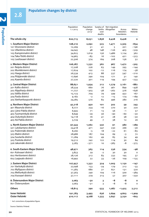# **2.8 Population changes by district**

|                                 | Population<br>1.1.2015 | Population<br>change<br>2014 <sup>1</sup> | over<br>deaths | Surplus of Net migration<br>births Altogether | Across<br>Helsinki's<br>boundaries | Within<br>Helsinki |
|---------------------------------|------------------------|-------------------------------------------|----------------|-----------------------------------------------|------------------------------------|--------------------|
| The whole city                  | 620,715                | 8,051                                     | 1,858          | 6,428                                         | 6,428                              | $\mathbf{o}$       |
| 1. Southern Major District      | 108,210                | 2,092                                     | 525            | 1,471                                         | 2,305                              | -834               |
| 101 Vironniemi district         | 12,269                 | 51                                        | 41             | 5                                             | 201                                | -196               |
| 102 Ullanlinna district         | 24,045                 | 48                                        | 148            | $-126$                                        | 403                                | $-529$             |
| 103 Kampinmalmi district        | 34,625                 | 1,619                                     | 156            | 1,486                                         | 1,124                              | 362                |
| 104 Taka-Töölö district         | 14,965                 | $-83$                                     | 16             | $-102$                                        | 421                                | $-523$             |
| 105 Lauttasaari district        | 22,306                 | 374                                       | 164            | 208                                           | 156                                | 52                 |
| 2. Western Major District       | 106,287                | 1,332                                     | 362            | 967                                           | 1,472                              | -505               |
| 201 Reijola district            | 17,208                 | 226                                       | 63             | 149                                           | 293                                | $-144$             |
| 202 Munkkiniemi district        | 17,624                 | 102                                       | $-12$          | 116                                           | 174                                | $-58$              |
| 203 Haaga district              | 26,539                 | 413                                       | 88             | 337                                           | 547                                | $-210$             |
| 204 Pitäjänmäki district        | 17,696                 | 290                                       | 104            | 171                                           | 31                                 | 140                |
| 205 Kaarela district            | 27,220                 | 301                                       | 119            | 194                                           | 427                                | $-233$             |
| 3. Central Major District       | 88,651                 | 1,934                                     | 212            | 1,279                                         | 2,161                              | -882               |
| 301 Kallio district             | 28,334                 | 660                                       | 76             | 461                                           | 899                                | $-438$             |
| 302 Alppiharju district         | 11,727                 | $-303$                                    | -38            | $-262$                                        | 376                                | $-638$             |
| 303 Vallila district            | 15,123                 | 704                                       | 79             | 599                                           | 432                                | 167                |
| 304 Pasila district             | 9,182                  | $-2$                                      | 12             | $-15$                                         | 174                                | $-189$             |
| 305 Vanhankaupunki district     | 24,285                 | 570                                       | 83             | 496                                           | 280                                | 216                |
| 4. Northern Major District      | 42,218                 | 450                                       | 101            | 302                                           | 59                                 | 243                |
| 401 Maunula district            | 8,777                  | 254                                       | $-16$          | 270                                           | 50                                 | 220                |
| 402 Länsi-Pakila district       | 6,945                  | 71                                        | 13             | 56                                            | $-1$                               | 57                 |
| 403 Tuomarinkylä district       | 8,649                  | $-29$                                     | 56             | $-90$                                         | $-60$                              | $-30$              |
| 404 Oulunkylä district          | 14,118                 | 76                                        | 41             | 28                                            | 58                                 | $-30$              |
| 405 Itä-Pakila district         | 3,729                  | 49                                        | 7              | 38                                            | 12                                 | 26                 |
| 5. North-Eastern Major District | 97,543                 | 1,062                                     | 550            | 91                                            | 380                                | -289               |
| 501 Latokartano district        | 24,418                 | 471                                       | 247            | 230                                           | 266                                | -36                |
| 502 Pukinmäki district          | 8,260                  | $-5$                                      | 18             | $-22$                                         | 61                                 | $-83$              |
| 503 Malmi district              | 28,986                 | 187                                       | 104            | 69                                            | $-3$                               | 72                 |
| 504 Suutarila district          | 11,284                 | 162                                       | 49             | 83                                            | 34                                 | 49                 |
| 505 Puistola district           | 19,312                 | 242                                       | 122            | 114                                           | 30                                 | 84                 |
| 506 Jakomäki district           | 5,283                  | $-371$                                    | 10             | $-383$                                        | -8                                 | $-375$             |
| 6. South-Eastern Major District | 48,971                 | 363                                       | 114            | 236                                           | 334                                | -98                |
| 601 Kulosaari district          | 3,853                  | 29                                        | $-2$           | 30                                            | 30                                 | o                  |
| 602 Herttoniemi district        | 28,126                 | 312                                       | 83             | 232                                           | 195                                | 37                 |
| 603 Laajasalo district          | 16,992                 | 22                                        | 33             | $-26$                                         | 109                                | $-135$             |
| 7. Eastern Major District       | 107,957                | 1,352                                     | 324            | 1,003                                         | 1,150                              | -147               |
| 701 Vartiokylä district         | 22,098                 | 153                                       | $-24$          | 179                                           | 212                                | $-33$              |
| 702 Myllypuro district          | 11,385                 | 680                                       | 31             | 651                                           | 131                                | 520                |
| 703 Mellunkylä district         | 37,363                 | 240                                       | 104            | 116                                           | 500                                | $-384$             |
| 704 Vuosaari district           | 37,111                 | 279                                       | 213            | 57                                            | 307                                | $-250$             |
| 8. Östersundom Major District   | 2,063                  | -30                                       | 3              | -8                                            | $-8$                               | o                  |
| 801 Östersundom                 | 2,063                  | $-31$                                     | 3              | $-8$                                          | $-8$                               | o                  |
| Others                          | 18,815                 | 290                                       | $-333$         | 1,087                                         | $-1,425$                           | 2,512              |
| Inner Helsinki                  | 191,783                | 3,493                                     | 636            | 2,694                                         | 4,603                              | $-1,909$           |
| <b>Outer Helsinki</b>           | 410,117                | 4,268                                     | 1,555          | 2,647                                         | 3,250                              | $-603$             |

<sup>1</sup> Incl. corrections of population figure.

Source: Statistics Finland.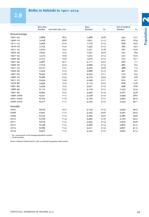### **Births in Helsinki in 1901–2014**

### **2.9**

|                | Born alive<br>Number | Live birth rate, o/oo1 | Boys<br>Number | $\frac{0}{2}$ | Out of wedlock<br>Number | $\frac{9}{6}$ <sup>2</sup> |
|----------------|----------------------|------------------------|----------------|---------------|--------------------------|----------------------------|
| Annual average |                      |                        |                |               |                          |                            |
| $1901 - 05$    | 2,889                | 28.5                   | 1,468          | 50.8          | 453                      | 15.7                       |
| 1906-10        | 3,558                | 28.8                   | 1,831          | 51.5          | 603                      | 16.9                       |
| $1911 - 15$    | 3,464                | 22.0                   | 1,776          | 51.3          | 658                      | 19.0                       |
| 1916-20        | 2,703                | 15.0                   | 1,393          | 51.5          | 385                      | 14.2                       |
| $1921 - 25$    | 2,610                | 13.3                   | 1,351          | 51.8          | 261                      | 10.0                       |
| 1926-30        | 2,652                | 12.2                   | 1,341          | 50.6          | 237                      | 8.9                        |
| $1931 - 35$    | 2,575                | 10.6                   | 1,322          | 51.3          | 257                      | 10.0                       |
| 1936-40        | 3,722                | 13.6                   | 1,916          | 51.5          | 375                      | 10.1                       |
| $1941 - 45$    | 5,987                | 20.1                   | 3,111          | 52.0          | 462                      | 7.7                        |
| 1946-50        | 7,723                | 22.4                   | 3,969          | 51.4          | 485                      | 6.3                        |
| $1951 - 55$    | 6,731                | 17.2                   | 3,420          | 50.8          | 488                      | 7.3                        |
| 1956-60        | 7,505                | 17.3                   | 3,868          | 51.5          | 491                      | 6.5                        |
| $1961 - 65$    | 8,492                | 17.6                   | 4,343          | 51.1          | 510                      | 6.0                        |
| 1966-70        | 8,389                | 15.9                   | 4,274          | 50.9          | 569                      | 6.8                        |
| $1971 - 75$    | 6,454                | 12.6                   | 3,299          | 51.1          | 625                      | 9.7                        |
| 1976-80        | 5,994                | 12.3                   | 3,114          | 52.0          | 828                      | 13.8                       |
| $1981 - 85$    | 5,939                | 12.3                   | 3,031          | 51.0          | 998                      | 16.8                       |
| 1986-90        | 6,110                | 12.5                   | 3,129          | 51.2          | 1,553                    | 25.4                       |
| $1991 - 95$    | 6,692                | 13.2                   | 3,440          | 51.4          | 2,261                    | 33.8                       |
| 1996-2000      | 6,351                | 11.7                   | 3,238          | 51.0          | 2,449                    | 38.6                       |
| 2001-2005      | 6,163                | 11.0                   | 3,156          | 51.2          | 2,463                    | 40.0                       |
| 2006-2010      | 6,377                | 11.1                   | 3,254          | 51.0          | 2,554                    | 40.1                       |
| Annually       |                      |                        |                |               |                          |                            |
| 2007           | 6,079                | 10.7                   | 3,154          | 51.9          | 2,434                    | 40.0                       |
| 2008           | 6,407                | 11.2                   | 3,242          | 50.6          | 2,591                    | 40.4                       |
| 2009           | 6,533                | 11.3                   | 3,264          | 50.0          | 2,585                    | 39.6                       |
| 2010           | 6,709                | 11.4                   | 3,463          | 51.6          | 2,700                    | 40.2                       |
| 2011           | 6,619                | 11.2                   | 3,405          | 51.4          | 2,634                    | 39.8                       |
| 2012           | 6,748                | 11.3                   | 3,466          | 51.4          | 2,803                    | 41.5                       |
| 2013           | 6,789                | 11.2                   | 3,521          | 51.9          | 2,807                    | 41.3                       |
| 2014           | 6,907                | 11.2                   | 3,520          | 51.0          | 2,850                    | 41.3                       |

 $1$  Per 1,000 persons in the average population number.<br> $2$  Of all live births.

Source: Statistics Finland and for 1986–93 Helsinki's population data system.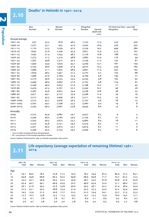#### **Deaths1 in Helsinki in 1901–2014**

**2.10**

|                | Men                             |               | Women  |               | Altogether |                                            | Of which less than 1 year olds |      |
|----------------|---------------------------------|---------------|--------|---------------|------------|--------------------------------------------|--------------------------------|------|
|                | Number                          | $\frac{0}{0}$ | Number | $\frac{0}{0}$ | Number     | General<br>death rate<br>0/00 <sup>2</sup> | Altogether                     | Boys |
| Annual average |                                 |               |        |               |            |                                            |                                |      |
| $1901 - 05$    | 937                             | 53.5          | 816    | 46.5          | 1,753      | 17.3                                       | 550                            | 300  |
| 1906-10        | 1,077                           | 53.1          | 953    | 47.0          | 2,030      | 16.4                                       | 556                            | 302  |
| $1911 - 15$    | 1,170                           | 52.5          | 1,059  | 47.5          | 2,229      | 14.2                                       | 499                            | 280  |
| 1916-20        | 1,642                           | 57.6          | 1,209  | 42.4          | 2,851      | 15.9                                       | 313                            | 167  |
| $1921 - 25$    | 1,092                           | 51.4          | 1,035  | 48.7          | 2,126      | 10.8                                       | 188                            | 103  |
| 1926-30        | 1,373                           | 51.2          | 1,310  | 48.8          | 2,683      | 12.4                                       | 176                            | 94   |
| 1931-35        | 1,367                           | 49.8          | 1,377  | 50.2          | 2,744      | 11.2                                       | 147                            | 81   |
| 1936-40        | 1,940                           | 54.4          | 1,630  | 45.7          | 3,569      | 13.1                                       | 181                            | 104  |
| $1941 - 45$    | 2,703                           | 58.6          | 1,908  | 41.4          | 4,610      | 15.5                                       | 339                            | 185  |
| 1946-50        | 1,989                           | 51.1          | 1,902  | 48.9          | 3,891      | 11.3                                       | 342                            | 192  |
| $1951 - 55$    | 1,829                           | 48.5          | 1,941  | 51.5          | 3,770      | 9.7                                        | 150                            | 88   |
| 1956-60        | 1,986                           | 47.6          | 2,184  | 52.4          | 4,169      | 9.6                                        | 140                            | 77   |
| $1961 - 65$    | 2,210                           | 46.6          | 2,533  | 53.4          | 4,743      | 9.8                                        | 163                            | 93   |
| 1966-70        | 2,499                           | 48.4          | 2,663  | 51.6          | 5,162      | 9.8                                        | 124                            | 67   |
| $1971 - 75$    | 2,546                           | 49.0          | 2,653  | 51.0          | 5,198      | 10.2                                       | 71                             | 43   |
| 1976-80        | 2,479                           | 47.3          | 2,761  | 52.7          | 5,240      | 10.7                                       | 46                             | 26   |
| $1981 - 85$    | 2,387                           | 45.6          | 2,852  | 54.4          | 5,238      | 10.8                                       | 38                             | 23   |
| 1986-90        | 2,471                           | 44.1          | 3,127  | 55.9          | 5,598      | 11.4                                       | 34                             | 19   |
| 1991-95        | 2,312                           | 43.5          | 2,999  | 56.5          | 5,311      | 10.5                                       | 33                             | 19   |
| 1996-2000      | 2,272                           | 43.7          | 2,926  | 56.3          | 5,197      | 9.6                                        | 28                             | 15   |
| 2001-2005      | 2,262                           | 44.7          | 2,798  | 55.3          | 5,060      | 9.0                                        | 19                             | 8    |
| 2006-2010      | 2,293                           | 46.2          | 2,667  | 53.8          | 4,959      | 8.6                                        | 15                             | 8    |
| Annually       |                                 |               |        |               |            |                                            |                                |      |
| 2009           | 2,275                           | 45.9          | 2,682  | 54.1          | 4,957      | 8.5                                        | 9                              | 3    |
| 2010           | 2,349                           | 46.0          | 2,760  | 54.0          | 5,109      | 8.7                                        | 21                             | 9    |
| 2011           | 2,305                           | 46.3          | 2,675  | 53.7          | 4,980      | 8.4                                        | 18                             | 11   |
| 2012           | 2,323                           | 45.8          | 2,751  | 54.2          | 5,074      | 8.5                                        | 17                             | 9    |
| 2013           | 2,301                           | 46.3          | 2,673  | 53.7          | 4,974      | 8.2                                        | 11                             | 6    |
| 2014           | 2,296                           | 45.5          | 2,753  | 54.5          | 5,049      | 8.2                                        | 17                             | 8    |
|                | the contract of the contract of | .             |        |               |            |                                            |                                |      |

1950 or earlier including all those de <sup>2</sup> Per 1,000 persons in the average population number.

Source: Statistics Finland and for 1986–93 Helsinki's population data system.

### **2.11**

### **Life expectancy (average expectation of remaining lifetime) 1981– 2014**

|         | $1981 - 85$ |      |       | $1991 - 95$ |      |       | $2001 - 05$ |      |       | $2010 - 14$ |      |       |
|---------|-------------|------|-------|-------------|------|-------|-------------|------|-------|-------------|------|-------|
|         | Total       | Men  | Women | Total       | Men  | Women | Total       | Men  | Women | Total       | Men  | Women |
| Age     |             |      |       |             |      |       |             |      |       |             |      |       |
| $\circ$ | 74.1        | 69.0 | 78.2  | 75.8        | 71.5 | 79.3  | 78.2        | 74.4 | 81.3  | 80.4        | 77.2 | 83.1  |
| 10      | 64.8        | 59.8 | 68.8  | 66.3        | 62.0 | 69.8  | 68.6        | 64.8 | 71.7  | 70.7        | 67.5 | 73.5  |
| 20      | 55.0        | 50.1 | 58.9  | 56.5        | 52.2 | 59.9  | 58.7        | 55.0 | 61.8  | 60.8        | 57.6 | 63.6  |
| 30      | 45.4        | 40.7 | 49.1  | 46.9        | 42.9 | 50.2  | 49.0        | 45.4 | 52.0  | 51.1        | 48.0 | 53.7  |
| 40      | 36.1        | 31.6 | 39.5  | 37.6        | 33.8 | 40.6  | 39.5        | 36.1 | 42.2  | 41.4        | 38.4 | 43.9  |
| 50      | 27.3        | 23.1 | 30.3  | 28.8        | 25.4 | 31.4  | 30.5        | 27.3 | 33.0  | 32.2        | 29.4 | 34.4  |
| 60      | 19.5        | 15.9 | 21.5  | 20.6        | 17.7 | 22.5  | 22.2        | 19.4 | 24.1  | 23.7        | 21.3 | 25.5  |
| 70      | 12.7        | 10.2 | 13.8  | 13.5        | 11.3 | 14.5  | 14.7        | 12.5 | 15.9  | 16.0        | 14.2 | 17.1  |
| 80      | 7.4         | 6.1  | 7.8   | 7.8         | 6.7  | 8.1   | 8.4         | 7.1  | 8.9   | 9.2         | 8.0  | 9.7   |
| 85      | 5.6         | 4.7  | 5.8   | 5.6         | 5.0  | 5.8   | 6.0         | 5.0  | 6.3   | 6.5         | 5.7  | 6.8   |

Source: Statistics Finland and for 1986-93 Helsinki's population data system.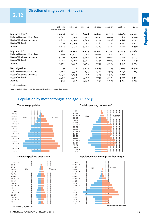### **2.12**

|                            | $1981 - 85$<br>Annual average | 1986-90  | 1991-95 | 1996-2000 | $2001 - 05$ | 2006-10  | 2014   |
|----------------------------|-------------------------------|----------|---------|-----------|-------------|----------|--------|
| Migrated from <sup>1</sup> | 21,916                        | 24,012   | 26,396  | 30,814    | 32,725      | 36,084   | 40,312 |
| Helsinki Metropolitan Area | 7,651                         | 7,782    | 9,163   | 9,511     | 10,643      | 10,609   | 12,558 |
| Rest of Uusimaa province   | 2,822                         | 3,009    | 3,854   | 4,193     | 4,498       | 4,638    | 5,051  |
| Rest of Finland            | 9,619                         | 10,694   | 9,663   | 13,780    | 13,292      | 14,457   | 15,273 |
| Abroad                     | 1,824                         | 2,079    | 3,643   | 3,329     | 4,292       | 6,380    | 7,430  |
| Migrated to <sup>1</sup>   | 21,887                        | 23,393   | 21,174  | 25,930    | 32,700      | 32,405   | 33,884 |
| Helsinki Metropolitan Area | 10,439                        | 10,320   | 9,997   | 10,833    | 13,559      | 12,767   | 13,301 |
| Rest of Uusimaa province   | 3,900                         | 4,462    | 3,867   | 4,718     | 6,006       | 5,724    | 5,027  |
| <b>Rest of Finland</b>     | 6,067                         | 6,766    | 5,945   | 7,744     | 10,019      | 10,608   | 10,909 |
| Abroad                     | 1,481                         | 1,352    | 1,365   | 2,635     | 3,117       | 3,306    | 4,647  |
| Net migration <sup>1</sup> | 29                            | 619      | 5,222   | 4,883     | 25          | 3,679    | 6,428  |
| Helsinki Metropolitan Area | $-2,788$                      | $-2,538$ | $-835$  | $-1,321$  | $-2,915$    | $-2,158$ | $-743$ |
| Rest of Uusimaa province   | -1,078                        | $-1,453$ | $-12$   | $-525$    | $-1,507$    | -1,086   | 24     |
| <b>Rest of Finland</b>     | 3,552                         | 3,928    | 3,718   | 6,035     | 3,272       | 3,848    | 4,364  |
| Abroad                     | 343                           | 727      | 2,278   | 694       | 1,175       | 3,074    | 2,783  |
|                            |                               |          |         |           |             |          |        |

<sup>1</sup> Incl. area unknown.

Source: Statistics Finland and for 1986–93 Helsinki's population data system.

### **Population by mother tongue and age 1.1.2015**





#### **The whole population Finnish-speaking population**<sup>1</sup>



#### **Swedish-speaking population Population with a foreign mother tongue** 35 000 15 000 0 15 000 35 000



Source: Statistics Finland.

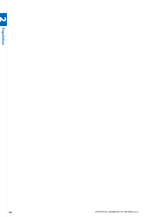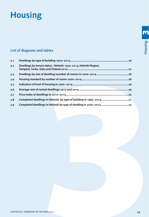# **Housing**

### **List of diagrams and tables**

| 3.1 |                                                                  |
|-----|------------------------------------------------------------------|
| 3.2 | Dwellings by tenure status: Helsinki 1950-2014, Helsinki Region, |
| 3.3 |                                                                  |
| 3.4 |                                                                  |
| 3.5 |                                                                  |
| 3.6 |                                                                  |
| 3.7 |                                                                  |
| 3.8 |                                                                  |
| 3.9 |                                                                  |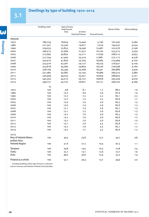**3.1**

**Housing**

 $\boldsymbol{\omega}$ 

|                         | Dwellings total <sup>1</sup> | Type of house<br>Small houses<br>Total | of which        |                        | <b>Blocks of flats</b> | Other buildings |
|-------------------------|------------------------------|----------------------------------------|-----------------|------------------------|------------------------|-----------------|
|                         |                              |                                        | Detached houses | <b>Terraced houses</b> |                        |                 |
| Helsinki                |                              |                                        |                 |                        |                        |                 |
| 1970                    | 189,734                      | 18,634                                 | 15,444          | 3,190                  | 167,430                | 3,060           |
| 1980                    | 221,341                      | 22,540                                 | 14,621          | 7,919                  | 194,547                | 4,254           |
| 1990                    | 259,033                      | 32,833                                 | 19,346          | 13,487                 | 220,376                | 5,746           |
| 2000                    | 296,013                      | 37,664                                 | 21,472          | 16,192                 | 253,315                | 5,034           |
| 2005                    | 313,695                      | 40,850                                 | 23,211          | 17,639                 | 268,212                | 4,633           |
| 2006                    | 317,745                      | 41,400                                 | 23,519          | 17,881                 | 272,117                | 4,228           |
| 2007                    | 320,410                      | 41,826                                 | 23,743          | 18,083                 | 274,484                | 4,100           |
| 2008                    | 323,416                      | 42,381                                 | 24,127          | 18,254                 | 276,931                | 4,104           |
| 2009                    | 325,818                      | 43,060                                 | 24,804          | 18,256                 | 278,598                | 4,160           |
| 2010                    | 328,164                      | 43,349                                 | 25,008          | 18,341                 | 280,886                | 3,929           |
| 2011                    | 331,485                      | 43,682                                 | 25,193          | 18,489                 | 284,323                | 3,480           |
| 2012                    | 336,409                      | 44,055                                 | 25,451          | 18,604                 | 288,603                | 3,751           |
| 2013                    | 342,303                      | 45,015                                 | 26,137          | 18,878                 | 293,209                | 4,079           |
| 2014                    | 346,751                      | 45,732                                 | 26,601          | 19,131                 | 296,750                | 4,269           |
|                         | $\frac{0}{0}$                |                                        |                 |                        |                        |                 |
| 1970                    | 100                          | 9.8                                    | 8.1             | 1.7                    | 88.2                   | 1.6             |
| 1980                    | 100                          | 10.2                                   | 6.6             | 3.6                    | 87.9                   | 1.9             |
| 1990                    | 100                          | 12.7                                   | 7.5             | 5.2                    | 85.1                   | 2.2             |
| 2000                    | 100                          | 12.7                                   | 7.3             | 5.5                    | 85.6                   | 1.7             |
| 2005                    | 100                          | 13.0                                   | 7.4             | 5.6                    | 85.5                   | 1.5             |
| 2006                    | 100                          | 13.0                                   | 7.4             | 5.6                    | 85.6                   | 1.3             |
| 2007                    | 100                          | 13.1                                   | 7.4             | 5.6                    | 85.7                   | 1.3             |
| 2008                    | 100                          | 13.1                                   | 7.5             | 5.6                    | 85.6                   | 1.3             |
| 2009                    | 100                          | 13.2                                   | 7.6             | 5.6                    | 85.5                   | 1.3             |
| 2010                    | 100                          | 13.2                                   | 7.6             | 5.6                    | 85.6                   | 1.2             |
| 2011                    | 100                          | 13.2                                   | 7.6             | 5.6                    | 85.8                   | 1.0             |
| 2012                    | 100                          | 13.1                                   | 7.6             | 5.5                    | 85.8                   | 1.1             |
| 2013                    | 100                          | 13.2                                   | 7.6             | 5.5                    | 85.7                   | 1.2             |
| 2014                    | 100                          | 13.2                                   | 7.7             | 5,5                    | 85.6                   | 1.2             |
| 2014                    |                              |                                        |                 |                        |                        |                 |
| Rest of Helsinki Metro- | 100                          | 39.5                                   | 25.8            | 13.7                   | 59.7                   | 0.8             |
| politan Area            |                              |                                        |                 |                        |                        |                 |
| Helsinki Region         | 100                          | 31.6                                   | 21.2            | 10.4                   | 67.3                   | 1.1             |
| Tampere                 | 100                          | 24.8                                   | 14.5            | 10.3                   | 72.8                   | 2.4             |
| Turku                   | 100                          | 25.7                                   | 13.1            | 12.6                   | 72.7                   | 1.6             |
| Oulu                    | 100                          | 46.0                                   | 30.6            | 15.4                   | 52.5                   | 1.4             |
| Finland as a whole      | 100                          | 53.1                                   | 39.4            | 13.7                   | 44.9                   | 2.0             |

 $^{\rm +}$  Including dwellings whose type of house is unknown.

Source: Censuses and Statistics Finland's Area Data Base.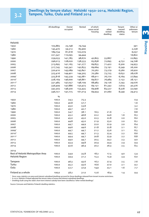### **3.2**

### **Dwellings by tenure status: Helsinki 1950–2014, Helsinki Region, Tampere, Turku, Oulu and Finland 2014**

|                                    | All dwellings | Owner<br>occupied | Rented  | of which<br>arava social<br>housing | other<br>rented<br>dwelling | Tenant-<br>owned<br>dwelling<br>status | Other or<br>unknown<br>tenure |
|------------------------------------|---------------|-------------------|---------|-------------------------------------|-----------------------------|----------------------------------------|-------------------------------|
| Helsinki                           |               |                   |         |                                     |                             |                                        |                               |
| 1950                               | 105,883       | 25,748            | 79,744  |                                     |                             |                                        | 391                           |
| 1960                               | 145,470       | 59,312            | 83,900  |                                     |                             |                                        | 2,258                         |
| 1970                               | 189,734       | 81,618            | 102,079 |                                     |                             |                                        | 6,037                         |
| 1980                               | 221,341       | 110,095           | 94,444  |                                     |                             |                                        | 16,802                        |
| 1990                               | 259,033       | 141,785           | 98,670  | 42,803                              | 55,867                      |                                        | 22,893                        |
| 2000                               | 296,013       | 128,020           | 138,533 | 65,838                              | 72,695                      | 4,752                                  | 24,708                        |
| 2005                               | 313,695       | 141,165           | 141,277 | 69,855                              | 71,422                      | 6,300                                  | 24,953                        |
| 2006                               | 317,745       | 142,341           | 142,855 | 69,664                              | 73,191                      | 6,349                                  | 26,200                        |
| 2007                               | 320,410       | 143,089           | 143,841 | 70,562                              | 73,279                      | 6,560                                  | 26,920                        |
| 2008                               | 323,416       | 144,401           | 144,305 | 70,580                              | 73,725                      | 6,632                                  | 28,078                        |
| 2009 <sup>1</sup>                  | 325,818       | 145,529           | 145,681 | 68,911                              | 76,770                      | 6,764                                  | 27,844                        |
| $2010^2$                           | 328,164       | 146,000           | 146,861 | 69,877                              | 76,984                      | 7,152                                  | 28,151                        |
| 2011 <sup>3</sup>                  | 331,485       | 147,057           | 148,109 | 68,983                              | 79,126                      | 7,243                                  | 29,076                        |
| 2012                               | 336,409       | 147,886           | 150,473 | 69,131                              | 81,342                      | 7,674                                  | 30,376                        |
| 2013                               | 342,303       | 148,500           | 153,435 | 69,908                              | 83,527                      | 8,328                                  | 32,040                        |
| 2014                               | 346,751       | 147,775           | 161,014 | 69,954                              | 91,060                      | 8,549                                  | 29,413                        |
|                                    | $\frac{0}{0}$ |                   |         |                                     |                             |                                        |                               |
| 1950                               | 100.0         | 24.3              | 75.3    |                                     |                             |                                        | 0.4                           |
| 1960                               | 100.0         | 40.8              | 57.7    |                                     |                             |                                        | 1.6                           |
| 1970                               | 100.0         | 43.0              | 53.8    |                                     |                             |                                        | 3.2                           |
| 1980                               | 100.0         | 49.7              | 42.7    |                                     |                             |                                        | 7.6                           |
| 1990                               | 100.0         | 54.7              | 38.1    | 16.5                                | 21.6                        | $\ddotsc$                              | 8.8                           |
| 2000                               | 100.0         | 43.2              | 46.8    | 22.2                                | 24.6                        | 1.6                                    | 8.3                           |
| 2005                               | 100.0         | 45.0              | 45.0    | 22.3                                | 22.8                        | 2.0                                    | 8.0                           |
| 2006                               | 100.0         | 44.8              | 45.0    | 21.9                                | 23.0                        | 2.0                                    | 8.2                           |
| 2007                               | 100.0         | 44.7              | 44.9    | 22.0                                | 22.9                        | 2.0                                    | 8.4                           |
| 2008                               | 100.0         | 44.6              | 44.6    | 21.8                                | 22.8                        | 2.1                                    | 8.7                           |
| 2009 <sup>1</sup>                  | 100.0         | 44.7              | 44.7    | 21.2                                | 23.6                        | 2.1                                    | 8.5                           |
| $2010^2$                           | 100.0         | 44.5              | 44.7    | 21.3                                | 23.4                        | 2.2                                    | 8.6                           |
| 2011 <sup>3</sup>                  | 100.0         | 44.4              | 44.7    | 20.8                                | 23.9                        | 2.2                                    | 8.8                           |
| 2012                               | 100.0         | 44.0              | 44.7    | 20.5                                | 24.2                        | 2.3                                    | 9.0                           |
| 2013                               | 100.0         | 43.4              | 44.8    | 20.4                                | 24.4                        | 2.4                                    | 9.4                           |
| 2014                               | 100.0         | 42.6              | 46.4    | 20.2                                | 26.3                        | 2.5                                    | 8.5                           |
| 2014                               |               |                   |         |                                     |                             |                                        |                               |
| Rest of Helsinki Metropolitan Area | 100.0         | 54.9              | 35.8    | 18.2                                | 17.5                        | 4.0                                    | 5.4                           |
| Helsinki Region                    | 100.0         | 59.4              | 31.2    | 15.3                                | 15.9                        | 3.4                                    | 6.0                           |
| Tampere                            | 100.0         | 46.3              | 43.6    | 16.2                                | 27.4                        | 2.5                                    | 7.6                           |
| Turku                              | 100.0         | 45.2              | 43.6    | 16.6                                | 27.0                        | 2.1                                    | 9.2                           |
| Oulu                               | 100.0         | 52.7              | 37,9    | 14,9                                | 23.1                        | 1.6                                    | 7.7                           |
| Finland as a whole                 | 100,0         | 58.2              | 31.0    | 12.6                                | 18.4                        | 1.4                                    | 9.4                           |

Since 2009, statistics on arava and interest-subsidised dwellings account for those dwellings released from tenant income restrictions.

In 2010, Statistics Finland adjusted the tenure status of arava and interest-subsidised dwellings.

<sup>3</sup> Dwellings built using the state's short-term interest subsidy have been classified as "other rented dwellings".

Source: Censuses and Statistics Finland's dwelling statistics.

**Housing**

**m**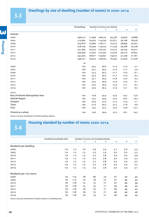### **Dwellings by size of dwelling (number of rooms) in 2000–2014**

**3.3**

**Housing**

 $\omega$ 

|                                    | All dwellings |        | Number of rooms, excl. kitchen |        |        |        |
|------------------------------------|---------------|--------|--------------------------------|--------|--------|--------|
|                                    |               | 1      | $\overline{2}$                 | 3      | 4      | $5 -$  |
| Helsinki                           |               |        |                                |        |        |        |
| 2000                               | 296,013       | 71,996 | 108,225                        | 63,378 | 33,856 | 16,888 |
| 2005                               | 313,695       | 74,262 | 114,330                        | 67,671 | 36,798 | 18,558 |
| 2009                               | 325,818       | 75,846 | 118,211                        | 70,723 | 38,999 | 20,037 |
| 2010                               | 328,164       | 76,349 | 119,025                        | 71,259 | 39,268 | 20,228 |
| 2011                               | 331,485       | 76,523 | 120,537                        | 72,273 | 39,759 | 20,417 |
| 2012                               | 336,409       | 77,403 | 122,503                        | 73,526 | 40,316 | 20,652 |
| 2013                               | 342,303       | 78,671 | 124,641                        | 74,975 | 41,258 | 21,181 |
| 2014                               | 346,751       | 79,622 | 126,005                        | 76,043 | 41,956 | 21,478 |
|                                    | $\frac{0}{0}$ |        |                                |        |        |        |
| 2000                               | 100           | 24.3   | 36.6                           | 21.4   | 11.4   | 5.7    |
| 2005                               | 100           | 23.7   | 36.4                           | 21.6   | 11.7   | 5.9    |
| 2009                               | 100           | 23.3   | 36.3                           | 21.7   | 12.0   | 6.1    |
| 2010                               | 100           | 23.3   | 36.3                           | 21.7   | 12.0   | 6.2    |
| 2011                               | 100           | 23.1   | 36.4                           | 21.8   | 12.0   | 6.2    |
| 2012                               | 100           | 23.0   | 36.4                           | 21.9   | 12.0   | 6.1    |
| 2013                               | 100           | 23.0   | 36.4                           | 21.9   | 12.1   | 6.2    |
| 2014                               | 100           | 23.0   | 36.3                           | 21.9   | 12.1   | 6.2    |
| 2014                               |               |        |                                |        |        |        |
| Rest of Helsinki Metropolitan Area | 100           | 10.8   | 30.4                           | 25.6   | 19.2   | 13.6   |
| Helsinki Region                    | 100           | 14.3   | 29.9                           | 22.4   | 18.2   | 14.3   |
| Tampere                            | 100           | 20.9   | 37.0                           | 21.5   | 12.4   | 7.1    |
| Turku                              | 100           | 21.6   | 36.5                           | 22.7   | 11.8   | 6.6    |
| Oulu                               | 100           | 14.3   | 32.2                           | 22.0   | 15.8   | 15.2   |
| Finland as a whole                 | 100           | 14.6   | 29.9                           | 22.2   | 18.1   | 14.3   |
|                                    |               |        |                                |        |        |        |

Source: Censuses and Statistics Finland's dwelling statistics.

### **Housing standard by number of rooms 2000–2014**

**3.4**

|                         | Dwelling households total |     | Number of rooms not including kitchen |     |     |     |     |       |  |
|-------------------------|---------------------------|-----|---------------------------------------|-----|-----|-----|-----|-------|--|
|                         |                           | 1   | $\overline{\mathbf{2}}$               | 3   | 4   | 5   | 6   | $7 -$ |  |
| Residents per dwelling  |                           |     |                                       |     |     |     |     |       |  |
| 2000                    | 1.9                       | 1.2 | 1.6                                   | 2.4 | 2.9 | 3.1 | 3.0 | 3.3   |  |
| 2005                    | 1.9                       | 1.2 | 1.5                                   | 2.3 | 2.9 | 3.0 | 3.0 | 3.3   |  |
| 2010                    | 1.9                       | 1.2 | 1.5                                   | 2.2 | 2.8 | 3.0 | 3.0 | 3.4   |  |
| 2011                    | 1.9                       | 1.2 | 1.5                                   | 2.2 | 2.8 | 3.0 | 2.9 | 3.2   |  |
| 2012                    | 1.9                       | 1.2 | 1.5                                   | 2.2 | 2.8 | 3.0 | 2.9 | 3.2   |  |
| 2013                    | 1.9                       | 1.2 | 1.5                                   | 2.2 | 2.8 | 3.0 | 3.0 | 3.2   |  |
| 2014                    | 1.9                       | 1.2 | 1.5                                   | 2.3 | 2.8 | 3.0 | 2.9 | 3.1   |  |
| Residents per 100 rooms |                           |     |                                       |     |     |     |     |       |  |
| 2000                    | 79                        | 119 | 78                                    | 80  | 74  | 61  | 50  | 43    |  |
| 2005                    | 76                        | 115 | 75                                    | 76  | 72  | 61  | 49  | 43    |  |
| 2010                    | 76                        | 118 | 75                                    | 75  | 71  | 61  | 49  | 44    |  |
| 2011                    | 76                        | 118 | 75                                    | 75  | 71  | 60  | 49  | 43    |  |
| 2012                    | 76                        | 118 | 76                                    | 75  | 71  | 60  | 49  | 42    |  |
| 2013                    | 76                        | 118 | 76                                    | 75  | 71  | 60  | 49  | 46    |  |
| 2014                    | 76                        | 118 | 76                                    | 75  | 71  | 60  | 49  | 45    |  |

Source: Censuses and Statistics Finland's statistics on dwelling stock.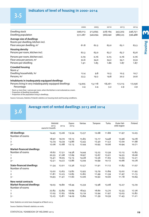**3.5**

|                                                                                                 | 2000    | 2005    | 2010    | 2013    | 2014    |
|-------------------------------------------------------------------------------------------------|---------|---------|---------|---------|---------|
| Dwelling stock                                                                                  | 296,013 | 313,695 | 328,164 | 342,303 | 346,751 |
| Dwelling population                                                                             | 531,287 | 540,094 | 566,040 | 588,525 | 596,488 |
| Average size of dwellings<br>Rooms per dwelling, kitchen incl.<br>Floor area per dwelling, $m2$ | 61.8    | 62.3    | 63.0    | 63.1    | 63.3    |
| <b>Housing density</b>                                                                          |         |         |         |         |         |
| Persons per room, kitchen incl.                                                                 | 62.3    | 63.0    | 63.7    | 63.7    | 63.6    |
| Persons per room, kitchen excl.                                                                 | 0.79    | 0.76    | 0.75    | 0.76    | 0.76    |
| Floor area per person, $m2$                                                                     | 32.6    | 34.0    | 34.2    | 34.1    | 33.9    |
| Persons per dwelling                                                                            | 1.91    | 1.85    | 1.86    | 1.87    | 1.87    |
| <b>Crowded housing</b><br>Norm $4^1$                                                            |         |         |         |         |         |
| Dwelling households, % <sup>2</sup>                                                             | 12.4    | 9.8     | 10.3    | 10.5    | 10.7    |
| Persons, % <sup>3</sup>                                                                         | 23.3    | 19.2    | 19.8    | 20.2    | 20.6    |
| Inhabitants in inadequately equipped dwellings                                                  |         |         |         |         |         |
| Persons living in very indadequately equipped dwellings                                         | 13,005  | 13,118  | 18,261  | 17,213  | 17,036  |
| Percentage                                                                                      | 2.4     | 2.4     | 3.2     | 2.9     | 2.9     |
|                                                                                                 |         |         |         |         |         |

<sup>1</sup> Norm 4: more than 1 person per room, when the kitchen is not reckoned as a room.

<sup>2</sup> Proportion of dwelling households.<br><sup>3</sup> Proportion of the population living in dwellings.

Source: Censuses, Statistics Finland's statistics on housing stock and housing conditions.

# **3.6 Average rent of rented dwellings 2013 and <sup>2014</sup>**

|                                  | Helsinki                   |       | Espoo | Vantaa | Tampere | Turku | Outer Hel-   | Finland |
|----------------------------------|----------------------------|-------|-------|--------|---------|-------|--------------|---------|
|                                  | 2013                       | 2014  | 2014  |        |         |       | sinki region |         |
|                                  | euro/m <sup>2</sup> /month |       |       |        |         |       |              |         |
| All dwellings                    | 14.45                      | 15.06 | 13.34 | 13.37  | 12.68   | 11.86 | 11.97        | 12.03   |
| Number of rooms                  |                            |       |       |        |         |       |              |         |
| 1                                | 18.97                      | 19.70 | 16.15 | 15.85  | 15.17   | 14.48 | 13.96        | 14.78   |
| $\overline{2}$                   | 13.74                      | 14.29 | 13.86 | 13.43  | 12.30   | 11.52 | 12.00        | 11.68   |
| $3 -$                            | 12.06                      | 12.68 | 12.13 | 12.44  | 10.95   | 10.06 | 10.94        | 10.71   |
| <b>Market-financed dwellings</b> |                            |       |       |        |         |       |              |         |
| Number of rooms                  | 16.62                      | 17.31 | 14.58 | 14.44  | 13.25   | 12.39 | 12.15        | 12.83   |
| 1                                | 20.35                      | 21.08 | 17.69 | 16.97  | 15.67   | 15.01 | 14.55        | 16.06   |
| $\overline{2}$                   | 15.41                      | 16.05 | 15.15 | 14.28  | 12.56   | 11.63 | 12.03        | 12.21   |
| $3 -$                            | 13.51                      | 14.22 | 12.86 | 13.09  | 10.99   | 10.12 | 10.66        | 10.78   |
| State-financed dwellings         | 11.54                      | 12.01 | 12.36 | 12.57  | 11.91   | 11.12 | 11.83        | 11.07   |
| Number of rooms                  |                            |       |       |        |         |       |              |         |
| 1                                | 13.02                      | 13.63 | 13.82 | 13.93  | 13.79   | 12.84 | 13.02        | 11.95   |
| $\overline{2}$                   | 11.81                      | 12.25 | 12.85 | 12.82  | 11.99   | 11.39 | 11.97        | 11.13   |
| $3 -$                            | 10,93                      | 11.41 | 11.60 | 12.06  | 10.92   | 10.00 | 11.18        | 10.64   |
| <b>New rental contracts</b>      |                            |       |       |        |         |       |              |         |
| <b>Market-financed dwellings</b> | 19.03                      | 19.80 | 16.44 | 15.59  | 13.98   | 13.08 | 13.27        | 13.79   |
| Number of rooms                  |                            |       |       |        |         |       |              |         |
| 1                                | 22.83                      | 23.84 | 19.69 | 18.43  | 16.60   | 15.70 | 15.55        | 17.26   |
| $\overline{2}$                   | 17.03                      | 17.65 | 16.64 | 15.19  | 12.94   | 11.97 | 13.03        | 12.82   |
| $3-$                             | 15.25                      | 15.81 | 14.29 | 13.84  | 11.39   | 10.39 | 11.43        | 11.21   |
|                                  |                            |       |       |        |         |       |              |         |

Note: Statistics on rents have changed as of March 2013.

Source: Statistics Finland's statistics on rents.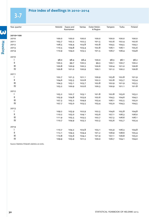### **3.7**

### **Price index of dwellings in 2010–2014**

| Year. quarter                    | Helsinki | Espoo and<br>Kauniainen | Vantaa | Outer Helsin-<br>ki Region | Tampere | Turku | Finland |
|----------------------------------|----------|-------------------------|--------|----------------------------|---------|-------|---------|
| 2010=100                         |          |                         |        |                            |         |       |         |
| 2010                             | 100.0    | 100.0                   | 100.0  | 100.0                      | 100.0   | 100.0 | 100.0   |
| 2011                             | 103.7    | 102.2                   | 102.5  | 101.5                      | 102.6   | 102.4 | 102.6   |
| 2012                             | 106.5    | 104.4                   | 103.8  | 102.8                      | 104.5   | 104.5 | 104.2   |
| 2013                             | 110.5    | 104.8                   | 103.4  | 102.8                      | 106.1   | 106.1 | 105.6   |
| 2014                             | 110.9    | 104.0                   | 103.5  | 101.5                      | 106.7   | 106.4 | 104.8   |
| 2010                             |          |                         |        |                            |         |       |         |
| $\mathbf{I}$                     | 98.0     | 98.4                    | 98.4   | 100.0                      | 98.3    | 98.1  | 98.2    |
| $\ensuremath{\mathsf{II}}$       | 100.5    | 99.7                    | 100.5  | 99.3                       | 100.1   | 100.7 | 100.2   |
| $\mathop{\text{III}}$            | 100.8    | 100.9                   | 100.3  | 100.6                      | 100.4   | 101.0 | 100.8   |
| ${\sf IV}$                       | 100.8    | 101.0                   | 100.9  | 100.1                      | 101.2   | 100.2 | 100.8   |
| 2011                             |          |                         |        |                            |         |       |         |
| $\mathbf{I}$                     | 102.7    | 101.3                   | 101.1  | 100.9                      | 103.8   | 102.8 | 101.9   |
| $\, \parallel$                   | 104.6    | 103.5                   | 102.8  | 102.2                      | 102.8   | 103.7 | 103.4   |
| $\mathop{\mathsf{III}}\nolimits$ | 104.3    | 103.1                   | 103.7  | 102.8                      | 102.9   | 101.9 | 103.3   |
| IV                               | 103.2    | 100.9                   | 102.6  | 100.3                      | 100.9   | 101.1 | 101.8   |
| 2012                             |          |                         |        |                            |         |       |         |
| $\mathbf{I}$                     | 105.2    | 102.7                   | 103.1  | 101.8                      | 102.8   | 103.6 | 103.2   |
| $\mathbf{I}$                     | 105.9    | 104.8                   | 103.9  | 102.6                      | 104.3   | 104.6 | 104.2   |
| $\mathop{\mathsf{III}}\nolimits$ | 107.3    | 105.2                   | 104.9  | 103.4                      | 106.1   | 105.5 | 105.0   |
| IV                               | 107.7    | 105.0                   | 103.5  | 103.4                      | 105.0   | 104.3 | 104.5   |
| 2013                             |          |                         |        |                            |         |       |         |
| T                                | 109.2    | 103.9                   | 102.9  | 102.5                      | 104.6   | 105.8 | 104.8   |
| $\ensuremath{\mathsf{II}}$       | 110.2    | 105.0                   | 104.1  | 103.6                      | 107.1   | 106.3 | 106.0   |
| $\mathop{\text{III}}$            | 111.9    | 105.5                   | 103.5  | 102.7                      | 107.3   | 106.6 | 106.1   |
| IV                               | 110.7    | 104.9                   | 103.2  | 102.3                      | 105.6   | 105.7 | 105.4   |
| 2014                             |          |                         |        |                            |         |       |         |
| T                                | 110.7    | 104.2                   | 103.8  | 103.1                      | 105.9   | 106.3 | 104.8   |
| $\mathbf l$                      | 112.1    | 104.3                   | 104.4  | 101.2                      | 106.9   | 108.6 | 105.4   |
| Ш                                | 110.8    | 103.6                   | 104.2  | 101.9                      | 107.1   | 106.8 | 105.0   |
| IV                               | 109.9    | 103.9                   | 101.5  | 100.0                      | 106.7   | 104.1 | 104.0   |

Source: Statistics Finland's statistics on rents.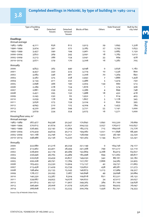# **2.8 Completed dwellings in Helsinki, by type of building in 1985–2014**

|                                                       | Type of building |                    |                                |                        |              | State financed | Built by the |  |
|-------------------------------------------------------|------------------|--------------------|--------------------------------|------------------------|--------------|----------------|--------------|--|
|                                                       | Total            | Detached<br>houses | Detached<br>terraced<br>houses | <b>Blocks of flats</b> | Others       | total          | city, total  |  |
| <b>Dwellings</b>                                      |                  |                    |                                |                        |              |                |              |  |
| Annual average                                        |                  |                    |                                |                        |              |                |              |  |
| 1985-1989                                             | 4,211            | 656                | 612                            | 2,913                  | 29           | 1,695          | 1,328        |  |
| 1990-1994                                             | 3,974            | 391                | 272                            | 3,285                  | 27           | 2,793          | 1,633        |  |
| 1995-1999                                             | 3,457            | 290                | 194                            | 2,961                  | 12           | 2,685          | 1,150        |  |
| 2000-2004                                             | 3,822            | 369                | 343                            | 3,091                  | 18           | 1,783          | 1,012        |  |
| 2005-2009                                             | 2,513            | 286                | 154                            | 2,041                  | 33           | 664            | 478          |  |
| 2010-2014                                             | 3,671            | 279                | 170                            | 3,206                  | 16           | 1,382          | 705          |  |
| Annually                                              |                  |                    |                                |                        |              |                |              |  |
| 2000                                                  | 4,853            | 365                | 440                            | 4,048                  | $\mathsf{o}$ | 2,656          | 1,182        |  |
| 2001                                                  | 4,457            | 350                | 323                            | 3,774                  | 10           | 1,536          | 800          |  |
| 2002                                                  | 3,083            | 346                | 461                            | 2,206                  | 70           | 1,364          | 892          |  |
| 2003                                                  | 3,582            | 375                | 258                            | 2,942                  | 7            | 1,886          | 1,458        |  |
| 2004                                                  | 3,134            | 411                | 232                            | 2,486                  | 5            | 1,474          | 730          |  |
| 2005                                                  | 2,698            | 366                | 190                            | 2,003                  | 139          | 660            | 513          |  |
| 2006                                                  | 2,289            | 278                | 134                            | 1,876                  | 1            | 574            | 306          |  |
| 2007                                                  | 2,881            | 259                | 233                            | 2,386                  | 4            | 899            | 748          |  |
| 2008                                                  | 2,451            | 295                | 150                            | 1,988                  | 18           | 432            | 418          |  |
| 2009                                                  | 2,245            | 230                | 62                             | 1,952                  | 1            | 614            | 403          |  |
| 2010                                                  | 2,059            | 178                | 69                             | 1,807                  | 5            | 1,178          | 345          |  |
| 2011                                                  | 3,656            | 273                | 159                            | 3,224                  | o            | 820            | 395          |  |
| 2012                                                  | 4,643            | 310                | 125                            | 4,204                  | 4            | 1,453          | 784          |  |
| 2013                                                  | 4,320            | 300                | 244                            | 3,721                  | 55           | 1,141          | 1,000        |  |
| 2014                                                  | 3,679            | 334                | 254                            | 3,075                  | 16           | 1,371          | 1,000        |  |
| Housing, floor area, m <sup>2</sup><br>Annual average |                  |                    |                                |                        |              |                |              |  |
| 1985-1989                                             | 287,477          | 64,596             | 50,347                         | 170,842                | 1,692        | 102,320        | 76,669       |  |
| 1990-1994                                             | 270,615          | 41,674             | 22,651                         | 204,233                | 2,057        | 176,917        | 102,637      |  |
| 1995-1999                                             | 236,495          | 33,142             | 17,364                         | 185,275                | 715          | 169,026        | 72,776       |  |
| 2000-2004                                             | 270,429          | 44,624             | 30,712                         | 194,082                | 1,021        | 111,898        | 68,390       |  |
| 2005-2009                                             | 191,168          | 35,796             | 15,351                         | 138,099                | 1,922        | 38,190         | 33,230       |  |
| 2010-2014                                             | 248,986          | 35,136             | 15,320                         | 197,363                | 1,144        | 82,771         | 52,241       |  |
| Annually                                              |                  |                    |                                |                        |              |                |              |  |
| 2000                                                  | 332,680          | 41,316             | 40,259                         | 251,149                | o            | 164,736        | 79,177       |  |
| 2001                                                  | 312,962          | 42,401             | 28,394                         | 241,368                | 799          | 101,517        | 52,110       |  |
| 2002                                                  | 228,900          | 42,179             | 40,589                         | 142,864                | 3,268        | 83,913         | 63,627       |  |
| 2003                                                  | 256,946          | 46,765             | 23,489                         | 185,998                | 694          | 121,062        | 96,877       |  |
| 2004                                                  | 220,658          | 50,459             | 20,827                         | 149,030                | 342          | 88,161         | 50,182       |  |
| 2005                                                  | 200,208          | 46,791             | 17,784                         | 127,767                | 7,866        | 34,585         | 32,905       |  |
| 2006                                                  | 163,433          | 35,330             | 12,904                         | 115,157                | 42           | 29,731         | 21,663       |  |
| 2007                                                  | 215,458          | 31,429             | 23,739                         | 159,852                | 438          | 48,581         | 51,573       |  |
| 2008                                                  | 198,464          | 35,135             | 15,243                         | 146,873                | 1,213        | 27,989         | 29,327       |  |
| 2009                                                  | 178,277          | 30,293             | 7,087                          | 140,848                | 49           | 39,698         | 30,684       |  |
| 2010                                                  | 140,330          | 23,387             | 6,304                          | 109,818                | 821          | 67,521         | 26,132       |  |
| 2011                                                  | 239,687          | 34,955             | 14,076                         | 190,622                | 34           | 47,017         | 30,037       |  |
| 2012                                                  | 301,813          | 40,157             | 11,907                         | 249,365                | 384          | 81,100         | 54,658       |  |
| 2013                                                  | 296,490          | 36,006             | 21,079                         | 236,362                | 3,043        | 69,925         | 76,047       |  |
| 2014                                                  | 266,608          | 41,173             | 23,235                         | 200,764                | 1,436        | 82,791         | 74,333       |  |

Source: City of Helsinki Urban Facts.

**Housing**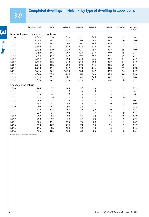### **Completed dwellings in Helsinki by type of dwelling in 2000–2014**

|        | New dwellings |
|--------|---------------|
|        | 2000          |
|        | 2001          |
| Housin | 2002          |
|        | 2003          |
|        | 2004          |
| œ      | 2005          |
|        | 2006          |
|        | 2007          |
|        |               |

|      | Dwellings total                           | 1 room | 2 rooms | 3 rooms | 4 rooms        | 5 rooms     | 6 rooms                 | Average<br>size, m <sup>2</sup> |
|------|-------------------------------------------|--------|---------|---------|----------------|-------------|-------------------------|---------------------------------|
|      | New dwellings and extensions to dwellings |        |         |         |                |             |                         |                                 |
| 2000 | 4,853                                     | 629    | 1,875   | 1,170   | 856            | 280         | 43                      | 68.2                            |
| 2001 | 4,457                                     | 434    | 1,723   | 1,291   | 690            | 243         | 76                      | 69.6                            |
| 2002 | 3,083                                     | 442    | 997     | 799     | 586            | 198         | 61                      | 73.7                            |
| 2003 | 3,582                                     | 475    | 1,372   | 834     | 572            | 255         | 74                      | 71.3                            |
| 2004 | 3,134                                     | 409    | 1,172   | 830     | 490            | 178         | 55                      | 69.6                            |
| 2005 | 2,697                                     | 344    | 966     | 632     | 510            | 180         | 65                      | 74.2                            |
| 2006 | 2,289                                     | 367    | 832     | 492     | 406            | 141         | 51                      | 71.4                            |
| 2007 | 2,881                                     | 520    | 804     | 734     | 575            | 184         | 64                      | 74.8                            |
| 2008 | 2,451                                     | 202    | 842     | 712     | 502            | 129         | 64                      | 81.0                            |
| 2009 | 2,245                                     | 202    | 688     | 679     | 446            | 162         | 68                      | 79.4                            |
| 2010 | 2,059                                     | 411    | 747     | 500     | 246            | 122         | 33                      | 68.2                            |
| 2011 | 3,656                                     | 580    | 1,495   | 922     | 447            | 158         | 54                      | 65.7                            |
| 2012 | 4,643                                     | 885    | 1,796   | 1,183   | 540            | 165         | 74                      | 65.0                            |
| 2013 | 4,320                                     | 681    | 1,587   | 1,142   | 668            | 197         | 45                      | 68.6                            |
| 2014 | 3,679                                     | 592    | 1,129   | 1,014   | 672            | 224         | 48                      | 72.5                            |
|      | Changed principal use                     |        |         |         |                |             |                         |                                 |
| 2000 | 245                                       | 37     | 144     | 38      | 23             | 1           | $\overline{2}$          | 61.2                            |
| 2001 | 112                                       | 32     | 36      | 33      | 8              | $\mathbf 2$ | 1                       | 64.7                            |
| 2002 | 54                                        | 24     | 18      | 5       | 1              | 3           | 3                       | 76.3                            |
| 2003 | 230                                       | 78     | 75      | 35      | 23             | 9           | 10                      | 71.2                            |
| 2004 | 84                                        | 24     | 22      | 15      | 17             | 4           | $\overline{2}$          | 80.2                            |
| 2005 | 156                                       | 67     | 57      | 13      | $\overline{7}$ | 9           | 3                       | 59.8                            |
| 2006 | 208                                       | 44     | 91      | 34      | 25             | 12          | $\overline{\mathbf{2}}$ | 73.3                            |
| 2007 | 427                                       | 128    | 169     | 81      | 36             | 9           | $\overline{4}$          | 68.4                            |
| 2008 | 336                                       | 94     | 104     | 79      | 28             | 22          | 9                       | 81.4                            |
| 2009 | 267                                       | 82     | 68      | 60      | 33             | 14          | 10                      | 87.9                            |
| 2010 | 202                                       | 58     | 70      | 37      | 23             | 5           | 9                       | 79.5                            |
| 2011 | 426                                       | 114    | 195     | 78      | 29             | 5           | 5                       | 62.0                            |
| 2012 | 532                                       | 188    | 211     | 82      | 35             | 13          | 3                       | 56.7                            |
| 2013 | 236                                       | 72     | 108     | 33      | 14             | 4           | 5                       | 60.4                            |
| 2014 | 306                                       | 122    | 105     | 49      | 23             | 5           | $\overline{2}$          | 62.1                            |

Source: City of Helsinki Urban Facts.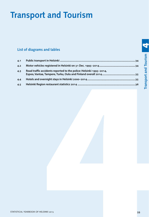# **Transport and Tourism**

### **List of diagrams and tables**

| 4.1 |                                                                    |  |
|-----|--------------------------------------------------------------------|--|
| 4.2 |                                                                    |  |
| 4.3 | Road traffic accidents reported to the police: Helsinki 1995-2014, |  |
| 4.4 |                                                                    |  |
| 4.5 |                                                                    |  |

4**Transport and Tourism Transport and Tourism**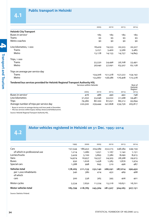### **Public transport in Helsinki**

|                                  | 2005    | 2010    | 2013    | 2014    |
|----------------------------------|---------|---------|---------|---------|
| <b>Helsinki City Transport</b>   |         |         |         |         |
| Buses in service <sup>1</sup>    | 183     | 183     | 183     | 183     |
| Trams                            | 93      | 93      | 93      | 93      |
| Metro coaches                    | 90      | 90      | 90      | 90      |
| Line kilometres, 1 000           | 18,429  | 19,553  | 20,323  | 20,327  |
| Trams                            | 5,251   | 5,400   | 5,566   | 5,485   |
| Metro                            | 13,178  | 14,153  | 14,757  | 14,843  |
| Trips, 1 000                     |         |         |         |         |
| <b>Trams</b>                     | 55,550  | 54,496  | 56,708  | 55,491  |
| Metro                            | 56,040  | 57,091  | 63,507  | 62,128  |
| Trips on average per service day |         |         |         |         |
| <b>Trams</b>                     | 154,306 | 151,378 | 157,522 | 154,142 |
| Metro                            | 155,667 | 158,586 | 176,408 | 172,578 |

| Tendered bus services provided for Helsinki Regional Transport Authority HSL                                                                 |                          |         |         |         |                                            |  |
|----------------------------------------------------------------------------------------------------------------------------------------------|--------------------------|---------|---------|---------|--------------------------------------------|--|
|                                                                                                                                              | Services within Helsinki |         |         |         | Rest of<br>Helsinki<br>Region <sup>2</sup> |  |
|                                                                                                                                              | 2005                     | 2010    | 2013    | 2014    | 2014                                       |  |
| Buses in service <sup>1</sup>                                                                                                                | 476                      | 486     | 490     | 492     | 748                                        |  |
| Line kilometres                                                                                                                              | 31,050                   | 33,046  | 32,022  | 31,568  | 59,481                                     |  |
| Trips                                                                                                                                        | 79,380                   | 86 200  | 87,051  | 86,312  | 95,694                                     |  |
| Average number of trips per service day                                                                                                      | 220,500                  | 239,444 | 241,808 | 239,756 | 265,817                                    |  |
| $\overline{a}$ , and $\overline{a}$ , and $\overline{a}$ , and $\overline{a}$ , and $\overline{a}$ , and $\overline{a}$ , and $\overline{a}$ |                          |         |         |         |                                            |  |

1 Buses in service on average during rush hour peak in December.<br><sup>2</sup> HSL bus services within Espoo, Vantaa, Kerava and Kirkkonummi.

Source: Helsinki Regional Transport Authority HSL.

### **Motor vehicles registered in Helsinki on 31 Dec. 1995–2014**

|                                   | 1995    | 2000    | 2005    | 2010    | 2013    | 2014    |
|-----------------------------------|---------|---------|---------|---------|---------|---------|
| Cars                              | 157,544 | 186,452 | 204,589 | 232,515 | 248,584 | 249,159 |
| of which in professional use      | 1,214   | 1,080   | 1,051   | 1,167   | 1,142   | 1,131   |
| Lorries/trucks                    | 3,429   | 5,100   | 5,893   | 7,380   | 8,090   | 8,915   |
| Vans                              | 14,974  | 16,957  | 19,557  | 24,303  | 28,568  | 29,915  |
| <b>Buses</b>                      | 930     | 1,626   | 1,458   | 1,583   | 1,876   | 1,974   |
| Special cars                      | 1,388   | 998     | 643     | 510     | 496     | 487     |
| <b>Vehicles total</b>             | 178,265 | 211,133 | 232,140 | 266,291 | 287,614 | 290,450 |
| per 1,000 inhabitants<br>of which | 340     | 380     | 414     | 452     | 469     | 468     |
| cars                              | 300     | 336     | 365     | 395     | 406     | 401     |
| Motor cycles                      | 5,534   | 7,650   | 11,224  | 15,216  | 16,651  | 16,701  |
| Motor vehicles total              | 183,799 | 218,783 | 243,364 | 281,507 | 304,265 | 307,151 |
|                                   |         |         |         |         |         |         |

Source: Statistics Finland.

**4.2**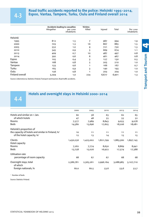## **Road traffic accidents reported to the police: Helsinki 1995–2014, Espoo, Vantaa, Tampere, Turku, Oulu and Finland overall <sup>2014</sup>**

|                        | Altogether | <b>Accidents leading to casualties</b><br>per 1,000<br>inhabitants | <b>Victims</b><br>Killed | Injured | Total | Per 1,000<br>inhabitants |
|------------------------|------------|--------------------------------------------------------------------|--------------------------|---------|-------|--------------------------|
| Helsinki               |            |                                                                    |                          |         |       |                          |
| 1995                   | 812        | 1.5                                                                | 7                        | 987     | 994   | 1.9                      |
| 2000                   | 703        | 1.3                                                                | 16                       | 867     | 883   | 1.5                      |
| 2005                   | 552        | 1.0                                                                | 9                        | 721     | 730   | 1.3                      |
| 2010                   | 545        | 0.9                                                                | 5                        | 669     | 674   | 1.1                      |
| 2013                   | 409        | 0.7                                                                | 10                       | 487     | 497   | 0.8                      |
| 2014                   | 392        | 0,6                                                                | 6                        | 461     | 467   | 0.8                      |
| Espoo                  | 105        | 0,4                                                                | 3                        | 127     | 130   | 0.5                      |
| Vantaa                 | 168        | O,8                                                                | 5                        | 205     | 210   | 1.0                      |
| Tampere                | 133        | 0,6                                                                | 1                        | 166     | 167   | O.7                      |
| Turku                  | 165        | 0,9                                                                | 3                        | 190     | 193   | 1.0                      |
| Oulu                   | 156        | 0,8                                                                | 1                        | 203     | 204   | 1.0                      |
| <b>Finland overall</b> | 5,294      | 1,0                                                                | 224                      | 6,677   | 6,901 | 1.3                      |

Source: Liikenneturva, Statistics Finland, Transport and tourism, Road traffic accidents.

**Hotels and overnight stays in Helsinki 2000–2014**

| 2000      | 2005      | 2010      | 2013      | 2014      |
|-----------|-----------|-----------|-----------|-----------|
| 60        | 58        | 63        | 62        | 65        |
| 47        | 48        | 55        | 55        | 52        |
| 7,577     | 7,989     | 8,843     | 9,055     | 9,078     |
| 14,580    | 15,696    | 17,605    | 18,206    | 18,081    |
|           |           |           |           |           |
| 10        | 11        | 11        | 11        | 11        |
| 12        | 13        | 14        | 15        | 15        |
| 1,430,256 | 1,425,002 | 1,821,799 | 1,883,560 | 1,897,145 |
|           |           |           |           |           |
| 7,262     | 7,774     | 8,650     | 8,869     | 8,941     |
| 13,758    | 15,026    | 16,922    | 17,374    | 17,388    |
|           |           |           |           |           |
| 68        | 67        | 67        | 68        | 68        |
| 2,386,781 | 2,365,261 | 2,996,164 | 3,088,985 | 3,107,710 |
| 60.0      | 60.5      | 53.6      | 53,6      | 52,7      |
|           |           |           |           |           |

<sup>1</sup> Number of beds.

**4.4**

Source: Statistics Finland.

<u>प</u>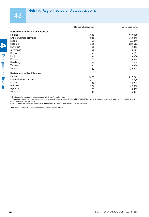### **Helsinki Region restaurant1 statistics 2014**

|                                                 | Number of restaurants | Sales, 1,000 euros |
|-------------------------------------------------|-----------------------|--------------------|
| Restaurants with an A or B licence <sup>2</sup> |                       |                    |
| Finland                                         | 6,358                 | 997,168            |
| Entire Uusimaa province                         | 1,826                 | 435,210            |
| Espoo                                           | 168                   | 46 597             |
| Helsinki                                        | 1,086                 | 285,676            |
| Hyvinkää                                        | 37                    | 5,892              |
| Järvenpää                                       | 32                    | 4,273              |
| Kerava                                          | 16                    | 2,181              |
| Lohja                                           | 49                    | 5,588              |
| Porvoo                                          | 69                    | 11,825             |
| Raseborg                                        | 54                    | 6,204              |
| Tuusula                                         | 19                    | 2,888              |
| Vantaa                                          | 143                   | 38,311             |
| Restaurants with a C licence <sup>3</sup>       |                       |                    |
| Finland                                         | 2,324                 | 528,632            |
| Entire Uusimaa province                         | 392                   | 86,136             |
| Espoo                                           | 35                    | 14,708             |
| Helsinki                                        | 185                   | 36365              |
| Hyvinkää                                        | 16                    | 3,448              |
| Vantaa                                          | 40                    | 9,454              |

↑ The figures from 2014 are not comparable with those for earlier years.<br>↑ Restaurants with an A licence are entitled to serve any alcoholic beverage legally sold in Finland. Those with a B licence may serve alcoholic bev mum content of 22% by volume.

<sup>3</sup> Serving only beer, cider and similar beverages with a maximum alcohol content of 4,7% by volume.

Source: Valvira National Supervisory Authority for Welfare and Health.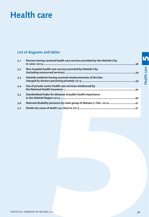# **Health care**

| 5.1 | Persons having received health care services provided by the Helsinki City |  |
|-----|----------------------------------------------------------------------------|--|
| 5.2 | Non-hospital health care services provited by Helsinki City                |  |
| 5.3 | Helsinki residents having received reimbursements of the fees              |  |
| 5.4 | Use of private-sector health care services reimbursed by                   |  |
| 5.5 | Standardised index for diseases of public health importance                |  |
| 5.6 |                                                                            |  |
| 5.7 | Deaths by cause of death (54-class) in 2013 …………………………………………………………………………41 |  |
|     |                                                                            |  |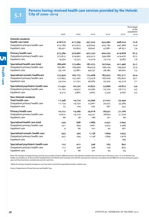|                                                | 2000               | 2005               | 2010               | 2013               | 2014               | Percentage<br>of the<br>population<br>2014 |
|------------------------------------------------|--------------------|--------------------|--------------------|--------------------|--------------------|--------------------------------------------|
|                                                |                    |                    |                    |                    |                    |                                            |
| Helsinki residents<br><b>Health care total</b> |                    |                    |                    |                    |                    |                                            |
| Outpatient primary health care                 | 418,616<br>415,789 | 417,599<br>415,675 | 437,503<br>436,645 | 435,990<br>435,183 | 448,024<br>447,486 | 72,6<br>72,6                               |
| Inpatient care                                 | 66,951             | 62,803             | 58,647             | 47,881             | 48 637             | 7,9                                        |
| Primary health care                            | 375,589            | 376,960            | 407,230            | 400,505            | 414,858            | 67,3                                       |
| Outpatient primary health care                 | 372,815            | 374,962            | 405,912            | 399,286            | 414,476            | 67,2                                       |
| Inpatient care                                 | 14,930             | 13,525             | 15,419             | 15,214             | 19,583             | 1,6                                        |
| Specialised health care total                  | 188,968            | 172,984            | 187,075            | 197,644            | 201,496            | 32,7                                       |
| Outpatient primary health care                 | 185,882            | 169,969            | 184,479            | 196,239            | 199,956            | 32,4                                       |
| Inpatient care                                 | 59,100             | 55,881             | 49,237             | 38,285             | 146,062            | 7,5                                        |
| Specialised somatic healthcare                 | 175,959            | 160,175            | 175,968            | 183,955            | 187,317            | 30,4                                       |
| Outpatient primary health care                 | 172,893            | 157,262            | 173,478            | 182,629            | 185,820            | 30,1                                       |
| Inpatient care                                 | 54,224             | 51,741             | 46,083             | 35,303             | 43,519             | 7,1                                        |
| Specialised psychiatric health care            | 21,430             | 20,230             | 20,832             | 25,896             | 26,873             | 4,4                                        |
| Outpatient primary health care                 | 21,162             | 19,952             | 20,580             | 25,703             | 26,715             | 4,3                                        |
| Inpatient care                                 | 4,313              | 3,865              | 3,663              | 3,354              | 3,092              | 0,5                                        |
| Non-Helsinki residents                         |                    |                    |                    |                    |                    |                                            |
| <b>Total health care</b>                       | 11,348             | 14,774             | 25,696             | 31,022             | 33,444             |                                            |
| Outpatient primary health care                 | 11,154             | 14,750             | 25,661             | 30,473             | 33,389             |                                            |
| Inpatient care                                 | 75                 | 104                | 267                | 281                | 335                |                                            |
| Primary health care                            | 10,722             | 14,289             | 24,618             | 28,932             | 31,766             |                                            |
| Outpatient primary health care                 | 10,675             | 14,270             | 24,531             | 28,830             | 31,736             |                                            |
| Inpatient care                                 | 66                 | 38                 | 168                | 191                | 66                 |                                            |
| Specialised health care total                  | 559                | 698                | 1,689              | 2,452              | 2,645              |                                            |
| Outpatient primary health care                 | 551                | 694                | 1,661              | 2,425              | 2,589              |                                            |
| Inpatient care                                 | 9                  | 66                 | 101                | 92                 | 281                |                                            |
| Specialised somatic health care                | 435                | 294                | 1,158              | 1,849              | 1,935              |                                            |
| Outpatient primary health care                 | 435                | 294                | 1,158              | 1,849              | 1,918              |                                            |
| Inpatient care                                 |                    |                    |                    |                    | 189                |                                            |
| Specialised psychiatric health care            | 125                | 412                | 596                | 763                | 842                |                                            |
| Outpatient primary health care                 | 117                | 408                | 568                | 736                | 803                |                                            |
| Inpatient care                                 | 9                  | 66                 | 101                | 92                 | 93                 |                                            |

Note: The number of people having received care includes all those different persons (by identity number) that received care in the years 2000–2014 at Helsinki City<br>health care facilities or at those of the Hospital Distri year, but they have been counted only once for each line.

1 Wards for primary hospital emergency care have been turned into specialised somatic medical care.

Source: Department of Social Services and Health Care.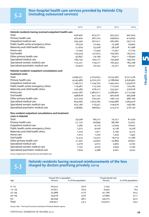#### **Non-hospital health care services provided by Helsinki City (including outsourced services)**

|                                                                           | 2010            | 2012             | 2013      | 2014            |
|---------------------------------------------------------------------------|-----------------|------------------|-----------|-----------------|
| Helsinki residents having received outpatient health care                 |                 |                  |           |                 |
| Total                                                                     | 436,492         | 423,571          | 435,333   | 447,424         |
| Primary health care                                                       | 405,930         | 387,225          | 399,834   | 414,659         |
| Outpatient medical care                                                   | 293,590         | 267,911          | 282,082   | 297,710         |
| Public health centre emergency clinics                                    | 76,530          | 72,445           | 73,598    | 74,993          |
| Maternity and child health clinics                                        | 51,929          | 55,428           | 58,538    | 61,498          |
| Home care                                                                 | 17,043          | 17,439           | 17,457    | 17,724          |
| Oral health                                                               | 154,534         | 157,675          | 163,062   | 165,073         |
| Other primary health care                                                 | 92,897          | 74,169           | 76,917    | 118,400         |
| Specialised medical care                                                  | 184,130         | 190,217          | 195,906   | 199,762         |
| Specialised somatic medical care                                          | 173,251         | 179,571          | 182,432   | 185,748         |
| Specialised psychiatric medical care                                      | 20,420          | 20,255           | 25,527    | 26,537          |
| Helsinki residents' outpatient consultations and                          |                 |                  |           |                 |
| treatment visits<br>Total                                                 |                 |                  |           |                 |
|                                                                           | 5,099,551       | 5,705,653        | 6,233,382 | 6,721,378       |
| Primary health care                                                       | 4,245,486       | 4,702,370        | 5,188,696 | 5,656,462       |
| Outpatient medical care                                                   | 1,146,772       | 1,144,703        | 1,442,425 | 1,543,816       |
| Public health centre emergency clinics                                    | 119,481         | 115,704          | 117,020   | 120,285         |
| Maternity and child health clinics                                        | 230,589         | 278,317          | 333,591   | 326,678         |
| Home,care                                                                 | 2,042,287       | 2,482,011        | 2,586,961 | 2,715,599       |
| Oral health                                                               | 448,828         | 451,133          | 462,628   | 463,948         |
| Other primary health care                                                 | 257,529         | 230,502          | 246,124   | 486,164         |
| Specialised medical care                                                  | 854,065         | 1,003,283        | 1,044,686 | 1,064,916       |
| Specialised somatic medical care                                          | 625,180         | 716,431          | 729,676   | 746,780         |
| Specialised psychiatric medical care                                      | 228,885         | 286,852          | 315,010   | 318,136         |
| Non-resident outpatient consultations and treatment<br>visits in Helsinki |                 |                  |           |                 |
| Total                                                                     | 54,546          | 66,512           | 74,751    | 81,429          |
| Primary health care                                                       | 51,170          | 60,899           | 68,786    | 75,637          |
| Outpatient medical care                                                   | 7,383           | 9,779            | 13,044    | 16,041          |
| Public health centre emergency clinics                                    | 7,372           | 9,056            | 9,138     | 9,258           |
| Maternity and child health clinics                                        | 1,220           |                  | 3,199     | 4,273           |
| Home care                                                                 | 1,075           | 1,971<br>1,200   | 1,503     |                 |
| Oral health                                                               |                 |                  | 16,019    | 1,442<br>17,786 |
| Other primary health care                                                 | 12,523          | 15,073<br>23,820 | 25,884    | 26,837          |
| Specialised medical care                                                  | 21,597<br>3,376 | 5,613            | 5,965     | 5,792           |
| Specialised somatic medical care                                          |                 |                  |           |                 |
| Specialised psychiatric medical care                                      | 1,747           | 3,025            | 2,904     | 2,740           |
|                                                                           | 1,629           | 2,588            | 3,061     | 3,052           |

Source: Department of Social Services and Health Care.

**5.3**

#### **Helsinki residents having received reimbursements of the fees charged by doctors practising privately 2014**

|           | Private GPs or specialists     |      | Private dental care |                     |
|-----------|--------------------------------|------|---------------------|---------------------|
| Age       | % of the population<br>Persons |      | Persons             | % of the population |
| $0 - 14$  | 26,352                         | 30.6 | 1,235               | 1.4                 |
| $15 - 24$ | 20,651                         | 26.9 | 6,430               | 8.4                 |
| $25 - 44$ | 55,986                         | 27.6 | 41,166              | 20.3                |
| $45 - 64$ | 54,918                         | 35.8 | 57,869              | 37.7                |
| $65 -$    | 49,044                         | 48.2 | 44,275              | 43.5                |
| Total     | 206,951                        | 33.3 | 150,975             | 24.3                |

Source: Kela – The Social Insurance Institution of Finland, Kelasto reports.

**Health care**

Health care

5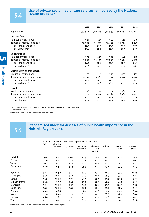### **5.4**

|                                         | 2000    | 2005    | 2010    | 2013    | 2014    |
|-----------------------------------------|---------|---------|---------|---------|---------|
| Population <sup>1</sup>                 | 555,914 | 560,625 | 588,549 | 612,664 | 620,714 |
| Doctors' fees                           |         |         |         |         |         |
| Number of visits, 1,000                 | 521     | 525     | 557     | 560     | 550     |
| Reimbursements, 1,000 euro <sup>2</sup> | 12,392  | 11,853  | 12,422  | 11,714  | 11,363  |
| per inhabitant, euro <sup>2</sup>       | 22.3    | 21.1    | 21.1    | 19.1    | 18.3    |
| per visit, euro <sup>2</sup>            | 23.8    | 22.6    | 22.3    | 20.9    | 20.7    |
| Dentists' fees                          |         |         |         |         |         |
| Number of visits, 1,000                 | 172     | 409     | 392     | 362     | 348     |
| Reimbursements, 1,000 euro <sup>2</sup> | 7,851   | 16,145  | 17,829  | 17,214  | 16,198  |
| per inhabitant, euro <sup>2</sup>       | 14.1    | 28.8    | 30.3    | 28.1    | 26.1    |
| per visit, euro <sup>2</sup>            | 45.6    | 39.5    | 50.0    | 47.6    | 46.5    |
| <b>Examination and treatment</b>        |         |         |         |         |         |
| Decuctible visits, 1,000                | 175     | 188     | 240     | 405     | 433     |
| Reimbursements, 1,000 euro <sup>2</sup> | 9,591   | 9,363   | 11,209  | 9,519   | 9,094   |
| per inhabitant, euro <sup>2</sup>       | 17.3    | 16.7    | 19.0    | 15.5    | 14.7    |
| per visit, euro <sup>2</sup>            | 55.0    | 49.8    | 46.7    | 23.5    | 21.0    |
| Travel                                  |         |         |         |         |         |
| Single journeys, 1,000                  | 138     | 222     | 329     | 364     | 353     |
| Reimbursements, 1,000 euro <sup>2</sup> | 5,571   | 9,359   | 14,282  | 16,962  | 17,141  |
| per inhabitant, euro <sup>2</sup>       | 10.0    | 16.7    | 24.3    | 27.7    | 27.6    |
| per visit, euro <sup>2</sup>            | 40.3    | 42.2    | 43.4    | 46.6    | 48.6    |
|                                         |         |         |         |         |         |

<sup>1</sup> Population at year-end from Kela – the Social Insurance Institution of Finland's database.

<sup>2</sup> Based on rates in 2014.

Source: Kela – The Social Insurance Institution of Finland.

## **5.5**

#### **Standardised index for diseases of public health importance in the Helsinki Region 2014**

|  |  | Index for diseases of public health importance (Finland=100) |
|--|--|--------------------------------------------------------------|
|  |  |                                                              |

|             | Total | of which<br><b>Diabetes</b> | Psychoses | Cardiac in-<br>sufficiency | Rheuma-<br>toid<br>arthritis | Asthma | Hyper-<br>tension | Coronary<br>disease |
|-------------|-------|-----------------------------|-----------|----------------------------|------------------------------|--------|-------------------|---------------------|
| Helsinki    | 79.8  | 82.7                        | 100.4     | 71.3                       | 77.4                         | 78.6   | 72.9              | 75.4                |
| Espoo       | 75.6  | 81.3                        | 74.5      | 63.4                       | 80.2                         | 76.7   | 73.1              | 80.2                |
| Vantaa      | 90.3  | 105.1                       | 84.8      | 83.0                       | 88.3                         | 89.2   | 98.0              | 83.7                |
| Kauniainen  | 63.0  | 64.7                        | 58.9      | 59.9                       | 72.0                         | 67.8   | 53.3              | 64.3                |
| Hyvinkää    | 98.4  | 103.0                       | 95.4      | 87.3                       | 83.2                         | 118.0  | 93.3              | 108.9               |
| Järvenpää   | 95.6  | 100.1                       | 91.0      | 104.3                      | 86.4                         | 105.9  | 93.2              | 88.4                |
| Kerava      | 93.2  | 101.0                       | 97.1      | 81.9                       | 87.1                         | 95.2   | 101.2             | 89.1                |
| Kirkkonummi | 83.2  | 97.7                        | 72.2      | 77.0                       | 87.3                         | 82.6   | 84.0              | 81.6                |
| Mäntsälä    | 99.5  | 101.0                       | 75.7      | 114.7                      | 96.4                         | 109.5  | 104.1             | 95.2                |
| Nurmijärvi  | 94.0  | 101.2                       | 74.0      | 96.6                       | 87.8                         | 109.2  | 98.4              | 91.1                |
| Pornainen   | 90.9  | 106.8                       | 71.2      | 58.0                       | 94.8                         | 106.2  | 109.4             | 89.6                |
| Sipoo       | 77.6  | 85.4                        | 52.9      | 65.3                       | 92.1                         | 88.6   | 78.6              | 80.0                |
| Tuusula     | 96.0  | 116.1                       | 73.3      | 97.5                       | 93.7                         | 102.8  | 94.5              | 94.3                |
| Vihti       | 91.1  | 101.2                       | 67.3      | 83.0                       | 112.9                        | 95.7   | 90.0              | 87.8                |

Source: Kela – The Social Insurance Institution of Finland, Kelasto reports.

<mark>Մ</mark>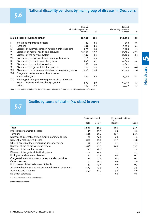

|              |                                                                                                   | Helsinki<br>All disability pensions |               | Finland<br>All disability pensions |               |
|--------------|---------------------------------------------------------------------------------------------------|-------------------------------------|---------------|------------------------------------|---------------|
|              |                                                                                                   | Number                              | $\frac{0}{0}$ | Number                             | $\frac{0}{0}$ |
|              | Main disease groups altogether                                                                    | 18,942                              | 100           | 232,475                            | 100           |
| $\mathbf{I}$ | Infectious or parasitic diseases                                                                  | 98                                  | 0.5           | 658                                | 0.3           |
| Ш            | <b>Tumours</b>                                                                                    | 432                                 | 2.3           | 5473                               | 2.4           |
| IV           | Diseases of internal secretion nutrition or metabolism                                            | 271                                 | 1.4           | 3484                               | 1.5           |
| V            | Disorders of mental health and behavior                                                           | 10,921                              | 57.7          | 111,366                            | 47.9          |
| VI           | Diseases of the nervous system                                                                    | 1,544                               | 8.2           | 19,720                             | 8.5           |
| VII          | Diseases of the eye and its surrounding structures                                                | 278                                 | 1.5           | 2,494                              | 1.1           |
| IX           | Diseases of the cardio-vascular system                                                            | 898                                 | 4.7           | 12,603                             | 5.4           |
| X            | Diseases of the respiratory system                                                                | 188                                 | 1.0           | 2,897                              | 1.2           |
| XI           | Diseases of the gastro-intestinal system                                                          | 101                                 | 0.5           | 1,445                              | 0.6           |
| XIII<br>XVII | Diseases of the musculo-sceletal and articulatory systems<br>Congenital malformations, chromosome | 2,578                               | 13.6          | 52,455                             | 22.6          |
|              | abnormalites, etc.                                                                                | 411                                 | 2.2           | 4,989                              | 2.1           |
| XIX          | Injuries, poisonings or consequences of certain other                                             |                                     |               |                                    |               |
|              | external impacts and articulatory systems                                                         | 923                                 | 4.9           | 10,919                             | 4.7           |
|              | Others                                                                                            | 299                                 | 1.6           | 3,972                              | 1.7           |

Source: Joint statistics of Kela – The Social Insurance Institution of Finland – and the Finnish Centre for Pensions.

## **5.7**

#### **Deaths by cause of death<sup>1</sup> (54-class) in 2013**

|                                                           | Persons deceased |        | Per 10,000 inhabitants<br>Total |         |
|-----------------------------------------------------------|------------------|--------|---------------------------------|---------|
|                                                           | Total            | Men, % | Helsinki                        | Finland |
| <b>Total</b>                                              | 4,980            | 46.3   | 80.2                            | 94.1    |
| Infectious or parasitic diseases                          | 15               | 73.3   | 0.2                             | 0.6     |
| <b>Tumours</b>                                            | 1,246            | 47.4   | 20.1                            | 22.3    |
| Diseases of internal secretion nutrition or metabolism    | 50               | 34.0   | 0.8                             | 1.2     |
| Dementia, Alzheimer's disease                             | 827              | 27.7   | 13.3                            | 13.8    |
| Other diseases of the nervous and sensory system          | 132              | 45.5   | 2.1                             | 2.5     |
| Diseases of the cardio-vascular system                    | 1,648            | 45.3   | 26.6                            | 35.7    |
| Diseases of the respiratory system                        | 170              | 58.2   | 2.7                             | 3.5     |
| Diseases of the gastro-intestinal system                  | 104              | 39.4   | 1.7                             | 2.2     |
| Urological and venereal diseases                          | 40               | 42.5   | 0.6                             | 0.7     |
| Congenital malformations chromosome abnormalites          | 13               | 92.3   | 0.2                             | 0.3     |
| Other diseases                                            | 50               | 48.0   | 0.8                             | 1.0     |
| Unknown or ill-defined causes of death                    | 47               | 63.8   | 0.8                             | 0.3     |
| Alcohol-related diseases and accidental alcohol poisoning | 287              | 73.5   | 4.6                             | 3.5     |
| Accidents and violence                                    | 350              | 62.3   | 5.6                             | 6.0     |
| No death certificate                                      | $\cdots$         | .      | 0.0                             | 0.5     |

<sup>1</sup> ICD-10 classification of causes of death.

Source: Statistics Finland.

**Health care**

Health care

 $\mathbf{r}$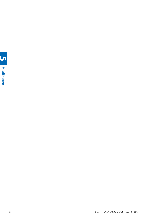<mark>ហ</mark> **Health care Health care**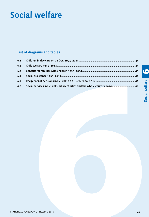# **Social welfare**

| 6.3 | Benefits for families with children 1995-2014 ……………………………………………………………………………………45 |
|-----|----------------------------------------------------------------------------------|
|     |                                                                                  |
| 6.5 |                                                                                  |
|     | 6.6 Social services in Helsinki, adjacent cities and the whole country 201447    |

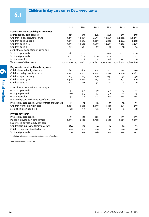

|                                                    | 1995      | 2000      | 2005      | 2010      | 2013      | 2014      |
|----------------------------------------------------|-----------|-----------|-----------|-----------|-----------|-----------|
| Day care in municipal day-care centres             |           |           |           |           |           |           |
| Municipal day-care centres                         | 303       | 336       | 282       | 286       | 313       | 318       |
| Children in day care. total 31.12.                 | 17,435    | 19,061    | 16,651    | 19,289    | 21,902    | 22,911    |
| Children aged under 3                              | 3,115     | 2,994     | 2,977     | 3,820     | 4,444     | 4,408     |
| Children aged 3-6                                  | 13,535    | 15,376    | 13,607    | 15,431    | 17,420    | 18,447    |
| Children aged 7                                    | 785       | 691       | 67        | 38        | 38        | 56        |
| as % of total population of same age               |           |           |           |           |           |           |
| % of o-2 year-olds                                 | 16.1      | 17.2      | 17.7      | 20.4      | 22.7      | 22.0      |
| % of 3-6 year-olds                                 | 57.7      | 67.3      | 67.9      | 72.4      | 73.1      | 75.2      |
| % of 7 year-olds                                   | 14.7      | 11.8      | 1.4       | 0.8       | 0.7       | 1.0       |
| Total days of attendance                           | 3,059,370 | 3,613,067 | 2,971,631 | 3,344,436 | 3,748,213 | 3,882,826 |
| Day care in municipal family day care              |           |           |           |           |           |           |
| Childminers in family day care                     | 633       | 604       | 494       | 407       | 355       | 330       |
| Children in day care, total 31.12.                 | 2,441     | 2,207     | 1,775     | 1,415     | 1,218     | 1,182     |
| Children aged under 3                              | 813       | 877       | 770       | 632       | 538       | 556       |
| Children aged 3-6                                  | 1,406     | 1,214     | 947       | 761       | 672       | 620       |
| Children aged 7                                    | 222       | 116       | 58        | 22        | 8         | 6         |
| as % of total population of same age               |           |           |           |           |           |           |
| % of o-2 year-olds                                 | 4.2       | 5.0       | 4.6       | 3.4       | 2.7       | 2.8       |
| % of 3-6 year-olds                                 | 6.0       | 5.3       | 4.7       | 3.6       | 2.8       | 2.5       |
| % of 7 year-olds                                   | 4.2       | 2.0       | 1.2       | 0.4       | 0.1       | 0.1       |
| Private day-care with contract of purchase         |           |           |           |           |           |           |
| Private day-care centres with contract of purchase | 45        | 52        | 42        | 39        | 12        | 11        |
| Children from Helsinki in care                     | 1,361     | 1,348     | 1,117     | 1,007     | 285       | 317       |
| as % of children aged 1-6                          | 3.8       | 3.9       | 3.6       | 3.0       | 1.0       | 0.8       |
| Private day-care <sup>1</sup>                      |           |           |           |           |           |           |
| Private day-care centres                           | 91        | 116       | 100       | 109       | 113       | 113       |
| Places in private day-care centres                 | 2,519     | 3,120     | 2,768     | 2,926     | 3,279     | 3,097     |
| Supervised private family day care                 |           |           |           |           |           |           |
| Childminers in private family day care             | 164       | 106       | 84        | 64        | 26        | 33        |
| Children in private family day care                | 379       | 305       | 240       | 172       | 130       | 96        |
| % of 1-6 year-olds                                 | 1.0       | 0.9       | 0.8       | 0.5       | 0,4       | 0,3       |

<sup>1</sup> Including private day-care centres with contract of purchase.

Source: Early Education and Care.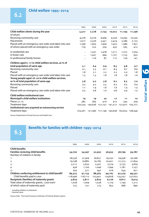**6.2**

|                                                         | 1995      | 2000                                            | 2005                                    | 2010   | 2013   | 2014   |
|---------------------------------------------------------|-----------|-------------------------------------------------|-----------------------------------------|--------|--------|--------|
| Child welfare clients during the year<br>of whom        | 5,577     | 7,278                                           | 7,734                                   | 10,022 | 11,194 | 11,296 |
| Receiving community care                                | 4,578     | 6,276                                           | 6,969                                   | 9,356  | 10,093 | 10,200 |
| Placements                                              | 1,917     | 2,326                                           | 2,431                                   | 2,474  | 2,289  | 2,123  |
| Placed with an emergency care order and taken into care | 1,296     | 1,603                                           | 1,909                                   | 1,923  | 1989   | 1857   |
| of whom placed with an emergency care order             | 179       | 222                                             | 329                                     | 435    | 565    | 412    |
| In residential care                                     | $\ddotsc$ | 1,337                                           | 1,478                                   | 1,511  | 1,272  | 1,054  |
| In foster care                                          |           | 1,041                                           | 999                                     | 1,101  | 1,155  | 955    |
| In professional family homes                            |           | 116                                             | 87                                      | 117    | 126    | 141    |
| Children aged 0-17 in child welfare services, as % of   |           |                                                 |                                         |        |        |        |
| total population of same age                            | 5.1       | 6.4                                             | 6.9                                     | 8.3    | 9.8    | 9.7    |
| Receiving community care                                | 4.1       | 5.5                                             | 6.1                                     | 8.3    | 8.7    | 8.6    |
| Placed                                                  | 1.8       | 2.1                                             | 2.2                                     | 2.2    | 2.0    | 1.8    |
| Placed with an emergency care order and taken into care | 1.3       | 1.5                                             | 1.8                                     | 1.8    | 1.8    | 1.6    |
| Young people aged 18-20 in child welfare services,      |           |                                                 |                                         |        |        |        |
| as % of total population of same age                    | 3.8       | 5.0                                             | 5.8                                     | 6.2    | 6.5    | 7.0    |
| Receiving community care                                | 3.5       | 4.2                                             | 5.5                                     | 6.2    | 6.5    | 6.9    |
| Placed                                                  | 1.1       | 1.4                                             | 1.6                                     | 1.6    | 1.4    | 1.4    |
| Placed with an emergency care order and taken into care | 0.5       | 0.8                                             | 1.0                                     | 0.8    | 0.9    | 1.0    |
| Child welfare institutional care                        |           |                                                 |                                         |        |        |        |
| Municipal's child welfare institutions                  | 19        | 19                                              | 20                                      | 17     | 11     | 10     |
| Places 31.12.                                           | 385       | 383                                             | 416                                     | 412    | 343    | 309    |
| Treatment days                                          | 130,254   |                                                 | 140,636 151,757 141,317 127,977 105,777 |        |        |        |
| Institutional care acquired as outsourcing service      |           |                                                 |                                         |        |        |        |
| <b>Treatment days</b>                                   |           | 103,561 131,580 171,146 190,658 162,653 108,349 |                                         |        |        |        |

Source: Department of Social Services and Health Care.

### **Benefits for families with children 1995–2014**

| 1995    | 2000    | 2005    | 2010    | 2013    | 2014    |
|---------|---------|---------|---------|---------|---------|
|         |         |         |         |         |         |
| 54,700  | 54,397  | 52,950  | 56,955  | 58,799  | 59,787  |
|         |         |         |         |         |         |
| 28,536  | 27,409  | 26,831  | 29,250  | 29,938  | 30,266  |
| 19,748  | 19,882  | 19,185  | 20,421  | 21,313  | 21,834  |
| 5,217   | 5,635   | 5,391   | 5,574   | 5,733   | 5,829   |
| 936     | 1,100   | 1,046   | 1,094   | 1,181   | 1,237   |
| 263     | 371     | 497     | 616     | 634     | 621     |
| 89,325  | 91,155  | 88,362  | 94,167  | 97,579  | 99,357  |
| 118,496 | 118,112 | 123,401 | 124,828 | 135,037 | 137,622 |
| 5,879   | 5,811   | 5,879   | 6,726   | 6,812   | 6,914   |
| 1,028   | 1,009   | 1,028   | 1,174   | 1,194   | 1,217   |
| 773     | 731     | 773     | 853     | 868     | 890     |
|         |         |         |         |         |         |

<sup>1</sup> Including children in institutions.<br><sup>2</sup> Nominal value.

**6.3**

Source: Kela – The Social Insurance Institution of Finland, Kelasto reports.

**Social welfare**

Social welfare

6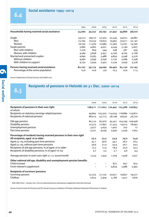|                                              | 1995   | 2000   | 2005   | 2010   | 2013   | 2014   |
|----------------------------------------------|--------|--------|--------|--------|--------|--------|
| Households having received social assistance | 55,060 | 39,257 | 36,792 | 41,947 | 44,866 | 48,070 |
| Single                                       | 39,510 | 28,012 | 27,303 | 32,544 | 34,672 | 36,887 |
| Men                                          | 22,765 | 16,533 | 16,623 | 19,962 | 20,911 | 22,147 |
| Women                                        | 16,745 | 11,479 | 10,680 | 12,582 | 13,761 | 14,740 |
| Single parents                               | 5,860  | 4,662  | 4,001  | 4,544  | 5,146  | 5,607  |
| Men with children                            | 1,276  | 804    | 544    | 348    | 381    | 439    |
| Women with children                          | 4,584  | 3,858  | 3,457  | 4,196  | 4,765  | 5,168  |
| Married and unmarried couples                | 9,690  | 6,583  | 5,488  | 4,859  | 5,048  | 5,576  |
| Without children                             | 4,960  | 3,649  | 3,036  | 2,120  | 2,089  | 2,248  |
| With children to support                     | 4,730  | 2,934  | 2,452  | 2,739  | 2,959  | 3,328  |
| Persons having received social assistance    | 82,107 | 59,123 | 54,090 | 60,492 | 65,130 | 70,143 |
| Percentage of the entire population          | 15.6   | 10.6   | 9.6    | 10.3   | 10.6   | 11.3   |

Source: Department of Social Services and Health Care.



**Social welfare**

Social welfare

**6** 

# **6.5 Recipients of pensions in Helsinki on 31 Dec. 2000–2014**

|                                                                      | 2000   | 2005   | 2010                                    | 2013   | 2014            |
|----------------------------------------------------------------------|--------|--------|-----------------------------------------|--------|-----------------|
| Recipients of pensions in their own right<br>of which:               |        |        | 108,311 111,622 120,447 125,586 126,855 |        |                 |
| Recipients on statutory earnings-related pension                     | 99,842 |        | 105,303 114,034 118,889 119,872         |        |                 |
| Recipients of national pension <sup>1</sup>                          | 88,415 | 52,713 | 38,148                                  | 36,932 | 36,720          |
| Old-age pension                                                      | 80,210 | 82,676 | 95,301                                  |        | 104,799 106,938 |
| Disability pension                                                   | 22,375 | 21,897 | 21,355                                  | 19,415 | 18,942          |
| Unemployment pension                                                 | 3,977  | 3,634  | 1,907                                   | 202    | 17              |
| Part-time pension                                                    | 3,231  | 4,039  | 2,940                                   | 2,036  | 1,602           |
| Percentage of residents having received pensions in their own right  |        |        |                                         |        |                 |
| All recipients, aged 16 or older                                     | 23.2   | 23.5   | 23.9                                    | 24.0   | 23,9            |
| Aged 55-64, including part-time pensions                             | 42.1   | 36.6   | 34.2                                    | 28.7   | 26.5            |
| Aged 55-64, without part-time pensions                               | 36.6   | 31.0   | 30.4                                    | 26.1   | 24.5            |
| Recipients of old-age pensions, % of aged 16 or older                | 17.2   | 17.4   | 18.9                                    | 20.0   | 20.2            |
| Recipients of disability pensions, % of aged 16-64                   | 5.7    | 5.5    | 5.1                                     | 4.6    | 4.4             |
| Average pension in one's own right 31.12. euros/month                | 1,225  | 1,454  | 1,704                                   | 1,928  | 1,977           |
| Other national old age, disability and unemployment pension benefits |        |        |                                         |        |                 |
| Child increase                                                       |        |        | 877                                     | 857    | 873             |
| Front-veteran's supplement                                           |        |        | 4,834                                   | 2,988  | 2,493           |
| Recipients of survivors' pensions                                    |        |        |                                         |        |                 |
| Surviving spouses                                                    | 22,225 | 21,720 | 20,631                                  | 19,837 | 19,577          |
| Children                                                             | 2,622  | 2,409  | 2,186                                   | 1,977  | 1,876           |

<sup>1</sup> With effect from 1 January 2001, the cut national pensions and spouses supplement were discontinued.

Source: Finnish Centre for Pensions and The Social Insurance Institution of Finland, Statistical Yearbook of Pensioners in Finland.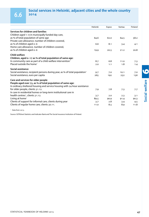### **6.6 Social services in Helsinki, adjacent cities and the whole country <b>6.6 2014 2014**

|                                                                                         | Helsinki | Espoo | Vantaa | Finland |
|-----------------------------------------------------------------------------------------|----------|-------|--------|---------|
| Services for children and families                                                      |          |       |        |         |
| Children aged 1-6 in municipally funded day care,                                       |          |       |        |         |
| as % of total population of same age                                                    | 64.6     | 62.0  | 64.5   | 58.2    |
| Private care allowance, number of children covered,                                     |          |       |        |         |
| as % of children aged o-6                                                               | 6.6      | 8.1   | 3.4    | 4.1     |
| Home care allowance, number of children covered,                                        |          |       |        |         |
| as % of children aged o-6                                                               | 19.9     | 20.5  | 21.2   | 20.8    |
| Child welfare                                                                           |          |       |        |         |
| Children, aged o-17 as % of total population of same age:                               |          |       |        |         |
| In community care as part of a child welfare intervention <sup>1</sup>                  | 8.7      | 6.8   | 11.0   | 7.3     |
| Placed outside the home <sup>1</sup>                                                    | 2.0      | 1.1   | 1.8    | 1.4     |
| Social assistance                                                                       |          |       |        |         |
| Social assistance, recipient persons during year, as % of total population <sup>1</sup> | 9.7      | 7.0   | 10.1   | 7.0     |
| Social assistance, euro per capita                                                      | 265      | 192   | 252    | 136     |
| Care and services for older people                                                      |          |       |        |         |
| People aged over 75, as % of total population of same age:                              |          |       |        |         |
| In ordinary sheltered housing and service housing with 24-hour assistance               |          |       |        |         |
| for older people, clients 31.12.                                                        | 7.9      | 7.8   | 7.3    | 7.7     |
| In care in residential homes or long-term institutional care in                         |          |       |        |         |
| health centres <sup>1</sup> , clients 31.12.                                            | 3.7      | 2.0   | 2.3    | 3.1     |
| Living at home <sup>1</sup>                                                             | 89.5     | 90.9  | 91.4   | 90.3    |
| Clients of support for informal care, clients during year                               | 3.7      | 2.8   | 3.4    | 4.5     |
| Clients of regular home care, clients 30.11.                                            | 11.0     | 8.5   | 8.9    | 11.8    |

<sup>1</sup> Data from 2013.

Source: SOTKAnet Statistics and Indicator Bank and The Social Insurance Institution of Finland.

**Social welfare**

Social welfare

6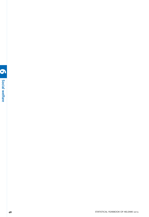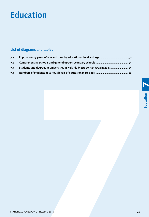#### **STATISTICAL YEARBOOK OF HELSINKI 2015 49**

# **Education**

| 7.1 |  |
|-----|--|
|     |  |
| 7.3 |  |
| 7.4 |  |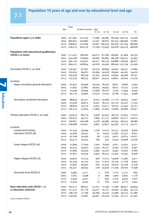### **Population 15 years of age and over by educational level and age**

**7.1**

|                                           |              | Total             |                  |                  |                          |                  |                             |                  |
|-------------------------------------------|--------------|-------------------|------------------|------------------|--------------------------|------------------|-----------------------------|------------------|
|                                           | Year         |                   | of whom women    | Age<br>$15 - 24$ | $25 - 34$                | $35 - 44$        | $45 - 64$                   | $65 -$           |
|                                           |              |                   |                  |                  |                          |                  |                             |                  |
| Population aged 15 or older               |              | 2000 471,692      | 257,019          | 71,689           | 99,083                   |                  | 86,249 140,105              | 74,566           |
|                                           | 2005         | 480,875           | 259,982          | 72,357           | 96,816                   |                  | 85,374 148,466              | 77,862           |
|                                           |              | 2010 508,847      | 273,096          |                  | 76,907 108,354           |                  | 80,356 155,164              | 88,066           |
|                                           |              | 2013 528,510      | 282,516          |                  | 77,749 113,939           |                  | 83,678 154,316              | 98,828           |
| Population with educational qualification |              |                   |                  |                  |                          |                  |                             |                  |
| (ISCED 3 or more)                         |              | 2000 311,475      | 168,382          | 40,012           | 81,784                   |                  | 68,463 91,484               | 29,732           |
|                                           |              | 2005 329,298      | 178,804          | 38,280           | 80,685                   |                  | 68,768 106,473              | 35,092           |
|                                           |              | 2010 360,129      | 195,907          | 40,521           | 89,104                   |                  | 64,888 118,939              | 46,677           |
|                                           |              | 2013 384,227      | 208,854          | 42,818           | 93,400                   |                  | 68,434 122,139              | 57,436           |
| Secondary (ISCED 3-4), total              | 2000         | 156,561           | 81,667           | 36,574           | 38,849                   | 29,947           | 38,531                      | 12,660           |
|                                           | 2005         | 163,623           | 84,677           | 36,384           | 39,558                   | 28,940           | 44,262                      | 14,479           |
|                                           | 2010         | 169,328           | 86,309           | 37,293           | 39,624                   | 24,834           | 49,386                      | 18,191           |
|                                           | 2013         | 175,239           | 88,553           | 38,921           | 39,523                   | 24,852           | 50,024                      | 21,919           |
| of which                                  |              |                   |                  |                  |                          |                  |                             |                  |
| Upper secondary general education         | 2000         | 67,922            | 36,446           | 28,339           | 18,763                   | 8,831            | 8,896                       | 3,093            |
|                                           | 2005         | 71,695            | 37,862           | 28,093           | 20,833                   | 8,815            | 10,725                      | 3,229            |
|                                           | 2010         | 70,449            | 36,099           | 27,838           | 18,707                   | 7,920            | 11,944                      | 4,040            |
|                                           | 2013         | 69,116            | 34,890           | 27,022           | 17,023                   | 8,168            | 11,935                      | 4,968            |
|                                           |              |                   |                  |                  |                          |                  |                             |                  |
| Secondary vocational education            | 2000         | 88,639            | 45,221           | 8,235            | 20,086                   | 21,116           | 29,635                      | 9,567            |
|                                           | 2005         | 91,928            | 46,815           | 8,291            | 18,725                   | 20,125           | 33,537                      | 11,250           |
|                                           | 2010<br>2013 | 98,879<br>106,123 | 50,210<br>53,663 | 9,455<br>11,899  | 20,917<br>22,500         | 16,914<br>16,684 | 37,442<br>38,089            | 14,151<br>16,951 |
|                                           |              |                   |                  |                  |                          |                  |                             |                  |
| Tertiary education (ISCED 5-6), total     | 2000         | 154,914           | 86,715           | 3,438            | 42,935                   | 38,516           | 52,953                      | 17,072           |
|                                           | 2005         | 165,675           | 94,127           | 1,896            | 41,127                   | 39,828           | 62,211                      | 20,613           |
|                                           | 2010         | 190,801           | 109,598          | 3,228            | 49,480                   | 40,054           | 69,553                      | 28,486           |
|                                           | 2013         | 208,988           | 120,301          | 3,897            | 53,877                   | 43,582           | 72,115                      | 35,517           |
| of which                                  |              |                   |                  |                  |                          |                  |                             |                  |
| Lowest-level tertiary                     | 2000         | 61,745            | 39,099           | 1,728            | 17,014                   | 16,577           | 19,790                      | 6,636            |
| education (ISCED 5B)                      | 2005         | 53,406            | 34,037           | 32               | 6,453                    | 15,387           | 23,527                      | 8,007            |
|                                           | 2010         | 47,708            | 30,426           | 28               | 1,225                    | 9,971            | 25,813                      | 10,671           |
|                                           | 2013         | 45,912            | 29,353           | 169              | 505                      | 6,534            | 25,698                      | 13,006           |
| Lower degree (ISCED 5A)                   | 2000         | 31,864            | 17,590           | 1,300            | 8,090                    | 5,621            | 12,632                      | 4,221            |
|                                           | 2005         | 42,355            | 24,422           | 1,539            | 16,371                   | 6,342            | 13,106                      | 4,997            |
|                                           | 2010         | 57,985            | 34,304           | 2,999            | 25,202                   | 9,442            | 13,562                      | 6,780            |
|                                           | 2013         | 67,401            | 39,509           | 3,440            | 28,533                   | 13,425           | 13,545                      | 8,458            |
| Higher degree (ISCED 5A)                  | 2000         | 54,820            | 27,755           | 408              | 17,013                   | 14,608           | 17,380                      | 5,411            |
|                                           | 2005         | 62,239            | 32,720           |                  | 325 17,614 16,139 21,728 |                  |                             | 6,433            |
|                                           | 2010         | 75,845            | 40,947           |                  | 200 22,250 18,479 25,758 |                  |                             | 9,158            |
|                                           | 2013         | 85,351            | 46,934           |                  | 278 24,056 21,209 28,160 |                  |                             | 11,648           |
| Doctorate level (ISCED 6)                 | 2000         | 6,485             | 2,271            | $\overline{2}$   | 818                      | 1,710            | 3,151                       | 804              |
|                                           | 2005         | 7,675             | 2,948            | o                | 689                      | 1,960            | 3,850                       | 1,176            |
|                                           | 2010         | 9,263             | 3,921            | $\mathbf 1$      | 803                      | 2,162            | 4,420                       | 1,877            |
|                                           | 2013         | 10,324            | 4,505            | 10               | 783                      | 2,414            | 4,712                       | 2,405            |
| Basic education only (ISCED 1-2)          |              | 2000 160,217      | 88,637           | 31,677           | 17,299                   |                  | 17,786 48,621               | 44,834           |
| or education unknown                      |              | 2005 151,577      | 81,178           | 34,077           |                          |                  | 16,131 16,606 41,993 42,770 |                  |
|                                           |              | 2010 148,718      | 77,189           | 36,386           |                          |                  | 19,250 15,468 36,225        | 41,389           |
|                                           |              | 2013 144,283      | 73,662           | 34,931           |                          |                  | 20,539 15,244 32,177        | 41,392           |
| Source: Statistics Finland.               |              |                   |                  |                  |                          |                  |                             |                  |

 $\blacktriangledown$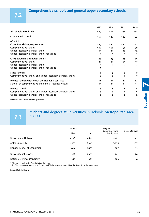### **Comprehensive schools and general upper secondary schools**

**7.2**

|                                                           | 2005           | 2010           | 2013           | 2014           |
|-----------------------------------------------------------|----------------|----------------|----------------|----------------|
| All schools in Helsinki                                   | 185            | 176            | 166            | 162            |
| City-owned schools                                        | 157            | 147            | 137            | 133            |
| of which                                                  |                |                |                |                |
| City's Finnish-language schools                           | 129            | 120            | 112            | 112            |
| Comprehensive schools                                     | 112            | 106            | 99             | 99             |
| Upper secondary general schools                           | 14             | 13             | 12             | 12             |
| Upper secondary general schools for adults                | 3              | 1              | 1              | $\mathbf{1}$   |
| City's Swedish-language schools                           | 28             | 27             | 25             | 21             |
| Comprehensive schools                                     | 23             | 23             | 21             | 17             |
| Upper secondary general schools                           | 4              | 4              | 4              | 4              |
| Upper secondary general schools for adults                | 1              |                |                |                |
| State schools                                             | 6              | 7              | 7              | 7              |
| Comprehensive schools and upper secondary general schools | 6              | 7              | 7              | 7              |
| Private schools with which the city has a contract        | 14             | 14             | 14             | 14             |
| Schools at comprehensive and general secondary level      | 14             | 14             | 14             | 14             |
| <b>Private schools</b>                                    | 8              | 8              | 8              | 8              |
| Comprehensive schools and upper secondary general schools | 6              | 6              | 6              | 6              |
| Upper secondary general schools for adults                | $\overline{2}$ | $\overline{2}$ | $\overline{2}$ | $\overline{2}$ |

Source: Helsinki City Education Department.

**7.3**

#### **Students and degrees at universities in Helsinki Metropolitan Area in 2014**

|                                     | <b>Students</b><br>New | All    | Degrees<br>Lower and higher<br>university level <sup>1</sup> | Doctorate level |
|-------------------------------------|------------------------|--------|--------------------------------------------------------------|-----------------|
|                                     |                        |        |                                                              |                 |
| University of Helsinki              | 5,278                  | 34,833 | 5,367                                                        | 721             |
| Aalto University                    | 2,585                  | 18,343 | 3,255                                                        | 237             |
| Hanken School of Economics          | 484                    | 2,433  | 507                                                          | 19              |
| University of the Arts <sup>2</sup> | 328                    | 1,985  | 441                                                          | 24              |
| National Defence University         | 347                    | 929    | 206                                                          | 4               |

 $^\text{1}~$  Also including physicians' specialisation diplomas.<br><sup>2</sup> The Theatre Academy, Academy of Fine Arts and Sibelius Academy merged into the University of the Arts in 2013.

Source: Statistics Finland.

2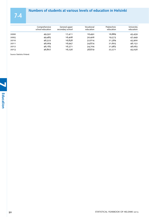### **Numbers of students at various levels of education in Helsinki**

### **7.4**

| Vocational<br>Polytechnic<br>Comprehensive<br>General upper<br>school education<br>secondary school<br>education<br>education<br>16,889<br>16,492<br>17,411<br>49,591<br>16,408<br>30,406<br>49,485<br>19,573<br>16,838<br>46,322<br>32,614<br>21,384<br>46,064<br>34,874<br>16,947<br>21,605<br>46,185<br>21,983<br>16,371<br>34,704<br>38,879<br>46,807<br>16,236<br>22,271 |  |  |                         |
|-------------------------------------------------------------------------------------------------------------------------------------------------------------------------------------------------------------------------------------------------------------------------------------------------------------------------------------------------------------------------------|--|--|-------------------------|
| 2000<br>2005<br>2010<br>2011<br>2012<br>2013                                                                                                                                                                                                                                                                                                                                  |  |  | University<br>education |
|                                                                                                                                                                                                                                                                                                                                                                               |  |  | 45,439                  |
|                                                                                                                                                                                                                                                                                                                                                                               |  |  | 47,449                  |
|                                                                                                                                                                                                                                                                                                                                                                               |  |  | 45,900                  |
|                                                                                                                                                                                                                                                                                                                                                                               |  |  | 46,152                  |
|                                                                                                                                                                                                                                                                                                                                                                               |  |  | 46,063                  |
|                                                                                                                                                                                                                                                                                                                                                                               |  |  | 45,056                  |

Source: Statistics Finland.

 $\blacktriangledown$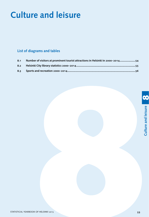# **Culture and leisure**

| 8.1 | Number of visitors at prominent tourist attractions in Helsinki in 2000-2014 54 |
|-----|---------------------------------------------------------------------------------|
| 8.2 |                                                                                 |
| 8.3 |                                                                                 |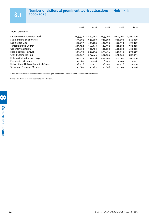### **8.1 Number of visitors at prominent tourist attractions in Helsinki in <br><b>8.1 2000–2014 2000–2014**

|                                         | 2000      | 2005      | 2010      | 2013      | 2014      |
|-----------------------------------------|-----------|-----------|-----------|-----------|-----------|
| Tourist attraction                      |           |           |           |           |           |
| Linnanmäki Amusement Park <sup>1</sup>  | 1,055,532 | 1,197,768 | 1,055,000 | 1,000,000 | 1,000,000 |
| Suomenlinna Sea Fortress                | 671,805   | 632,000   | 736,000   | 828,000   | 858,000   |
| Korkeasaari Zoo                         | 557,697   | 483,202   | 436,135   | 502,162   | 485,400   |
| Temppeliaukio Church                    | 495,120   | 568,440   | 508,393   | 500,000   | 500,000   |
| Uspensky Cathedral                      | 450,400   | 500,500   | 500,000   | 400,000   | 400,000   |
| Helsinki Music Festival                 | 321,872   | 254,454   | 271,896   | 217,913   | 272,377   |
| Grand Casino Helsinki                   | 228,067   | 274,843   | 292,023   | 276,601   | 283,859   |
| Helsinki Cathedral and Crypt            | 312,421   | 399,278   | 452,300   | 500,000   | 500,000   |
| Ehrensvärd Museum                       | 12,182    | 9,428     | 8,541     | 9,704     | 9,152     |
| University of Helsinki Botanical Garden | 58,226    | 74,172    | 28,400    | 34,226    | 35,200    |
| Seurasaari Open-Air Museum              | 51,683    | 40,385    | 30,606    | 42,004    | 37,226    |
|                                         |           |           |           |           |           |

<sup>1</sup> Also includes the visitors at the events Carnival of Light, *Jouluhattara* Christmas event, and *Jäähelmi* winter event.

Source: The statistics of each separate tourist attraction.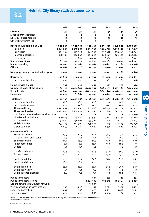|                                         | 2000                     | 2005           | 2010           | 2012           | 2013                     | 2014           |
|-----------------------------------------|--------------------------|----------------|----------------|----------------|--------------------------|----------------|
| <b>Libraries</b>                        | 37                       | 37             | 37             | 36             | 36                       | 36             |
| Mobile libraries (buses)                | $\overline{2}$           | $\overline{2}$ | $\overline{2}$ | $\overline{2}$ | $\overline{2}$           | $\overline{2}$ |
| Libraries in hospitals etc.             | 17                       | 11             | 10             | 10             | 10                       | 10             |
| Other library premises                  | $\overline{2}$           | $\mathbf{1}$   | $\mathbf{1}$   | $\mathbf{1}$   | 1                        | $\mathbf{1}$   |
| Books (incl. music) on 31 Dec.          | 1,806.255                | 1,712.109      | 1,612.439      |                | 1,591.007 1,582.810      | 1,578.211      |
| in Finnish                              | 1,389.859                | 1,318.287      | 1,236.731      | 1,226.700      | 1,218.610                | 1,217.347      |
| in Swedish                              | 191,128                  | 167,312        | 145,729        | 137,678        | 134,081                  | 131,745        |
| in other languages                      | 188,158                  | 190,669        | 199,020        | 200,145        | 202,999                  | 202,126        |
| music scores                            | 37,110                   | 35,841         | 30,959         | 26,484         | 27,120                   | 26,993         |
| Sound recordings                        | 161,141                  | 196,479        | 225,654        | 224,383        | 209,935                  | 208,121        |
| Image recordings                        | 29,404                   | 37,464         | 42,487         | 49,641         | 51,182                   | 54,058         |
| <b>Others</b>                           | 33,582                   | 16,276         | 15,741         | 14,916         | 17,015                   | 19,547         |
| Newspaper and periodical subscriptions  | 5,949                    | 5,204          | 5,005          | 4,931          | 4,766                    | 4,896          |
| <b>Borrowers</b>                        | 243,819                  | 229,931        | 211,309        | 231,456        | 233,014                  | 234,651        |
| per 1,000 inhabitants                   | 443                      | 410            | 359            | 383            | 380                      | 378            |
| Home service clients                    | 302                      | 421            | 464            | 393            | 377                      | 390            |
| Number of visits at the library         | 7,160.113                | 6,604.849      | 6,449.357      |                | 6,783.103 6,537.580      | 6,409.316      |
| <b>Virtual visits</b>                   | 1,396.804                | 5,012.505      | 6,803.235      |                | 6,827.696 10,378.127     | 11,937.414     |
| Hours open                              | 96,911                   | 87,863         | 94,304         | 99,855         | 99,600                   | 102,546        |
| <b>Total loans</b>                      | 9,150.598                | 10,073.766     | 9,178.545      |                | 9,272.462 8,938.178      | 8,815.488      |
| per 1,000 inhabitants                   | 16,6                     | 18,0           | 15,6           | 15,4           | 14,6                     | 14,1           |
| per 1,000 borrowers                     | 37,7                     | 43,8           | 43,4           | 40,1           | 38,4                     | 37,4           |
| The Main Library                        | 1,237.993                | 864,490        | 805,018        | 798,775        | 763,765                  | 780,764        |
| The other libraries                     | 7,484.977                | 8,865.415      | 9,174.389      | 8,156.648      | 7,883.352                | 7,704.497      |
| Number of times the E-material was used | $\overline{a}$           |                |                |                | $\overline{\phantom{0}}$ | 375,159        |
| Libaries in hospitals etc.              | 129,405                  | 65,470         | 57,540         | 55,842         | 53,746                   | 46,188         |
| Home service                            | 52,817                   | 136,491        | 135,764        | 120,828        | 120,190                  | 132,317        |
| <b>Mobile libraries</b>                 | 237,233                  | 241,900        | 239,871        | 240,369        | 217,125                  | 205,630        |
| Distance loans <sup>2</sup>             | 1,655                    | 1,367          | 1,127          | 1,430          | 1,110                    | 1,137          |
| <b>Percentages of loans</b>             |                          |                |                |                |                          |                |
| Books (incl. music)                     | 73.9                     | 71.9           | 70.4           | 71.7           | 73.1                     | 75.3           |
| Music sheets and scores                 | 1.3                      | 1.4            | 1.4            | 1.3            | 1.3                      | 1.3            |
| Sound recordings                        | 14.7                     | 16.0           | 15.0           | 13.0           | 11.9                     | 10.9           |
| Image recordings                        | 6.7                      | 7.9            | 10.4           | 11.0           | 10.2                     | 8.6            |
| Others                                  | 4.7                      | 4.3            | 4.2            | 4.4            | 4.8                      | 5.3            |
| Non-fiction books                       | 39.3                     | 39.0           | 37.3           | 37.0           | 36.9                     | 37.0           |
| <b>Fiction books</b>                    | 60.7                     | 61.0           | 62.7           | 63.0           | 63.2                     | 63.0           |
| Books for adults                        | 71.5                     | 71.9           | 69.6           | 68.4           | 67.6                     | 66.7           |
| Books for children                      | 28.5                     | 28.1           | 30.4           | 31.7           | 32.4                     | 33.3           |
| Books in Finnish                        | 87.7                     | 86.9           | 86.3           | 86.2           | 85.9                     | 85.7           |
| <b>Books in Swedish</b>                 | 4.5                      | 4.1            | 3.8            | 4.0            | 4.2                      | 4.3            |
| Books in other languages                | 7.8                      | 9.0            | 9.9            | 9.8            | 10.0                     | 10.1           |
| Public computers                        |                          |                | 385            | 402            | 418                      | 375            |
| Public computer sessions                | $\overline{\phantom{0}}$ |                | 1,085.106      | 979,352        | 903,084                  | 812,009        |
| Log-ins at wireless Stadinetti network  | $\overline{\phantom{0}}$ |                | 30,085         | $\ddotsc$      | $\ddotsc$                |                |
| Web information services sessions       | 1,500                    | 19,616         | 15,149         | 8,721          | 7,302                    | 7,403          |
| Events and activities                   | 1,639                    | 1,746          | 2,470          | 4,655          | 5,476                    | 5,222          |
| Guiding sessions                        | 671                      | 913            | 866            | 1,400          | 1,189                    | 951            |

1 From 2003 on, the statistics on the loans of the home service distinguish its own loans from the total number of loans. 2 Distance loans received.

Source: Helsinki City Library.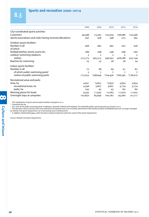|                                                           | 2000           | 2005                 | 2010                 | 2013                 | 2014           |
|-----------------------------------------------------------|----------------|----------------------|----------------------|----------------------|----------------|
| City-coordinated sports activities                        |                |                      |                      |                      |                |
| Customers                                                 | 49,386         | 73,562               | 103,004              | 108,086              | 133,096        |
| Sports associations and clubs having received allocations | 397            | 428                  | 398                  | 375                  | 365            |
| Outdoor sports facilities <sup>1</sup>                    |                |                      |                      |                      |                |
| Number in all                                             | 466            | 462                  | 462                  | 502                  | 506            |
| of which                                                  |                |                      |                      |                      |                |
| football pitches, tennis courts etc.                      | 286            | 298                  | 298                  | 268                  | 260            |
| outdoor swimming stadiums                                 | $\overline{2}$ | $\overline{2}$       | $\overline{2}$       | $\overline{2}$       | $\overline{2}$ |
| visitors                                                  | 313,773        | 365,315              | 396,592              | 428,288              | 423,149        |
| Beaches for swimming                                      | 25             | 25                   | 28                   | 28                   | 24             |
| Indoor sports facilities <sup>1</sup>                     |                |                      |                      |                      |                |
| Number in all                                             | 72             | 68                   | 69                   | 91                   | 87             |
| of which public swimming pools <sup>2</sup>               | 5              | $\overline{7}$       | 7                    | 7                    | 7              |
| visitors at public swimming pools                         | 715,055        | <sup>3</sup> 798,944 | <sup>3</sup> 704,456 | <sup>3</sup> 766,390 | 3778,910       |
| Recreational areas and parks                              |                |                      |                      |                      |                |
| Area, ha                                                  | 4,641          | 43,852               | 43,850               | 3,834                | 3,834          |
| recreational areas, ha                                    | 4,396          | 3,807                | 3,807                | 3,774                | 3,774          |
| parks, ha                                                 | 245            | 45                   | 43                   | 560                  | 560            |
| Mooring places for boats                                  | 9,342          | 11,945               | 12,063               | 11,974               | 11,925         |
| Overnight stays at campsites                              | 102,850        | 85,699               | 100,787              | 95,060               | 91,517         |
|                                                           |                |                      |                      |                      |                |

<sup>1</sup> The classification of sports and recreation facilities changed in 2012.

° Owned by the city.<br><sup>3</sup> Incl. visits at the public swimming pools in Itäkeskus, Jakomäki, Pirkkola and Yrjönkatu.The Jakomäki public swimming pool was closed in 2010.<br><sup>4</sup> The decrease is due to the fact that some waterfro

Source: Helsinki City Sports Department.

8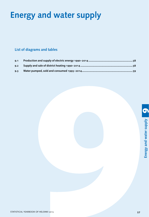# **Energy and water supply**

| 9.1 |  |
|-----|--|
| 9.2 |  |
| 9.3 |  |

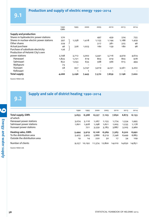### **Production and supply of electric energy 1990–2014**



|                                           | 1990<br>GWh | 1995  | 2000  | 2005  | 2010  | 2013  | 2014  |
|-------------------------------------------|-------------|-------|-------|-------|-------|-------|-------|
| Supply and production                     |             |       |       |       |       |       |       |
| Shares in hydroelectric power stations    | 270         |       |       | 497   | 459   | 524   | 755   |
| Shares in nuclear-electric power stations | 597         | 1,258 | 1,418 | 1,155 | 1,144 | 1,188 | 1,429 |
| Other shares                              | 229         |       |       | 317   | 381   | 325   | 46    |
| Actual purchase                           | 46          | 326   | 1,023 | 160   | 159   | 180   | 98    |
| Purchase of substitute electricity        | 126         |       |       |       |       |       |       |
| Production of Helsinki City's own         |             |       |       |       |       |       |       |
| power stations                            | 2,798       | 3,712 | 5,002 | 5,441 | 5,716 | 4,979 | 4,674 |
| Hanasaari                                 | 1,835       | 1,721 | 619   | 803   | 919   | 803   | 978   |
| Salmisaari                                | 832         | 1,033 | 635   | 568   | 566   | 615   | 494   |
| Myllypuro                                 | 73          |       |       |       |       |       |       |
| Vuosaari                                  | 58          | 957   | 3,747 | 3,919 | 4,231 | 3,561 | 3,202 |
| Kellosaari                                |             | 1     | 1     |       |       |       |       |
| <b>Total supply</b>                       | 4,066       | 5,296 | 7,443 | 7,570 | 7,859 | 7,196 | 7,002 |
|                                           |             |       |       |       |       |       |       |

Source: Helen Ltd.

**9.2**

### **Supply and sale of district heating 1990–2014**

9

**Energy and water supply**

Energy and water supply

|                               | 1990  | 1995   | 2000   | 2005   | 2010   | 2013   | 2014   |
|-------------------------------|-------|--------|--------|--------|--------|--------|--------|
| Total supply, GWh             | 5,633 | 6,368  | 6,537  | 7,103  | 7,850  | 6,873  | 6,133  |
| of which                      |       |        |        |        |        |        |        |
| Hanasaari power stations      | 3,074 | 3,116  | 1,267  | 1,135  | 1,774  | 1,554  | 1,995  |
| Salmisaari power stations     | 1,601 | 1,928  | 1,298  | 1,621  | 1,005  | 1,235  | 1,178  |
| Vuosaari power stations       |       | 721    | 3,559  | 3,783  | 3,887  | 3,205  | 2,960  |
| Heating sales, GWh            | 5,444 | 5,919  | 6,106  | 6,569  | 7,363  | 6,502  | 6,992  |
| To the distribution area      | 5,425 | 5,905  | 5,886  | 6,519  | 7,346  | 6,449  | 6,883  |
| Outside the distribution area | 19    | 14     | 220    | 50     | 17     | 54     | 109    |
| Number of clients             | 9,257 | 10,192 | 11,374 | 12,800 | 14,010 | 14,650 | 14,851 |
|                               |       |        |        |        |        |        |        |

Source: Helen Ltd.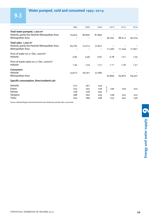### **Water pumped, sold and consumed 1995–2014**

**9.3**

|                                                                                                                  | 1995              | 2000              | 2005              | 2010       | 2013       | 2014       |
|------------------------------------------------------------------------------------------------------------------|-------------------|-------------------|-------------------|------------|------------|------------|
| Total water pumped, 1,000 m <sup>3</sup><br>Helsinki, partly the Helsinki Metropolitan Area<br>Metropolitan Area | 70,925            | 80,600            | 81,890            | 90 097     | 88 912     | 90 074     |
| Total sales, 1,000 m <sup>3</sup><br>Helsinki, partly the Helsinki Metropolitan Area<br>Metropolitan Area        | 63,763            | 72,013            | 72,657<br>-       | 71,360     | 71,244     | 71,831     |
| Price of water on 31 Dec., euro/m <sup>3</sup><br>Helsinki                                                       | 0.82              | 0.46              | 0.67              | 0.78       | 1.01       | 1.05       |
| Price of waste water on 31 Dec., euro/m <sup>3</sup><br>Helsinki                                                 | 1.42              | 1.34              | 1.21              | 1.11       | 1.26       | 1.31       |
| <b>Consumers</b><br>Helsinki<br>Metropolitan Area                                                                | 23,612            | 26,791            | 27,080            | 62,864     | 65,876     | 64,507     |
| Specific consumption, litres/resident/24h                                                                        |                   |                   |                   |            |            |            |
| Helsinki<br>Espoo<br>Vantaa                                                                                      | 272<br>253<br>238 | 261<br>242<br>258 | 254<br>236<br>245 | 240        | 229        | 223        |
| Tampere<br>Turku                                                                                                 | 288<br>305        | 260<br>289        | 243<br>248        | 238<br>253 | 235<br>242 | 225<br>236 |

Source: Helsinki Region Environmental Services Authority and the cities concerned.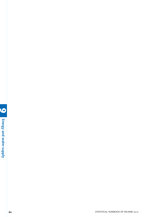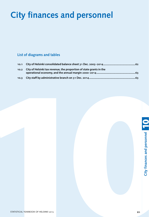# **City finances and personnel**

| 10.2 City of Helsinki tax revenue, the proportion of state grants in the |  |
|--------------------------------------------------------------------------|--|
|                                                                          |  |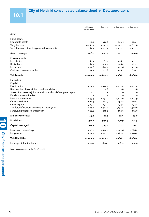### **City of Helsinki consolidated balance sheet 31 Dec. 2005–2014**

**10.1**

|                                                                                               | 31 Dec. 2005<br>Million euros | 31 Dec. 2010             | 31 Dec. 2013     | 31 Dec. 2014     |
|-----------------------------------------------------------------------------------------------|-------------------------------|--------------------------|------------------|------------------|
| <b>Assets</b>                                                                                 |                               |                          |                  |                  |
| <b>Fixed assets</b>                                                                           |                               |                          |                  |                  |
| Intangible assets                                                                             | 111.3                         | 370.6                    | 343.5            | 320.1            |
| Tangible assets                                                                               | 9,084.3                       | 11,252.0                 | 12,447.7         | 12,667.8         |
| Securities and other longs-term investments                                                   | 765.5                         | 1,247.3                  | 1,117.2          | 1,117.7          |
| Assets managed                                                                                | 246.0                         | 471.4                    | 391.1            | 440.9            |
| <b>Current assets</b>                                                                         |                               |                          |                  |                  |
| Inventories                                                                                   | 84.1                          | 87.5                     | 108.1            | 102.1            |
| Recivables                                                                                    | 263.7                         | 404.4                    | 448.4            | 465.7            |
| Investments                                                                                   | 642.8                         | 623.9                    | 362.6            | 703.9            |
| Cash and bank receivables                                                                     | 143.7                         | 347.8                    | 768.2            | 668.2            |
| <b>Total assets</b>                                                                           | 11,341.4                      | 14,805.0                 | 15,986.7         | 16,486.4         |
| <b>Liabilities</b>                                                                            |                               |                          |                  |                  |
| Capital                                                                                       |                               |                          |                  |                  |
| Fixed capital                                                                                 | 2,977.9                       | 2,974.4                  | 2,972.4          | 2,972.4          |
| Basic capital of associations and foundations                                                 |                               | 5.8                      | 5.8              | 5.8              |
| Share of increase in joint municipal authoritie's original capital<br>Fund for annecation fee | 8.0                           | $\overline{\phantom{0}}$ |                  |                  |
| Revaluation reserve                                                                           | 0.7                           | $\overline{\phantom{0}}$ |                  |                  |
| Other own funds                                                                               | 1,845.4<br>664.4              | 1,832.2<br>711.7         | 1,821.6<br>758.8 | 1,815.9<br>746.4 |
| Other equity                                                                                  | 729.0                         | 734.2                    | 734.1            | 734.1            |
| Surplus/deficit from previous financial years                                                 | 178.7                         | 1,314.0                  | 2,191.1          | 2,346.6          |
| Surplus/deficit for financial year                                                            | 136.8                         | 418.2                    | 194.6            | 432.9            |
| <b>Minority interests</b>                                                                     | 49.6                          | 60.5                     | 62.1             | 63.8             |
| <b>Provisions</b>                                                                             | 792.7                         | 938.5                    | 890.9            | 771.5            |
| Capital managed                                                                               | 607.7                         | 779.6                    | 522.2            | 570.1            |
| Loans and borrowings                                                                          | 2,446.9                       | 3,825.0                  | 4,451.6          | 4,686.4          |
| Long-term                                                                                     | 853.5                         | 1,212.7                  | 1,381.5          | 1,340.5          |
| <b>Total liabilities</b>                                                                      | 11,341.4                      | 14,805.0                 | 15,986.7         | 16,486.4         |
| Loans per inhabitant, euro                                                                    | 4,497                         | 6,917                    | 7,815            | 7,949            |

Soure: Annual accounts of the City of Helsinki.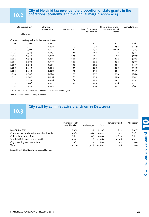### **10.2**

#### **City of Helsinki tax revenue, the proportion of state grants in the operational economy, and the annual margin 2000–2014**

|      | Total tax revenue <sup>1</sup> |                                             |                 |                                   |                                                        |               |
|------|--------------------------------|---------------------------------------------|-----------------|-----------------------------------|--------------------------------------------------------|---------------|
|      |                                | of which<br>Municipal tax                   | Real estate tax | Share of corporate<br>tax revenue | Share of state grants<br>in the operational<br>economy | Annual margin |
|      | Million euros                  |                                             |                 |                                   |                                                        |               |
|      |                                | Current monetary value in the relevant year |                 |                                   |                                                        |               |
| 2000 | 2,163                          | 1,347                                       | 102             | 713                               | $-13$                                                  | 506.1         |
| 2001 | 2,279                          | 1,498                                       | 109             | 672                               | $-52$                                                  | 412.9         |
| 2002 | 1,991                          | 1,601                                       | 112             | 277                               | $-119$                                                 | 98.7          |
| 2003 | 1,984                          | 1,643                                       | 114             | 267                               | 8                                                      | 338.1         |
| 2004 | 1,928                          | 1,600                                       | 115             | 211                               | 68                                                     | 380.9         |
| 2005 | 1,983                          | 1,646                                       | 120             | 216                               | 133                                                    | 329.3         |
| 2006 | 2,094                          | 1,748                                       | 122             | 223                               | 174                                                    | 470.7         |
| 2007 | 2,262                          | 1,861                                       | 138             | 262                               | 181                                                    | 544.7         |
| 2008 | 2,413                          | 1,975                                       | 149             | 288                               | 180                                                    | 539.8         |
| 2009 | 2,404                          | 2,028                                       | 156             | 219                               | 161                                                    | 315.3         |
| 2010 | 2,506                          | 2,064                                       | 185             | 257                               | 250                                                    | 388.0         |
| 2011 | 2,740                          | 2,218                                       | 187             | 335                               | 260                                                    | 574.3         |
| 2012 | 2,759                          | 2,306                                       | 189             | 263                               | 297                                                    | 439.1         |
| 2013 | 2,906                          | 2,442                                       | 195             | 269                               | 276                                                    | 472.7         |
| 2014 | 2,952                          | 2,435                                       | 207             | 310                               | 251                                                    | 480.7         |

<sup>1</sup> The total sum of tax revenue also includes other tax revenue, chiefly dog tax.

Source: Annual accounts of the City of Helsinki.

**10.3**

### **City staff by administrative branch on 31 Dec. 2014**

|                                        | Permanent staff<br>Monthly salary | Hourly wages    | Total  | Temporary staff | Altogether |
|----------------------------------------|-----------------------------------|-----------------|--------|-----------------|------------|
| Mayor's sector                         | 2,082                             | 23              | 2,105  | 212             | 2,317      |
| Construction and environment authority | 5,083                             | 1,261           | 6,344  | 437             | 6,781      |
| <b>Cultural and staff affairs</b>      | 6,697                             | 286             | 6,983  | 1,820           | 8,803      |
| Soscial affairs and public health      | 17,557                            | 8               | 17,565 | 3,946           | 21,511     |
| City planning and real estate          | 887                               | $\qquad \qquad$ | 887    | 51              | 938        |
| Total                                  | 32,306                            | 1,578           | 33,884 | 6,466           | 40,350     |

Source: Helsinki City´s Financial Management Services.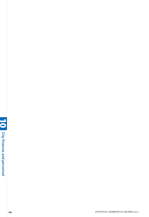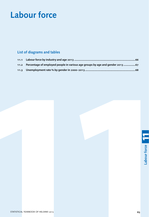# **Labour force**

| 11.2 Percentage of employed people in various age groups by age and gender 2013  67 |
|-------------------------------------------------------------------------------------|
|                                                                                     |

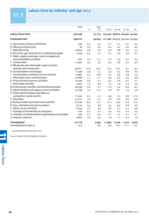### **11.1**

|                                                           | Total   | $\frac{0}{0}$ | Age<br>$-24$ | $25 - 39$                           | $40 - 49$ | $50 - 59$ | $60 -$ |
|-----------------------------------------------------------|---------|---------------|--------------|-------------------------------------|-----------|-----------|--------|
| Labour force total                                        | 328,798 |               |              | 37,703 133,350 68,697 64,956 24,092 |           |           |        |
| <b>Employed total</b>                                     | 296,020 |               |              | 34,604 121,360 61,313 57,720 21,023 |           |           |        |
| A Agriculture, forestry and fishing                       | 495     | O.2           | 0.3          | 0.1                                 | 0.1       | O.2       | 0.2    |
| B Mining and quarrying                                    | 38      | O.O           | O.O          | 0.0                                 | 0.0       | 0.0       | 0.0    |
| C Manufacturing                                           | 16,624  | 5.6           | 2.8          | 5.6                                 | 6.8       | 6.2       | 5.3    |
| D Electricity, gas, heat and air conditioning supply      | 1,409   | 0.5           | O.1          | 0.5                                 | 0.5       | 0.6       | 0.7    |
| E Water supply, sewerage, waste management                |         |               |              |                                     |           |           |        |
| and remediation activities                                | 620     | 0.2           | 0.1          | 0.2                                 | 0.3       | 0.3       | 0.2    |
| F Construction                                            | 12,492  | 4.2           | 3.5          | 3.9                                 | 4.8       | 4.7       | 4.0    |
| G Wholesale and retail trade; repair of motor             |         |               |              |                                     |           |           |        |
| vehicles and motorcycles                                  | 36,811  | 12.4          | 22.7         | 12.3                                | 10.7      | 9.7       | 9.0    |
| H Transportation and storage                              | 17,596  | 5.9           | 5.7          | 5.3                                 | 6.5       | 6.8       | 6.0    |
| 1 Accomodation and food service activities                | 13,884  | 4.7           | 10.8         | 4.7                                 | 3.8       | 2.8       | 2.4    |
| J Information and communication                           | 22,868  | 7.7           | 3.1          | 9.9                                 | 8.3       | 6.3       | 4.8    |
| K Financial and insurance activities                      | 10,796  | 3.6           | 2.1          | 4.0                                 | 3.6       | 4.1       | 3.1    |
| L Real estate activities                                  | 3,907   | 1.3           | 0.8          | 1.0                                 | 1.4       | 1.9       | 2.4    |
| M Professional, scientific and technical activities       | 28,598  | 9.7           | 6.1          | 11.6                                | 9.2       | 8.4       | 9.2    |
| N Administrative and support service activities           | 23,298  | 7.9           | 17.0         | 7.6                                 | 6.1       | 5.5       | 5.6    |
| O Public administration and defence:                      |         |               |              |                                     |           |           |        |
| compulsory social security                                | 17,930  | 6.1           | 1.2          | 4.9                                 | 7.0       | 8.6       | 11.0   |
| P Education                                               | 22,321  | 7.5           | 3.7          | 7.8                                 | 8.0       | 8.0       | 9.4    |
| O Human health and social work activities                 | 41,538  | 14.0          | 11.1         | 12.3                                | 14.5      | 17.8      | 17.2   |
| R Arts, entertainment and recreation                      | 9,725   | 3.3           | 4.8          | 3.3                                 | 3.0       | 2.8       | 3.0    |
| S Other service activities                                | 11,005  | 3.7           | 2.9          | 3.6                                 | 3.7       | 4.1       | 4.8    |
| T Activites of households as employers                    | 918     | 0.3           | 0.7          | 0.3                                 | 0.2       | 0.2       | 0.5    |
| U Activities of extraterritorial organisations and bodies | 282     | 0.1           | O.O          | O.1                                 | 0.1       | 0.1       | 0.1    |
| X Industry unknown                                        | 2,865   | 1.0           | 0.5          | 1.0                                 | 1.2       | 0.9       | 1.0    |
| <b>Unemployed</b>                                         | 32,778  |               | 3,099        | 11,990                              | 7,384     | 7,236     | 3,069  |
| Unemployment rate, %                                      | 10.0    |               | 8.2          | 9.0                                 | 10.7      | 11.1      | 12.7   |

<sup>1</sup> Standard Industrial Classification 2008.

Source: Statistics Finland, Employment statistics.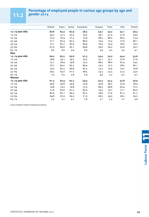#### **11.2 Percentage of employed people in various age groups by age and gender 2013**

|                  | Helsinki | Espoo | Vantaa | Kauniainen | Tampere | Turku | Oulu | Finland |
|------------------|----------|-------|--------|------------|---------|-------|------|---------|
| 15-74 year olds  | 60.8     | 63.4  | 62.9   | 58.3       | 54.7    | 54.2  | 55.1 | 56.3    |
| $15 - 24$        | 44.5     | 37.3  | 42.0   | 29.0       | 38.1    | 41.4  | 31.8 | 34.9    |
| $25 - 34$        | 75.0     | 76.4  | 77.3   | 73.8       | 68.5    | 68.3  | 66.5 | 73.4    |
| $35 - 44$        | 77.1     | 83.4  | 82.5   | 86.0       | 74.4    | 73.4  | 77.6 | 80.1    |
| $45 - 54$        | 77.1     | 83.7  | 82.6   | 84.9       | 76.0    | 74.4  | 78.0 | 79.2    |
| $55 - 64$        | 61.9     | 66.6  | 63.1   | 69.8       | 56.0    | 56.5  | 55.6 | 56.7    |
| $65 - 74$<br>Men | 6.0      | 6.0   | 4.9    | 6.9        | 3.9     | 4.2   | 3.4  | 4.1     |
| 15-74 year olds  | 60.0     | 63.5  | 63.6   | 57.3       | 54.0    | 53.0  | 54.4 | 55.6    |
| $15 - 24$        | 38.8     | 34.1  | 39.5   | 24.5       | 32.1    | 35.7  | 27.6 | 31.6    |
| $25 - 34$        | 75.1     | 78.4  | 79.8   | 74.3       | 68.5    | 68.0  | 67.4 | 74.5    |
| $35 - 44$        | 76.7     | 84.2  | 83.2   | 89.9       | 74.2    | 72.7  | 78.0 | 80.1    |
| $45 - 54$        | 74.0     | 82.3  | 80.8   | 82.3       | 73.3    | 70.9  | 74.7 | 76.8    |
| $55 - 64$        | 58.3     | 65.0  | 61.7   | 68.5       | 53.5    | 53.5  | 52.5 | 54.0    |
| $65 - 74$        | 7.0      | 6.5   | 5.8    | 5.9        | 4.9     | 5.2   | 4.2  | 4.7     |
| Women            |          |       |        |            |         |       |      |         |
| 15-74 year olds  | 61.5     | 63.4  | 62.3   | 59.4       | 55.5    | 55.3  | 55.8 | 56.9    |
| $15 - 24$        | 49.6     | 40.8  | 44.4   | 33.8       | 43.8    | 46.5  | 35.9 | 38.4    |
| $25 - 34$        | 74.8     | 74.3  | 74.8   | 73.3       | 68.5    | 68.6  | 65.4 | 72.2    |
| $35 - 44$        | 77.6     | 82.6  | 81.7   | 82.6       | 74.5    | 74.1  | 77.1 | 80.0    |
| $45 - 54$        | 80.0     | 85.1  | 84.3   | 87.2       | 78.6    | 77.6  | 81.3 | 81.7    |
| $55 - 64$        | 64.8     | 67.9  | 64.3   | 71.0       | 58.2    | 59.0  | 58.5 | 59.2    |
| $65 - 74$        | 5.3      | 5.7   | 4.1    | 7.6        | 3.1     | 3.5   | 2.7  | 3.6     |

Source: Statistics Finland, Employment statistics.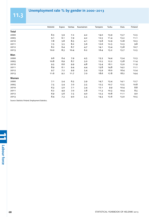### **Unemployment rate % by gender in 2000–2013**

## **11.3**

| Total<br>8.3<br>2000<br>5.9<br>7.2<br>13.9<br>13.7<br>4.2<br>14.0<br>6.1<br>2005<br>9.1<br>7.9<br>4.2<br>12.5<br>11.4<br>13.2<br>7.8<br>5.8<br>8.5<br>12.8<br>2010<br>4.1<br>13.8<br>12.9<br>8.2<br>3.6<br>2011<br>7.5<br>5.5<br>12.6<br>12.5<br>12.3<br>8.7<br>8.2<br>6.4<br>13.4<br>13.8<br>2012<br>4.7<br>14.1<br>6.2<br>8.3<br>16.4<br>10.0<br>10.4<br>15.2<br>2013<br>15.7<br>Men<br>9.6<br>6.4<br>2000<br>7.9<br>13.4<br>4.5<br>13.3<br>14.4<br>10.8<br>6.9<br>8.7<br>2005<br>13.8<br>5.0<br>12.5<br>12.2<br>9.5<br>6.6<br>4.8<br>16.1<br>2010<br>9.9<br>15.4<br>15.0<br>8.9<br>14.8<br>6.1<br>13.8<br>2011<br>9.4<br>4.4<br>14.2<br>16.0<br>16.4<br>9.7<br>2012<br>7.2<br>9.9<br>5.4<br>15.9<br>11.6<br>18.6<br>17.8<br>18.2<br>2013<br>9.2<br>11.7<br>7.0<br>Women<br>2000<br>5.4<br>6.5<br>7.1<br>3.9<br>13.4<br>14.1<br>14.7<br>7.5<br>2005<br>5.4<br>7.0<br>3.5<br>12.5<br>10.7<br>12.5 | Helsinki | Espoo | Vantaa | Kauniainen | Tampere | Turku | Oulu | Finland |
|----------------------------------------------------------------------------------------------------------------------------------------------------------------------------------------------------------------------------------------------------------------------------------------------------------------------------------------------------------------------------------------------------------------------------------------------------------------------------------------------------------------------------------------------------------------------------------------------------------------------------------------------------------------------------------------------------------------------------------------------------------------------------------------------------------------------------------------------------------------------------------------------------|----------|-------|--------|------------|---------|-------|------|---------|
|                                                                                                                                                                                                                                                                                                                                                                                                                                                                                                                                                                                                                                                                                                                                                                                                                                                                                                    |          |       |        |            |         |       |      |         |
|                                                                                                                                                                                                                                                                                                                                                                                                                                                                                                                                                                                                                                                                                                                                                                                                                                                                                                    |          |       |        |            |         |       |      | 12.5    |
|                                                                                                                                                                                                                                                                                                                                                                                                                                                                                                                                                                                                                                                                                                                                                                                                                                                                                                    |          |       |        |            |         |       |      | 11.1    |
|                                                                                                                                                                                                                                                                                                                                                                                                                                                                                                                                                                                                                                                                                                                                                                                                                                                                                                    |          |       |        |            |         |       |      | 10.3    |
|                                                                                                                                                                                                                                                                                                                                                                                                                                                                                                                                                                                                                                                                                                                                                                                                                                                                                                    |          |       |        |            |         |       |      | 9.8     |
|                                                                                                                                                                                                                                                                                                                                                                                                                                                                                                                                                                                                                                                                                                                                                                                                                                                                                                    |          |       |        |            |         |       |      | 10.7    |
|                                                                                                                                                                                                                                                                                                                                                                                                                                                                                                                                                                                                                                                                                                                                                                                                                                                                                                    |          |       |        |            |         |       |      | 12.5    |
|                                                                                                                                                                                                                                                                                                                                                                                                                                                                                                                                                                                                                                                                                                                                                                                                                                                                                                    |          |       |        |            |         |       |      |         |
|                                                                                                                                                                                                                                                                                                                                                                                                                                                                                                                                                                                                                                                                                                                                                                                                                                                                                                    |          |       |        |            |         |       |      | 12.3    |
|                                                                                                                                                                                                                                                                                                                                                                                                                                                                                                                                                                                                                                                                                                                                                                                                                                                                                                    |          |       |        |            |         |       |      | 11.4    |
|                                                                                                                                                                                                                                                                                                                                                                                                                                                                                                                                                                                                                                                                                                                                                                                                                                                                                                    |          |       |        |            |         |       |      | 11.9    |
|                                                                                                                                                                                                                                                                                                                                                                                                                                                                                                                                                                                                                                                                                                                                                                                                                                                                                                    |          |       |        |            |         |       |      | 11.1    |
|                                                                                                                                                                                                                                                                                                                                                                                                                                                                                                                                                                                                                                                                                                                                                                                                                                                                                                    |          |       |        |            |         |       |      | 12.4    |
|                                                                                                                                                                                                                                                                                                                                                                                                                                                                                                                                                                                                                                                                                                                                                                                                                                                                                                    |          |       |        |            |         |       |      | 14.4    |
|                                                                                                                                                                                                                                                                                                                                                                                                                                                                                                                                                                                                                                                                                                                                                                                                                                                                                                    |          |       |        |            |         |       |      |         |
|                                                                                                                                                                                                                                                                                                                                                                                                                                                                                                                                                                                                                                                                                                                                                                                                                                                                                                    |          |       |        |            |         |       |      | 12.7    |
|                                                                                                                                                                                                                                                                                                                                                                                                                                                                                                                                                                                                                                                                                                                                                                                                                                                                                                    |          |       |        |            |         |       |      | 10.8    |
| 6.3<br>2010<br>9.9<br>5.0<br>7.1<br>3.4<br>12.1<br>10.4                                                                                                                                                                                                                                                                                                                                                                                                                                                                                                                                                                                                                                                                                                                                                                                                                                            |          |       |        |            |         |       |      | 8.8     |
| 6.2<br>2.8<br>2011<br>4.9<br>10.3<br>10.4<br>7.0<br>11.3                                                                                                                                                                                                                                                                                                                                                                                                                                                                                                                                                                                                                                                                                                                                                                                                                                           |          |       |        |            |         |       |      | 8.5     |
| 6.9<br>10.8<br>5.6<br>11.1<br>2012<br>7.5<br>4.0<br>12.3                                                                                                                                                                                                                                                                                                                                                                                                                                                                                                                                                                                                                                                                                                                                                                                                                                           |          |       |        |            |         |       |      | 9.0     |
| 8.4<br>12.6<br>7.3<br>9.0<br>5.5<br>13.0<br>2013<br>14.3                                                                                                                                                                                                                                                                                                                                                                                                                                                                                                                                                                                                                                                                                                                                                                                                                                           |          |       |        |            |         |       |      | 10.5    |

Source: Statistics Finland. Employment Statistics.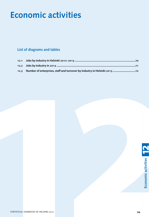# **Economic activities**

| 12.3 Number of enterprises, staff and turnover by industry in Helsinki 2013 |
|-----------------------------------------------------------------------------|

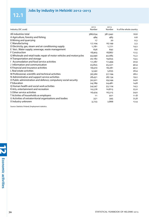### **Jobs by industry in Helsinki 2012–2013**

**12.1**

| Industry (SIC 2008)                                                    | 2012<br>Number | 2013<br>Number | % of the whole country |
|------------------------------------------------------------------------|----------------|----------------|------------------------|
| All industries total                                                   | 386,634        | 381,942        | 16.6                   |
| A Agriculture, forestry and fishing                                    | 484            | 483            | 0.6                    |
| B Mining and quarrying                                                 | 17             | 20             | 0.3                    |
| C Manufacturing                                                        | 17,104         | 16,199         | 5.3                    |
| D Electricity, gas, steam and air conditioning supply                  | 1,781          | 1,771          | 14.2                   |
| E Vesi-, Water supply; sewerage, waste management                      | 656            | 642            | 6.0                    |
| <b>F</b> Construction                                                  | 18,903         | 18,867         | 12.5                   |
| G Wholesale and retail trade; repair of motor vehicles and motorcycles | 43,940         | 42,085         | 15.2                   |
| H Transportation and storage                                           | 20,182         | 19,655         | 14.5                   |
| 1 Accomodation and food service activities                             | 17,287         | 17,494         | 20.9                   |
| J Information and communication                                        | 35,855         | 35,321         | 40.4                   |
| K Financial and insurance activities                                   | 18,970         | 18,281         | 40.2                   |
| L Real estate activities                                               | 5,542          | 5,635          | 26.4                   |
| M Professional, scientific and technical activities                    | 36,560         | 37,194         | 28.2                   |
| N Administrative and support service activities                        | 28,431         | 28,134         | 19.2                   |
| O Public administration and defence; compulsory social security        | 30,501         | 29,244         | 24.6                   |
| P Education                                                            | 24,789         | 24,481         | 14.8                   |
| Q Human health and social work activities                              | 54,547         | 55,124         | 14.3                   |
| R Arts, entertainment and recreation                                   | 10,576         | 10,815         | 25.0                   |
| S Other service activities                                             | 16,424         | 16,315         | 24.0                   |
| T Activites of households as employers                                 | 11             | 921            | 11.8                   |
| U Activities of extraterritorial organisations and bodies              | 351            | 395            | 75.8                   |
| X Industry unknown                                                     | 3,723          | 2,866          | 12.4                   |

Source: Statistics Finland, Employment statistics.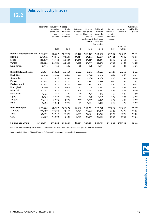### **Jobs by industry in 2013**

### **12.2**

|                            | Jobs total | Industry (SIC 2008)                         |                                              |                   |                                                               |                                                  |                                                  |                      | Workplace             |
|----------------------------|------------|---------------------------------------------|----------------------------------------------|-------------------|---------------------------------------------------------------|--------------------------------------------------|--------------------------------------------------|----------------------|-----------------------|
|                            |            | Manufac-<br>turing and<br>cons-<br>truction | Trade.<br>transport<br>and acco-<br>modation | Informa-<br>media | Finance.<br>tion and real-estate,<br>liberal pro-<br>fessions | Public ad-<br>ministra-<br>tion, edu-<br>cation, | Arts and<br>culture re-<br>creation<br>and other | Other and<br>unknown | self-suffi-<br>ciency |
|                            |            |                                             |                                              |                   | and support health and<br>services                            | social wel-<br>fare services                     | services                                         |                      |                       |
|                            |            |                                             |                                              |                   |                                                               |                                                  |                                                  | (A-B, D-E,           |                       |
|                            |            | (C,F)                                       | $(G-I)$                                      | (J)               | $(K-N)$                                                       | $(O-Q)$                                          | $(R-S)$                                          | T, U, X              |                       |
| Helsinki Metropolitan Area | 610,928    | 75,331                                      | 152,817                                      | 48,455            | 130,332                                                       | 154,527                                          | 36,135                                           | 13,331               | 116,2                 |
| Helsinki                   | 381,942    | 35,066                                      | 79,234                                       | 35,321            | 89,244                                                        | 108,849                                          | 27,130                                           | 7,098                | 129,0                 |
| Espoo                      | 120,247    | 19,150                                      | 28,999                                       | 11,198            | 25,027                                                        | 27,291                                           | 5,018                                            | 3,564                | 96,0                  |
| Vantaa                     | 106,420    | 20,986                                      | 44,300                                       | 1,908             | 15,713                                                        | 17,136                                           | 3,790                                            | 2,587                | 105,8                 |
| Kauniainen                 | 2,319      | 129                                         | 284                                          | 28                | 348                                                           | 1,251                                            | 197                                              | 82                   | 60,3                  |
| Restof Helsinki Region     | 100,647    | 23,846                                      | 24,506                                       | 1,070             | 14,452                                                        | 28,372                                           | 4,380                                            | 4,021                | 69,0                  |
| Hyvinkää                   | 19,370     | 5,394                                       | 4,632                                        | 155               | 2,638                                                         | 5,400                                            | 685                                              | 466                  | 94,3                  |
| Järvenpää                  | 12,063     | 2,578                                       | 2,557                                        | 142               | 1,986                                                         | 3,980                                            | 526                                              | 294                  | 62,9                  |
| Kerava                     | 12,265     | 2,816                                       | 3,769                                        | 162               | 1,752                                                         | 2,758                                            | 620                                              | 388                  | 74,5                  |
| Kirkkonummi                | 10,705     | 1,970                                       | 2,191                                        | 150               | 2,147                                                         | 3,392                                            | 486                                              | 369                  | 60,5                  |
| Nurmijärvi                 | 5,869      | 1,013                                       | 1,604                                        | 47                | 615                                                           | 1,831                                            | 264                                              | 495                  | 62,4                  |
| Mäntsälä                   | 12,067     | 2,846                                       | 3,209                                        | 115               | 1,553                                                         | 3,241                                            | 525                                              | 578                  | 61,6                  |
| Pornainen                  | 1,035      | 210                                         | 180                                          | 10                | 138                                                           | 317                                              | 50                                               | 130                  | 43,0                  |
| Sipoo                      | 5,174      | 1,181                                       | 967                                          | 48                | 699                                                           | 1,706                                            | 279                                              | 294                  | 57,6                  |
| Tuusula                    | 14,044     | 3,885                                       | 3,627                                        | 160               | 1,860                                                         | 3,390                                            | 585                                              | 537                  | 77,0                  |
| Vihti                      | 8,055      | 1,953                                       | 1,770                                        | 81                | 1,064                                                         | 2,357                                            | 360                                              | 470                  | 60,0                  |
| Helsinki Region            | 711,575    | 99,177                                      | 177,323                                      | 49,525            | 144,784                                                       | 182,899                                          | 40,515                                           | 17,352               | 106,0                 |
| Tampere                    | 116,750    | 22,369                                      | 23,101                                       | 8,278             | 20,537                                                        | 34,400                                           | 5,545                                            | 2,520                | 123,3                 |
| Turku                      | 95,201     | 15,140                                      | 20,410                                       | 3,668             | 17,074                                                        | 32,175                                           | 4,826                                            | 1,908                | 123,3                 |
| Oulu                       | 84,078     | 14,882                                      | 15,643                                       | 3,728             | 14,516                                                        | 28,605                                           | 3,851                                            | 2853                 | 105,4                 |
| <b>Finland as a whole</b>  | 2,301.751  | 453,266                                     | 496,001                                      | 87,373            | 345,401                                                       | 669,789                                          | 111,207                                          | 138,714              | 100,0                 |

NOTE: The statistics comply with the district division of 1 Jan. 2015. Data from merged municipalities have been combined.

Source: Statistics Finland, *"Kaupunki- ja seutuindikaattorit"*, i.e. urban and regional indicator database.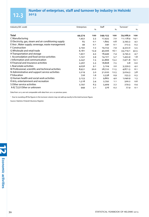### **12.3**

### **Number of enterprises, staff and turnover by industry in Helsinki 2013**

| Industry (SIC 2008)                                   | Enterprises |               | Staff   |               | Turnover <sup>1</sup> |               |
|-------------------------------------------------------|-------------|---------------|---------|---------------|-----------------------|---------------|
|                                                       |             | $\frac{0}{0}$ |         | $\frac{0}{0}$ |                       | $\frac{0}{0}$ |
| Total                                                 | 44,574      | 100           | 249,155 | 100           | 79,266,0              | 100           |
| C Manufacturing                                       | 1,452       | 3.3           | 17,435  | 7.0           | 11,178.9              | 14.1          |
| D Electricity, gas, steam and air conditioning supply | 65          | 0.1           | 1,895   | 0.8           | 3,293.3               | 4.2           |
| E Vesi-, Water supply; sewerage, waste management     | 49          | 0.1           | 240     | 0.1           | 212.5                 | 0.3           |
| <b>F</b> Construction                                 | 3,192       | 7.2           | 19,733  | 7.9           | 4,322.0               | 5.5           |
| G Wholesale and retail trade                          | 6,181       | 13.9          | 40,006  | 16.1          | 33,719.1              | 42.5          |
| H Transportation and storage                          | 1,931       | 4.3           | 18,449  | 7.4           | 3,745.3               | 4.7           |
| 1 Accomodation and food service activities            | 1,741       | 3.9           | 14,101  | 5.7           | 1,433.9               | 1.8           |
| J Information and communication                       | 3,247       | 7.3           | 32,866  | 13.2          | 7,971.8               | 10.1          |
| K Financial and insurance activities                  | 2,367       | 5.3           | 18,808  | 7.5           | 0.8                   | O.O           |
| L Real estate activities                              | 4,056       | 9.1           | 5,104   | 2.0           | 3,339.3               | 4.2           |
| M Professional, scientific and technical activities   | 8,931       | 20.0          | 28,722  | 11.5          | 4,871.3               | 6.1           |
| N Administrative and support service activities       | 2,219       | 5.0           | 31,020  | 12.5          | 3,024.3               | 3.8           |
| P Education                                           | 726         | 1.6           | 2,338   | 0.9           | 255.3                 | 0.3           |
| O Human health and social work activities             | 3,153       | 7.1           | 9,862   | 4.0           | 1,040.9               | 1.3           |
| R Arts, entertainment and recreation                  | 1,518       | 3.4           | 2,792   | 1.1           | 500.2                 | 0.6           |
| S Other service activities                            | 2,797       | 6.3           | 5,409   | 2.2           | 279.3                 | O.4           |
| A-B, T, U, X Other or unknown                         | 949         | 2.1           | 376     | 0.2           | 77.9                  | O.1           |

Data from 2013 are not comparable with data from 2012 or previous years.

<sup>1</sup> Due to rounding off the figures in the turnover column may not add up exactly to the total turnover figure.

Source: Statistics Finland's Business Register.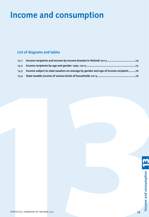## **Income and consumption**

## **List of diagrams and tables**

| 13.3 Income subject to state taxation on average by gender and age of income recipient76 |
|------------------------------------------------------------------------------------------|
|                                                                                          |

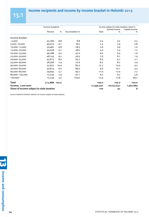## **Income recipients and income by income bracket in Helsinki 2013**

## **13.1**

| Income recipients                         |               |               |                | Income subject to state taxation, share % |               |                |  |  |
|-------------------------------------------|---------------|---------------|----------------|-------------------------------------------|---------------|----------------|--|--|
|                                           |               |               |                |                                           | Earned income | Capital income |  |  |
|                                           | Persons       | $\frac{0}{0}$ | Accumulation % | Total                                     | $\frac{0}{0}$ | $\frac{0}{0}$  |  |  |
| Income bracket                            |               |               |                |                                           |               |                |  |  |
| $-5,000$                                  | 45,269        | 8.8           | 8.8            | 0.5                                       | 0.5           | 0.5            |  |  |
| 5,000-10,000                              | 49,910        | 9.7           | 18.5           | 2.3                                       | 2.4           | 0.8            |  |  |
| 10,000-15,000                             | 50,487        | 9.8           | 28.3           | 3.6                                       | 3.9           | 1,0            |  |  |
| 15,000-20,000                             | 50,028        | 9.7           | 38.0           | 5.0                                       | 5.3           | 1.3            |  |  |
| 20,000-25,000                             | 46,288        | 9.0           | 47.0           | 6.0                                       | 6.4           | 1.6            |  |  |
| 25,000-30,000                             | 48,143        | 9.3           | 56,3           | 7.6                                       | 8.1           | 1.9            |  |  |
| 30,000-35,000                             | 45,813        | 8.9           | 65.2           | 8.5                                       | 9.1           | 2.1            |  |  |
| 35,000-40,000                             | 38,366        | 7.4           | 72.6           | 8.2                                       | 8.7           | 2.4            |  |  |
| 40,000-50,000                             | 53,655        | 10.4          | 83.0           | 13.7                                      | 14.5          | 4.5            |  |  |
| 50,000-60,000                             | 30,814        | 6.0           | 89.0           | 9.6                                       | 10.1          | 4.3            |  |  |
| 60,000-80,000                             | 29,642        | 5.7           | 94.7           | 11.6                                      | 12.0          | 7.2            |  |  |
| 80,000-100,000                            | 12,234        | 2.4           | 97.1           | 6.2                                       | 6.2           | 5.8            |  |  |
| 100,000-                                  | 15,239        | 3,0           | 100,0          | 17,4                                      | 12,8          | 66,7           |  |  |
| Total                                     | 515,888 100.0 |               |                | 100.0                                     | 100.0         | 100.0          |  |  |
| Income, 1,000 euro                        |               |               |                | 17,499.341                                | 16,033.657    | 1,465.684      |  |  |
| Share of income subject to state taxation |               |               |                | 100                                       | 92            | 8              |  |  |

Source: Statistics Finland's statistics on Income subject to state taxation.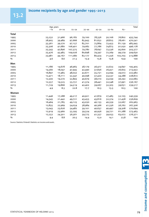|               | Age, years |           |           |           |           |           |         | Total   |
|---------------|------------|-----------|-----------|-----------|-----------|-----------|---------|---------|
|               | $-19$      | $20 - 24$ | $25 - 34$ | $35 - 44$ | $45 - 54$ | $55 - 64$ | $65 -$  |         |
| <b>Total</b>  |            |           |           |           |           |           |         |         |
| 1995          | 23,232     | 31,966    | 96,182    | 79,100    | 78,356    | 50,106    | 76,802  | 435,744 |
| 2000          | 28,905     | 39,489    | 97,666    | 85,943    | 81,652    | 58,825    | 78,061  | 470,541 |
| 2005          | 33,361     | 39,270    | 97,157    | 85,701    | 75,864    | 73,453    | 81,139  | 485,945 |
| 2010          | 25,306     | 41,680    | 106,401   | 79,082    | 77,786    | 74,873    | 91,050  | 496,178 |
| 2011          | 25,543     | 42,896    | 107,375   | 79,780    | 78,647    | 73,536    | 95,600  | 503,377 |
| 2012          | 25,476     | 43,485    | 109,026   | 80,698    | 79,397    | 72,269    | 99,279  | 509,630 |
| 2013          | 23,981     | 44,167    | 111,080   | 82,177    | 80,424    | 71,356    | 102,703 | 515,888 |
| $\%$          | 4.6        | 8.6       | 21.5      | 15.9      | 15.8      | 13.8      | 19.9    | 100     |
| Men           |            |           |           |           |           |           |         |         |
| 1995          | 11,786     | 14,678    | 46,965    | 38,179    | 36,477    | 22,623    | 24,697  | 195,405 |
| 2000          | 14,560     | 18,047    | 47,945    | 42,490    | 37,836    | 26,451    | 26,603  | 213,932 |
| 2005          | 16,897     | 17,485    | 48,032    | 42,671    | 35,731    | 33,094    | 29,072  | 222,982 |
| 2010          | 12,471     | 18,711    | 52,347    | 40,098    | 37,420    | 33,537    | 34,288  | 228,872 |
| 2011          | 12,500     | 19,270    | 52,893    | 40,679    | 38,010    | 33,039    | 36,292  | 232,683 |
| 2012          | 12,557     | 19,525    | 53,731    | 41,374    | 38,441    | 32,548    | 37,991  | 236,167 |
| 2013          | 11,729     | 19,866    | 54,519    | 42,402    | 39,067    | 32,303    | 39,631  | 239,517 |
| $\%$          | 4.9        | 8.3       | 22.8      | 17.7      | 16.3      | 13.5      | 16.5    | 100     |
| Women         |            |           |           |           |           |           |         |         |
| 1995          | 11,446     | 17,288    | 49,217    | 40,921    | 41,879    | 27,483    | 52,105  | 240,339 |
| 2000          | 14,345     | 21,442    | 49,721    | 43,453    | 43,816    | 32,374    | 51,458  | 256,609 |
| 2005          | 16,464     | 21,785    | 49,125    | 43,030    | 40,133    | 40,359    | 52,067  | 262,963 |
| 2010          | 12,835     | 22,969    | 54,054    | 38,984    | 40,366    | 41,336    | 56,762  | 267,306 |
| 2011          | 13,043     | 23,626    | 54,482    | 39,101    | 40,637    | 40,497    | 59,308  | 270,694 |
| 2012          | 12,919     | 23,960    | 55,295    | 39,324    | 40,956    | 39,721    | 61,288  | 273,463 |
| 2013          | 12,252     | 24,301    | 56,561    | 39,775    | 41,357    | 39,053    | 63,072  | 276,371 |
| $\frac{0}{0}$ | 4.4        | 8.8       | 20.5      | 14.4      | 15.0      | 14.1      | 22,8    | 100     |

Source: Statistics Finland's Statistics on income and assets.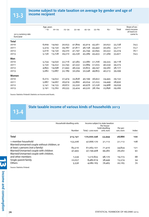|                                 | Age, years |           |           |           |           |           |        |        | Share of wo-                 |
|---------------------------------|------------|-----------|-----------|-----------|-----------|-----------|--------|--------|------------------------------|
|                                 | $-19$      | $20 - 24$ | $25 - 34$ | $35 - 44$ | $45 - 54$ | $55 - 64$ | $65 -$ | Total  | men's income<br>of men's in- |
| 2013 currency rate<br>Euro/year |            |           |           |           |           |           |        |        | come %                       |
| Total                           |            |           |           |           |           |           |        |        |                              |
| 2010                            | 6,009      | 14,042    | 30,053    | 41,804    | 45,914    | 43,561    | 30,052 | 33,738 | 74.5                         |
| 2011                            | 5,374      | 14,150    | 29,787    | 41,811    | 46,158    | 43,442    | 30,565 | 33,711 | 73.7                         |
| 2012                            | 5,016      | 14,130    | 29,270    | 41,197    | 45,744    | 42,645    | 30,552 | 33,274 | 76.1                         |
| 2013                            | 5,136      | 13,728    | 29,310    | 43,236    | 45,589    | 43,433    | 31,569 | 33,921 | 74.5                         |
| Men                             |            |           |           |           |           |           |        |        |                              |
| 2010                            | 5,734      | 14,030    | 32,716    | 47,583    | 52,080    | 51,706    | 39,335 | 39,118 |                              |
| 2011                            | 5,150      | 14,252    | 32,743    | 47,532    | 52,684    | 51,025    | 40,559 | 39,273 |                              |
| 2012                            | 4,893      | 14,098    | 31,943    | 46,534    | 50,823    | 49,247    | 39,560 | 38,177 |                              |
| 2013                            | 5,082      | 13,687    | 32,189    | 50,564    | 50,548    | 49,803    | 40,513 | 39,299 |                              |
| Women                           |            |           |           |           |           |           |        |        |                              |
| 2010                            | 6,273      | 14,052    | 27,474    | 35,858    | 40,199    | 36,952    | 24,445 | 29,132 |                              |
| 2011                            | 5,687      | 14,067    | 26,919    | 35,860    | 40,054    | 37,255    | 24,449 | 28,930 |                              |
| 2012                            | 5,141      | 14,155    | 26,672    | 35,550    | 40,976    | 37,236    | 24,968 | 29,039 |                              |
| 2013                            | 5,191      | 13,762    | 26,535    | 35,424    | 40,520    | 38,164    | 25,896 | 29,260 |                              |

Source: Statistics Finland's Statistics on Income and Assets.

## **State taxable income of various kinds of households 2013**

**13.4**

|                                                                                   | Household-dwelling units | Income subject to state taxation | Per per-                    |           |       |
|-----------------------------------------------------------------------------------|--------------------------|----------------------------------|-----------------------------|-----------|-------|
|                                                                                   | Number                   | Total, 1,000 euro                | hold-dwelling<br>unit, euro | son, euro | Index |
| <b>Total</b>                                                                      | 315,141                  | 170,000.296                      | 53,944                      | 28,886    | 100   |
| 1-member household<br>Married/unmarried couple without children, or               | 153,206                  | 47,666.170                       | 31,112                      | 31,112    | 108   |
| at least 2 persons (not a family)                                                 | 85,510                   | 61,063.101                       | 71,410                      | 34,834    | 121   |
| Married/Unmarried couple with children<br>Married/Unmarried couple with children, | 47,493                   | 47,199.408                       | 99,382                      | 26,562    | 92    |
| and other members                                                                 | 1,539                    | 1,510.835                        | 98,170                      | 19,773    | 68    |
| Single-parent family                                                              | 22,057                   | 8,480.619                        | 38,449                      | 15,574    | 54    |
| Others                                                                            | 5,336                    | 4,080.163                        | 76,465                      | 20,165    | 70    |

Source: Statistics Finland.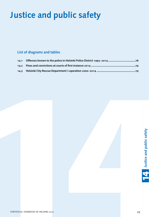# **Justice and public safety**

## **List of diagrams and tables**

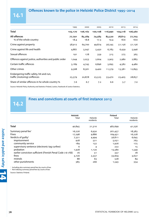|                                                                          | 1995           | 2000           | 2005           | 2010           | 2013           | 2014           |
|--------------------------------------------------------------------------|----------------|----------------|----------------|----------------|----------------|----------------|
| Total                                                                    | 103,170        | 106,162        | 100,108        | 116,990        | 104,218        | 106,560        |
| All offences<br>% of the whole country                                   | 77,791<br>18.4 | 85,284<br>18.8 | 74,583<br>17.3 | 83,520<br>19.4 | 78,813<br>18.6 | 77,703<br>18.6 |
| Crime against property                                                   | 58,912         | 64,700         | 49,874         | 56,245         | 51,156         | 51,136         |
| Crime against life and health                                            | 4,887          | 5,047          | 5,450          | 6,783          | 6,439          | 5,946          |
| Sexual offences                                                          | 191            | 178            | 359            | 315            | 275            | 365            |
| Offences against justice, authorities and public order                   | 1,044          | 2,053          | 2,604          | 2,903          | 2,980          | 2,883          |
| Certain traffic offences                                                 | 3,189          | 4,745          | 6,896          | 5,695          | 4,582          | 4,480          |
| Other crimes                                                             | 9,568          | 8,561          | 9,400          | 11,579         | 13,381         | 12,893         |
| Endangering traffic safety, hit-and-run,<br>traffic (motoring) onffences | 25,379         | 20,878         | 25,525         | 33,470         | 25,405         | 28,857         |
| Share of similar offences in he whole country %                          | 7.6            | 6.7            | 7.2            | 6.6            | 5.7            | 7.0            |

Source: Helsinki Policy Authority and Statistics Finland, Justice, Yearbook of Justice Statistics.

**14.2**

#### **Helsinki Finland** Total Helsinki Total Helsinki residents residents İ **Total** 40,845 21,310 482,699 41,256 Summary penal fee<sup>1</sup> 16,226 6,930 261,457 18,383 Fines 17,298 9,886 164,431 16,228 Verdicts of guilty<sup>2</sup> 6,645 imprisonment 928 521 5,051 763 community service 184 132 1,926 175 supervisory sentence (electronic tag curfew)  $\begin{array}{cccc} 6 & 4 & 222 & 15 \end{array}$ probation 1,928 1,120 13,580 1,549 earlier conviction sufficient (Finnish Penal Code 7:6-7§§) 76 51 51 357 378 78 fines 3,726 2,337 33,604 3,627 mistrals 88 63 528 84 other punishments 385 266 1,543 354

**Fines and convictions at courts of first instance 2013**

<sup>1</sup> Including also summary penal fees by courts of law.<br><sup>2</sup> Not indluing summary penal fees by courts of law. Not indluing summary penal fees by courts of law.

Source: Statistics Finland.

14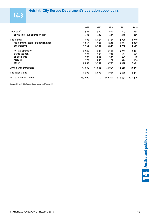## **Helsinki City Rescue Department´s operation 2000–2014**



|                                       | 2000    | 2005   | 2010    | 2013    | 2014    |
|---------------------------------------|---------|--------|---------|---------|---------|
| <b>Total staff</b>                    | 574     | 560    | 670     | 673     | 682     |
| of which rescue operation staff       | 400     | 406    | 499     | 490     | 503     |
| Fire alarms                           | 4,399   | 3,754  | 4,461   | 3,786   | 3,740   |
| fire-fightings tasks (extinguishings) | 1,067   | 957    | 1,240   | 1,034   | 1,067   |
| other alarms                          | 3,332   | 2,797  | 3,221   | 2,752   | 2,673   |
| Rescue operation                      | 2,928   | 4,233  | 5,166   | 5,043   | 4,464   |
| traffic accidents                     | 305     | 354    | 917     | 654     | 681     |
| oil accidents                         | 385     | 282    | 349     | 283     | 48      |
| rescues                               | 179     | 245    | 177     | 204     | 134     |
| other                                 | 2,059   | 3,352  | 3,723   | 3,902   | 3,601   |
| Ambulance transports                  | 34,706  | 36,882 | 44,861  | 53,227  | 53,215  |
| Fire inspections                      | 5,200   | 3,878  | 6,085   | 5,328   | 3,314   |
| Places in bomb shelter                | 683,600 |        | 819,700 | 849,432 | 857,316 |
|                                       |         |        |         |         |         |

Source: Helsinki City Rescue Department and RegionCD.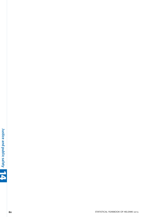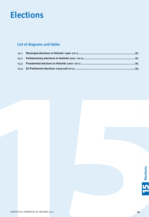## **Elections**

## **List of diagrams and tables**

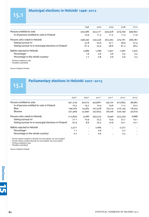### **Municipal elections in Helsinki 1996–2012**

**15.1**

|                                                                 | 1996    | 2000    | 2004    | 2008    | 2012    |
|-----------------------------------------------------------------|---------|---------|---------|---------|---------|
| Persons entitled to vote                                        | 429,586 | 452,271 | 459,428 | 474,209 | 499,692 |
| % of persons entitled to vote in Finland                        | 10.9    | 11.3    | 11.2    | 11.3    | 11.6    |
| Persons who voted in Helsinki                                   | 248,290 | 230,336 | 262,362 | 279,181 | 286,787 |
| Voting turnout % <sup>1</sup>                                   | 57.8    | 50.9    | 57.1    | 58.9    | 57.4    |
| Voting turnout % in municipal elections in Finland <sup>1</sup> | 61.3    | 55.9    | 58.6    | 61.2    | 58.3    |
| Ballots rejected in Helsinki                                    | 3,989   | 1,289   | 1,457   | 1,387   | 1,420   |
| Percentage <sup>2</sup>                                         | 1.6     | 0.6     | 0.6     | 0.5     | 0.5     |
| Percentage in the whole country <sup>2</sup>                    | 1.7     | 0.8     | 0.6     | 0.6     | 0.5     |
| <sup>1</sup> Of those entitled to vote.                         |         |         |         |         |         |

<sup>2</sup> Of ballots submitted.

Source: Statistics Finland.

**15.2**

### **Parliamentary elections in Helsinki 2007–2015**

|                                                                 | 2007 <sup>1</sup> | 2007 <sup>2</sup>    | 2011 <sup>1</sup> | 2011 <sup>2</sup>    | 2015 <sup>1</sup> | $2015^2$ |
|-----------------------------------------------------------------|-------------------|----------------------|-------------------|----------------------|-------------------|----------|
| Persons entitled to vote                                        | 441,229           | 40,073               | 454,861           | 44,720               | 472,893           | 48,982   |
| % of persons entitled to vote in Finland                        | 10.3              | 19.2                 | 10.4              | 19.6                 | 11.2              | 20.2     |
| Men                                                             | 199,760           | 14,383               | 207,028           | 16,514               | 216,144           | 18,303   |
| Women                                                           | 241,469           | 25,690               | 247,833           | 28,206               | 256,749           | 30,679   |
| Persons who voted in Helsinki                                   | 313,859           | 4,386                | 343,523           | 6,446                | 355,359           | 6,888    |
| Voting turnout % <sup>3</sup>                                   | 71.1              | 10.9                 | 75.5              | 14.4                 | 75.1              | 14.1     |
| Voting turnout % in municipal elections in Finland <sup>3</sup> | 67.9              | 8.6                  | 70.5              | 10.6                 | 70.1              | 10.1     |
| Ballots rejected in Helsinki                                    | 3,321             | $\ddot{\phantom{a}}$ | 2,084             | $\ddot{\phantom{0}}$ | 2,372             |          |
| Percentage <sup>4</sup>                                         | 1.1               |                      | 0.6               |                      | O.7               |          |
| Percentage in the whole country <sup>4</sup>                    | O.7               |                      | 0.6               | $\ddot{\phantom{0}}$ | 0.5               |          |
|                                                                 |                   |                      |                   |                      |                   |          |

<sup>1</sup> Finnish citizens resident in Finland. For more details, see www.vaalit.fi

<sup>2</sup> Finnish citizens resident abroad. For more details, see www.vaalit.fi

<sup>3</sup> Of those entitled to vote.

<sup>4</sup> Of ballots submitted.

Source: Statistics Finland.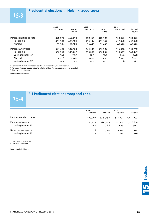|                               | 2000<br>First round | Second<br>round | 2006<br>First round | Second<br>round | 2012<br>First round | Second<br>round |
|-------------------------------|---------------------|-----------------|---------------------|-----------------|---------------------|-----------------|
| Persons entitled to vote      | 468,770             | 468,770         | 478,589             | 478,589         | 502,960             | 502,960         |
| In Helsinki <sup>1</sup>      | 431,382             | 431,382         | 439,144             | 439,144         | 457,588             | 457,588         |
| Abroad <sup>2</sup>           | 37,388              | 37,388          | 39,445              | 39,445          | 45,372              | 45,372          |
| Persons who voted             | 341,480             | 348,529         | 349,649             | 356,786         | 358,412             | 350,718         |
| In Helsinki <sup>1</sup>      | 336,952             | 343,767         | 335,229             | 350,856         | 350,317             | 342,487         |
| Voting turnout % <sup>3</sup> | 78.1                | 79.7            | 76.3                | 79.9            | 76.6                | 74.8            |
| Abroad <sup>2</sup>           | 4,528               | 4,762           | 5,420               | 5,930           | 8,095               | 8,231           |
| Voting turnout % <sup>3</sup> | 12.1                | 12.7            | 13.7                | 15.0            | 17.8                | 18.1            |

1 Persons in Helsinki's population register. For more details, see www.vaalit.fi<br><sup>2</sup> Persons not resident but entitled to vote in Helsinki. For more details, see www.vaalit.fi

<sup>3</sup> Of those entitled to vote.

Source: Statistics Finland.

**15.4**

**EU Parliament elections 2009 and 2014**

|                                                         | 2009<br>Helsinki | Finland           | 2014<br>Helsinki | Finland           |
|---------------------------------------------------------|------------------|-------------------|------------------|-------------------|
| Persons entitled to vote                                | 489,968          | 4,332,457         | 516,194          | 4,440,297         |
| Persons who voted<br>Voting turnout % <sup>1</sup>      | 230,729<br>47.1  | 1,672,434<br>38.6 | 250,194<br>48.5  | 1,736,618<br>39.1 |
| Ballot papers rejected<br>Voting turnout % <sup>2</sup> | 926<br>O.4       | 7,603<br>0.5      | 1,255<br>0.5     | 10,435<br>0.6     |

<sup>1</sup> Of those entitled to vote.

<sup>2</sup> Of ballots submitted.

Source: Statistics Finland.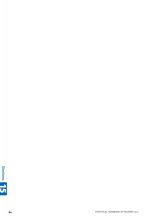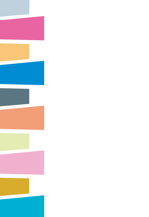